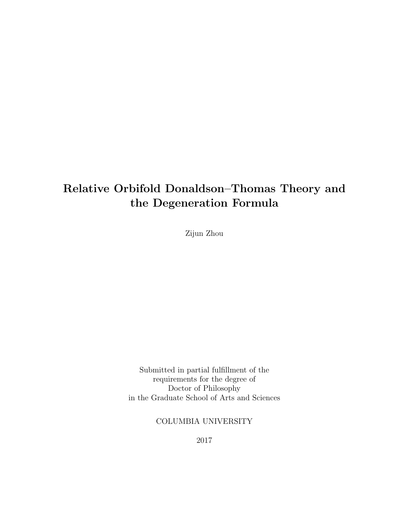## Relative Orbifold Donaldson–Thomas Theory and the Degeneration Formula

Zijun Zhou

Submitted in partial fulfillment of the requirements for the degree of Doctor of Philosophy in the Graduate School of Arts and Sciences

COLUMBIA UNIVERSITY

2017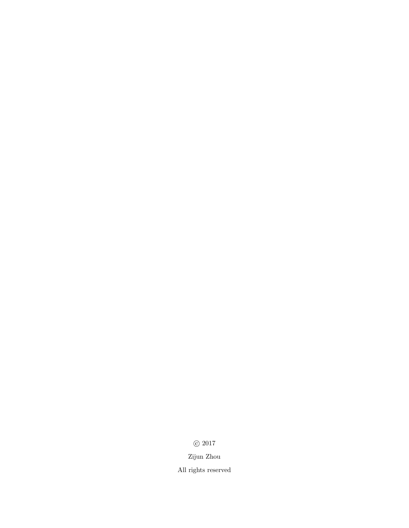$\odot$  2017

Zijun Zhou

All rights reserved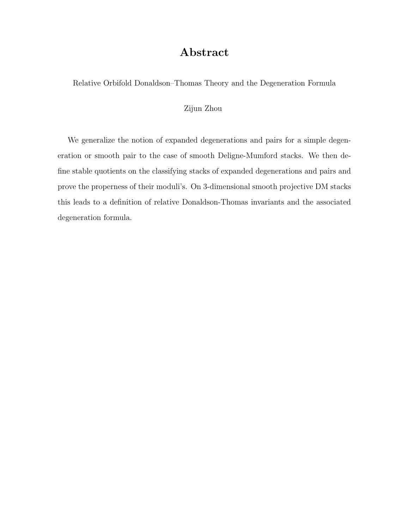### Abstract

Relative Orbifold Donaldson–Thomas Theory and the Degeneration Formula

#### Zijun Zhou

We generalize the notion of expanded degenerations and pairs for a simple degeneration or smooth pair to the case of smooth Deligne-Mumford stacks. We then define stable quotients on the classifying stacks of expanded degenerations and pairs and prove the properness of their moduli's. On 3-dimensional smooth projective DM stacks this leads to a definition of relative Donaldson-Thomas invariants and the associated degeneration formula.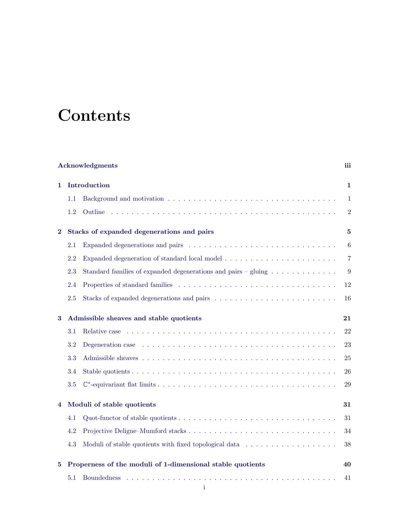# **Contents**

| <b>Acknowledgments</b> |                                                            |                                                                                                               |                 |  |
|------------------------|------------------------------------------------------------|---------------------------------------------------------------------------------------------------------------|-----------------|--|
| 1                      | Introduction                                               |                                                                                                               |                 |  |
|                        | 1.1                                                        |                                                                                                               | $\mathbf{1}$    |  |
|                        | 1.2                                                        |                                                                                                               | $\overline{2}$  |  |
| $\overline{2}$         | Stacks of expanded degenerations and pairs                 |                                                                                                               |                 |  |
|                        | 2.1                                                        |                                                                                                               | $6\phantom{.}6$ |  |
|                        | 2.2                                                        |                                                                                                               | $\overline{7}$  |  |
|                        | 2.3                                                        | Standard families of expanded degenerations and pairs – gluing                                                | 9               |  |
|                        | 2.4                                                        |                                                                                                               | 12              |  |
|                        | 2.5                                                        |                                                                                                               | 16              |  |
| 3                      | Admissible sheaves and stable quotients                    |                                                                                                               |                 |  |
|                        | 3.1                                                        |                                                                                                               | 22              |  |
|                        | 3.2                                                        | Degeneration case $\dots \dots \dots \dots \dots \dots \dots \dots \dots \dots \dots \dots \dots \dots \dots$ | 23              |  |
|                        | 3.3                                                        |                                                                                                               | 25              |  |
|                        | 3.4                                                        |                                                                                                               | 26              |  |
|                        | 3.5                                                        |                                                                                                               | 29              |  |
| 4                      | Moduli of stable quotients                                 |                                                                                                               |                 |  |
|                        | 4.1                                                        |                                                                                                               | 31              |  |
|                        | 4.2                                                        |                                                                                                               | 34              |  |
|                        | 4.3                                                        | Moduli of stable quotients with fixed topological data                                                        | 38              |  |
| 5                      | Properness of the moduli of 1-dimensional stable quotients |                                                                                                               |                 |  |
|                        | 5.1                                                        |                                                                                                               | 41              |  |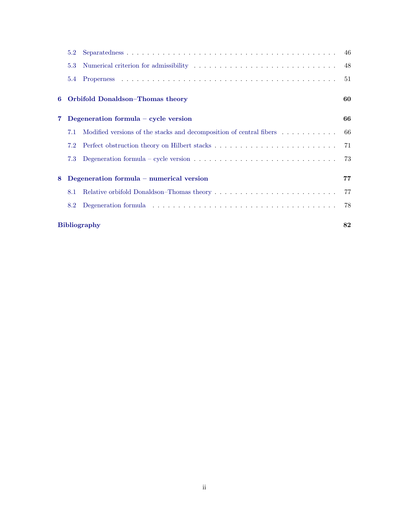|             | 5.2                       |                                                                                                       |     |  |  |
|-------------|---------------------------|-------------------------------------------------------------------------------------------------------|-----|--|--|
|             | 5.3                       |                                                                                                       |     |  |  |
|             | $5.4^{\circ}$             |                                                                                                       | 51  |  |  |
|             |                           | 6 Orbifold Donaldson–Thomas theory                                                                    | 60  |  |  |
| $\mathbf 7$ |                           | Degeneration formula $-$ cycle version                                                                | 66  |  |  |
|             | 7.1                       | Modified versions of the stacks and decomposition of central fibers                                   | -66 |  |  |
|             | 7.2                       |                                                                                                       | -71 |  |  |
|             | 7.3                       | Degeneration formula – cycle version $\ldots \ldots \ldots \ldots \ldots \ldots \ldots \ldots \ldots$ |     |  |  |
| 8           |                           | Degeneration formula – numerical version                                                              |     |  |  |
|             | 8.1                       |                                                                                                       | 77  |  |  |
|             | 8.2                       |                                                                                                       | -78 |  |  |
|             | 82<br><b>Bibliography</b> |                                                                                                       |     |  |  |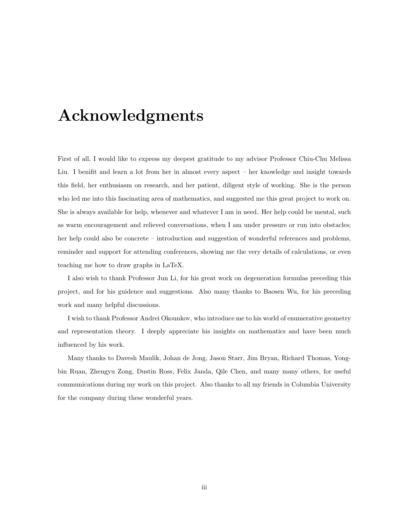# <span id="page-5-0"></span>Acknowledgments

First of all, I would like to express my deepest gratitude to my advisor Professor Chiu-Chu Melissa Liu. I benifit and learn a lot from her in almost every aspect – her knowledge and insight towards this field, her enthusiasm on research, and her patient, diligent style of working. She is the person who led me into this fascinating area of mathematics, and suggested me this great project to work on. She is always available for help, whenever and whatever I am in need. Her help could be mental, such as warm encouragement and relieved conversations, when I am under pressure or run into obstacles; her help could also be concrete – introduction and suggestion of wonderful references and problems, reminder and support for attending conferences, showing me the very details of calculations, or even teaching me how to draw graphs in LaTeX.

I also wish to thank Professor Jun Li, for his great work on degeneration formulas preceding this project, and for his guidence and suggestions. Also many thanks to Baosen Wu, for his preceding work and many helpful discussions.

I wish to thank Professor Andrei Okounkov, who introduce me to his world of enumerative geometry and representation theory. I deeply appreciate his insights on mathematics and have been much influenced by his work.

Many thanks to Davesh Maulik, Johan de Jong, Jason Starr, Jim Bryan, Richard Thomas, Yongbin Ruan, Zhengyu Zong, Dustin Ross, Felix Janda, Qile Chen, and many many others, for useful communications during my work on this project. Also thanks to all my friends in Columbia University for the company during these wonderful years.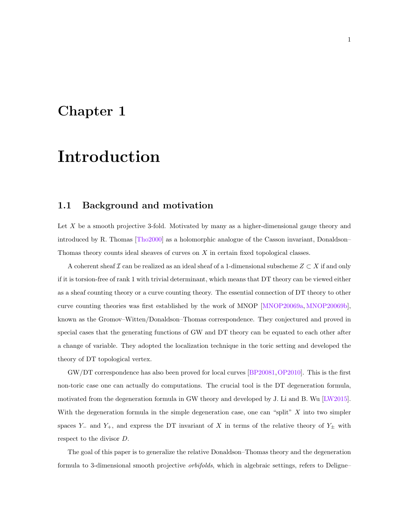## <span id="page-6-0"></span>Chapter 1

# Introduction

#### <span id="page-6-1"></span>1.1 Background and motivation

Let  $X$  be a smooth projective 3-fold. Motivated by many as a higher-dimensional gauge theory and introduced by R. Thomas [\[Tho2000\]](#page-89-0) as a holomorphic analogue of the Casson invariant, Donaldson– Thomas theory counts ideal sheaves of curves on X in certain fixed topological classes.

A coherent sheaf  $\mathcal I$  can be realized as an ideal sheaf of a 1-dimensional subscheme  $Z \subset X$  if and only if it is torsion-free of rank 1 with trivial determinant, which means that DT theory can be viewed either as a sheaf counting theory or a curve counting theory. The essential connection of DT theory to other curve counting theories was first established by the work of MNOP [\[MNOP20069a,](#page-88-0) [MNOP20069b\]](#page-88-1), known as the Gromov–Witten/Donaldson–Thomas correspondence. They conjectured and proved in special cases that the generating functions of GW and DT theory can be equated to each other after a change of variable. They adopted the localization technique in the toric setting and developed the theory of DT topological vertex.

GW/DT correspondence has also been proved for local curves [\[BP20081,](#page-87-1)[OP2010\]](#page-88-2). This is the first non-toric case one can actually do computations. The crucial tool is the DT degeneration formula, motivated from the degeneration formula in GW theory and developed by J. Li and B. Wu [\[LW2015\]](#page-88-3). With the degeneration formula in the simple degeneration case, one can "split"  $X$  into two simpler spaces Y<sub>−</sub> and Y<sub>+</sub>, and express the DT invariant of X in terms of the relative theory of Y<sub>±</sub> with respect to the divisor D.

The goal of this paper is to generalize the relative Donaldson–Thomas theory and the degeneration formula to 3-dimensional smooth projective orbifolds, which in algebraic settings, refers to Deligne–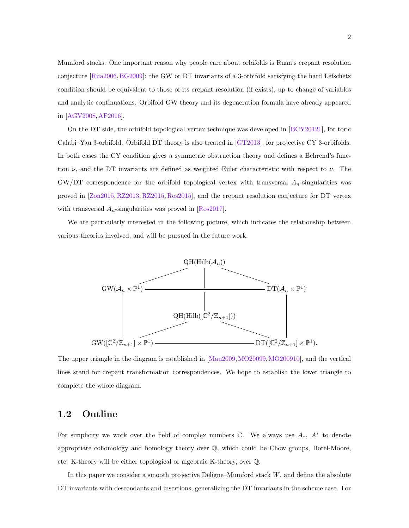Mumford stacks. One important reason why people care about orbifolds is Ruan's crepant resolution conjecture [\[Rua2006,](#page-89-1)[BG2009\]](#page-87-2): the GW or DT invariants of a 3-orbifold satisfying the hard Lefschetz condition should be equivalent to those of its crepant resolution (if exists), up to change of variables and analytic continuations. Orbifold GW theory and its degeneration formula have already appeared in [\[AGV2008,](#page-87-3)[AF2016\]](#page-87-4).

On the DT side, the orbifold topological vertex technique was developed in [\[BCY20121\]](#page-87-5), for toric Calabi–Yau 3-orbifold. Orbifold DT theory is also treated in [\[GT2013\]](#page-87-6), for projective CY 3-orbifolds. In both cases the CY condition gives a symmetric obstruction theory and defines a Behrend's function  $\nu$ , and the DT invariants are defined as weighted Euler characteristic with respect to  $\nu$ . The GW/DT correspondence for the orbifold topological vertex with transversal  $A_n$ -singularities was proved in [\[Zon2015,](#page-89-2) [RZ2013,](#page-89-3) [RZ2015,](#page-89-4) [Ros2015\]](#page-89-5), and the crepant resolution conjecture for DT vertex with transversal  $A_n$ -singularities was proved in [\[Ros2017\]](#page-89-6).

We are particularly interested in the following picture, which indicates the relationship between various theories involved, and will be pursued in the future work.



The upper triangle in the diagram is established in [\[Mau2009,](#page-88-4)[MO20099,](#page-88-5)[MO200910\]](#page-88-6), and the vertical lines stand for crepant transformation correspondences. We hope to establish the lower triangle to complete the whole diagram.

#### <span id="page-7-0"></span>1.2 Outline

For simplicity we work over the field of complex numbers  $\mathbb{C}$ . We always use  $A_*$ ,  $A^*$  to denote appropriate cohomology and homology theory over Q, which could be Chow groups, Borel-Moore, etc. K-theory will be either topological or algebraic K-theory, over Q.

In this paper we consider a smooth projective Deligne–Mumford stack W, and define the absolute DT invariants with descendants and insertions, generalizing the DT invariants in the scheme case. For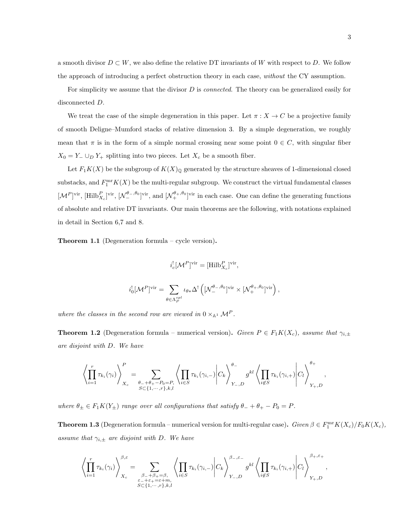a smooth divisor  $D \subset W$ , we also define the relative DT invariants of W with respect to D. We follow the approach of introducing a perfect obstruction theory in each case, without the CY assumption.

For simplicity we assume that the divisor D is *connected*. The theory can be generalized easily for disconnected D.

We treat the case of the simple degeneration in this paper. Let  $\pi : X \to C$  be a projective family of smooth Deligne–Mumford stacks of relative dimension 3. By a simple degeneration, we roughly mean that  $\pi$  is in the form of a simple normal crossing near some point  $0 \in C$ , with singular fiber  $X_0 = Y_-\cup_D Y_+$  splitting into two pieces. Let  $X_c$  be a smooth fiber.

Let  $F_1K(X)$  be the subgroup of  $K(X)_{\mathbb{Q}}$  generated by the structure sheaves of 1-dimensional closed substacks, and  $F_1^{\text{mr}}K(X)$  be the multi-regular subgroup. We construct the virtual fundamental classes  $[\mathcal{M}^P]$ <sup>vir</sup>,  $[\text{Hilb}_{X_c}^P]$ <sup>vir</sup>,  $[\mathcal{N}^{\theta_-,\theta_0}_-]$ <sup>vir</sup>, and  $[\mathcal{N}^{\theta_+,\theta_0}_+]$ <sup>vir</sup> in each case. One can define the generating functions of absolute and relative DT invariants. Our main theorems are the following, with notations explained in detail in Section 6,7 and 8.

Theorem 1.1 (Degeneration formula – cycle version).

$$
i_c^![\mathcal{M}^P]^{\text{vir}} = [\text{Hilb}_{X_c}^P]^{\text{vir}},
$$

$$
i_0^![{\mathcal M}^P]^\mathrm{vir} = \sum_{\theta \in \Lambda^{spl}_P} \iota_{\theta *} \Delta^! \left ([{\mathcal N}^{\theta_-,\theta_0}_-]^\mathrm{vir} \times [{\mathcal N}^{\theta_+,\theta_0}_+]^\mathrm{vir} \right ),
$$

where the classes in the second row are viewed in  $0 \times_{\mathbb{A}^1} \mathcal{M}^P$ .

**Theorem 1.2** (Degeneration formula – numerical version). Given  $P \in F_1K(X_c)$ , assume that  $\gamma_{i,\pm}$ are disjoint with D. We have

$$
\left\langle \prod_{i=1}^r \tau_{k_i}(\gamma_i) \right\rangle_{X_c}^P = \sum_{\substack{\theta_- + \theta_+ - P_0 = P, \\ S \subset \{1, \cdots, r\}, k, l}} \left\langle \prod_{i \in S} \tau_{k_i}(\gamma_{i,-}) \middle| C_k \right\rangle_{Y_-,D}^{\theta_-} g^{kl} \left\langle \prod_{i \notin S} \tau_{k_i}(\gamma_{i,+}) \middle| C_l \right\rangle_{Y_+,D}^{\theta_+},
$$

where  $\theta_{\pm} \in F_1K(Y_{\pm})$  range over all configurations that satisfy  $\theta_- + \theta_+ - P_0 = P$ .

**Theorem 1.3** (Degeneration formula – numerical version for multi-regular case). Given  $\beta \in F_1^{\text{mr}}K(X_c)/F_0K(X_c)$ , assume that  $\gamma_{i,\pm}$  are disjoint with D. We have

$$
\left\langle \prod_{i=1}^r \tau_{k_i}(\gamma_i) \right\rangle_{X_c}^{\beta,\varepsilon} = \sum_{\substack{\beta_-+\beta_+=\beta,\\ \varepsilon_-+\varepsilon_+=\varepsilon+m,\\S\subset \{1,\cdots,r\},k,l}} \left\langle \prod_{i\in S} \tau_{k_i}(\gamma_{i,-}) \middle| C_k \right\rangle_{Y_-,D}^{\beta_-,\varepsilon_-} g^{kl} \left\langle \prod_{i\not\in S} \tau_{k_i}(\gamma_{i,+}) \middle| C_l \right\rangle_{Y_+,D}^{\beta_+,\varepsilon_+},
$$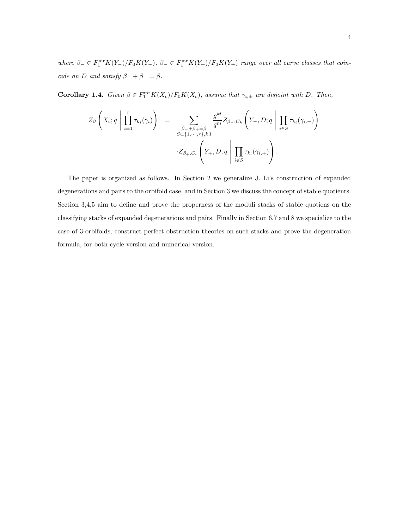where  $\beta_- \in F_1^{\text{mr}} K(Y_-)/F_0 K(Y_-)$ ,  $\beta_- \in F_1^{\text{mr}} K(Y_+)/F_0 K(Y_+)$  range over all curve classes that coincide on D and satisfy  $\beta_- + \beta_+ = \beta$ .

**Corollary 1.4.** Given  $\beta \in F_1^{\text{mr}}K(X_c)/F_0K(X_c)$ , assume that  $\gamma_{i,\pm}$  are disjoint with D. Then,

$$
Z_{\beta}\left(X_c; q \mid \prod_{i=1}^r \tau_{k_i}(\gamma_i)\right) = \sum_{\substack{\beta_{-}+\beta_{+}=\beta \\ S \subset \{1, \cdots, r\}, k,l}} \frac{g^{kl}}{q^m} Z_{\beta_{-},C_k}\left(Y_{-}, D; q \mid \prod_{i \in S} \tau_{k_i}(\gamma_{i,-})\right)
$$

$$
\cdot Z_{\beta_{+},C_l}\left(Y_{+}, D; q \mid \prod_{i \notin S} \tau_{k_i}(\gamma_{i,+})\right).
$$

The paper is organized as follows. In Section 2 we generalize J. Li's construction of expanded degenerations and pairs to the orbifold case, and in Section 3 we discuss the concept of stable quotients. Section 3,4,5 aim to define and prove the properness of the moduli stacks of stable quotiens on the classifying stacks of expanded degenerations and pairs. Finally in Section 6,7 and 8 we specialize to the case of 3-orbifolds, construct perfect obstruction theories on such stacks and prove the degeneration formula, for both cycle version and numerical version.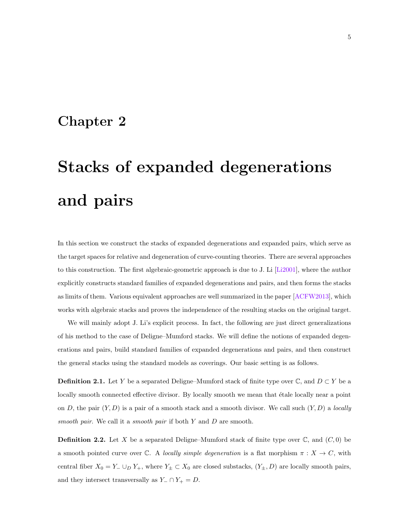### <span id="page-10-0"></span>Chapter 2

# Stacks of expanded degenerations and pairs

In this section we construct the stacks of expanded degenerations and expanded pairs, which serve as the target spaces for relative and degeneration of curve-counting theories. There are several approaches to this construction. The first algebraic-geometric approach is due to J. Li [\[Li2001\]](#page-88-7), where the author explicitly constructs standard families of expanded degenerations and pairs, and then forms the stacks as limits of them. Various equivalent approaches are well summarized in the paper [\[ACFW2013\]](#page-87-7), which works with algebraic stacks and proves the independence of the resulting stacks on the original target.

We will mainly adopt J. Li's explicit process. In fact, the following are just direct generalizations of his method to the case of Deligne–Mumford stacks. We will define the notions of expanded degenerations and pairs, build standard families of expanded degenerations and pairs, and then construct the general stacks using the standard models as coverings. Our basic setting is as follows.

**Definition 2.1.** Let Y be a separated Deligne–Mumford stack of finite type over  $\mathbb{C}$ , and  $D \subset Y$  be a locally smooth connected effective divisor. By locally smooth we mean that étale locally near a point on D, the pair  $(Y, D)$  is a pair of a smooth stack and a smooth divisor. We call such  $(Y, D)$  a locally smooth pair. We call it a smooth pair if both  $Y$  and  $D$  are smooth.

**Definition 2.2.** Let X be a separated Deligne–Mumford stack of finite type over  $\mathbb{C}$ , and  $(C, 0)$  be a smooth pointed curve over C. A locally simple degeneration is a flat morphism  $\pi : X \to C$ , with central fiber  $X_0 = Y_-\cup_D Y_+$ , where  $Y_{\pm}\subset X_0$  are closed substacks,  $(Y_{\pm}, D)$  are locally smooth pairs, and they intersect transversally as  $Y_-\cap Y_+=D$ .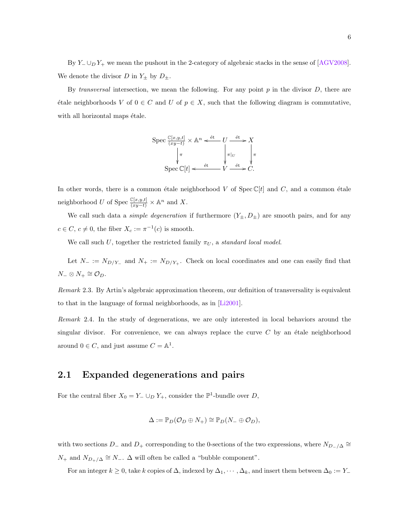By  $Y_-\cup_D Y_+$  we mean the pushout in the 2-category of algebraic stacks in the sense of [\[AGV2008\]](#page-87-3). We denote the divisor D in  $Y_{\pm}$  by  $D_{\pm}$ .

By transversal intersection, we mean the following. For any point  $p$  in the divisor  $D$ , there are  $\forall$  etale neighborhoods V of 0 ∈ C and U of  $p \in X$ , such that the following diagram is commutative, with all horizontal maps  $\acute{e}t$  ale.



In other words, there is a common étale neighborhood V of Spec  $\mathbb{C}[t]$  and C, and a common étale neighborhood U of Spec  $\frac{\mathbb{C}[x,y,t]}{(xy-t)} \times \mathbb{A}^n$  and X.

We call such data a *simple degeneration* if furthermore  $(Y_{\pm}, D_{\pm})$  are smooth pairs, and for any  $c \in C$ ,  $c \neq 0$ , the fiber  $X_c := \pi^{-1}(c)$  is smooth.

We call such U, together the restricted family  $\pi_U$ , a standard local model.

Let  $N_- := N_{D/Y_-}$  and  $N_+ := N_{D/Y_+}$ . Check on local coordinates and one can easily find that  $N_-\otimes N_+\cong \mathcal{O}_D.$ 

Remark 2.3. By Artin's algebraic approximation theorem, our definition of transversality is equivalent to that in the language of formal neighborhoods, as in [\[Li2001\]](#page-88-7).

Remark 2.4. In the study of degenerations, we are only interested in local behaviors around the singular divisor. For convenience, we can always replace the curve  $C$  by an étale neighborhood around  $0 \in C$ , and just assume  $C = \mathbb{A}^1$ .

#### <span id="page-11-0"></span>2.1 Expanded degenerations and pairs

For the central fiber  $X_0 = Y_-\cup_D Y_+$ , consider the  $\mathbb{P}^1$ -bundle over D,

$$
\Delta := \mathbb{P}_D(\mathcal{O}_D \oplus N_+) \cong \mathbb{P}_D(N_- \oplus \mathcal{O}_D),
$$

with two sections  $D_-\$  and  $D_+$  corresponding to the 0-sections of the two expressions, where  $N_{D-}/\Delta \cong$  $N_+$  and  $N_{D_+/\Delta} \cong N_-\Delta$  will often be called a "bubble component".

For an integer  $k \ge 0$ , take k copies of  $\Delta$ , indexed by  $\Delta_1, \cdots, \Delta_k$ , and insert them between  $\Delta_0 := Y_+$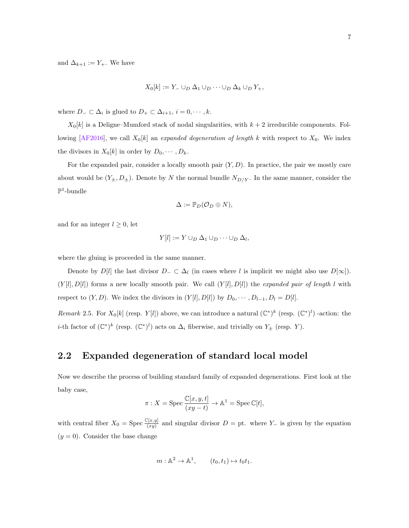and  $\Delta_{k+1} := Y_+$ . We have

$$
X_0[k] := Y_- \cup_D \Delta_1 \cup_D \cdots \cup_D \Delta_k \cup_D Y_+,
$$

where  $D_-\subset \Delta_i$  is glued to  $D_+\subset \Delta_{i+1}, i=0,\cdots,k$ .

 $X_0[k]$  is a Deligne–Mumford stack of nodal singularities, with  $k+2$  irreducible components. Fol-lowing [\[AF2016\]](#page-87-4), we call  $X_0[k]$  an expanded degeneration of length k with respect to  $X_0$ . We index the divisors in  $X_0[k]$  in order by  $D_0, \dots, D_k$ .

For the expanded pair, consider a locally smooth pair  $(Y, D)$ . In practice, the pair we mostly care about would be  $(Y_{\pm}, D_{\pm})$ . Denote by N the normal bundle  $N_{D/Y}$ . In the same manner, consider the  $\mathbb{P}^1$ -bundle

$$
\Delta := \mathbb{P}_D(\mathcal{O}_D \oplus N),
$$

and for an integer  $l \geq 0$ , let

$$
Y[l] := Y \cup_D \Delta_1 \cup_D \cdots \cup_D \Delta_l,
$$

where the gluing is proceeded in the same manner.

Denote by  $D[l]$  the last divisor  $D_-\subset \Delta_l$  (in cases where l is implicit we might also use  $D[\infty]$ ).  $(Y[l], D[l])$  forms a new locally smooth pair. We call  $(Y[l], D[l])$  the *expanded pair of length l* with respect to  $(Y, D)$ . We index the divisors in  $(Y[l], D[l])$  by  $D_0, \dots, D_{l-1}, D_l = D[l]$ .

<span id="page-12-1"></span>Remark 2.5. For  $X_0[k]$  (resp.  $Y[l]$ ) above, we can introduce a natural  $(\mathbb{C}^*)^k$  (resp.  $(\mathbb{C}^*)^l$ ) -action: the *i*-th factor of  $(\mathbb{C}^*)^k$  (resp.  $(\mathbb{C}^*)^l$ ) acts on  $\Delta_i$  fiberwise, and trivially on  $Y_{\pm}$  (resp. Y).

#### <span id="page-12-0"></span>2.2 Expanded degeneration of standard local model

Now we describe the process of building standard family of expanded degenerations. First look at the baby case,

$$
\pi: X=\operatorname{Spec} \frac{\mathbb{C}[x,y,t]}{(xy-t)} \to \mathbb{A}^1=\operatorname{Spec} \mathbb{C}[t],
$$

with central fiber  $X_0 = \text{Spec } \frac{\mathbb{C}[x,y]}{(xy)}$  and singular divisor  $D = \text{pt}$ . where Y<sub>−</sub> is given by the equation  $(y = 0)$ . Consider the base change

$$
m: \mathbb{A}^2 \to \mathbb{A}^1, \qquad (t_0, t_1) \mapsto t_0 t_1.
$$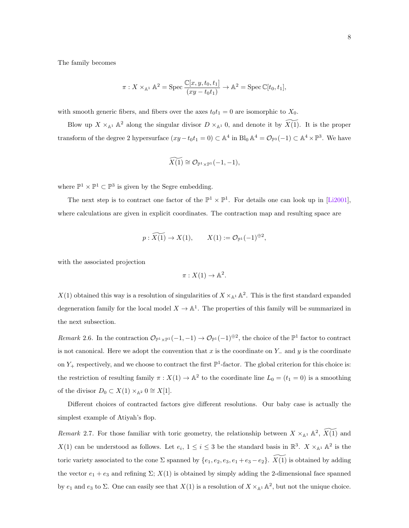The family becomes

$$
\pi: X \times_{\mathbb{A}^1} \mathbb{A}^2 = \text{Spec } \frac{\mathbb{C}[x, y, t_0, t_1]}{(xy - t_0 t_1)} \to \mathbb{A}^2 = \text{Spec } \mathbb{C}[t_0, t_1],
$$

with smooth generic fibers, and fibers over the axes  $t_0t_1 = 0$  are isomorphic to  $X_0$ .

Blow up  $X \times_{\mathbb{A}^1} \mathbb{A}^2$  along the singular divisor  $D \times_{\mathbb{A}^1} 0$ , and denote it by  $\widetilde{X(1)}$ . It is the proper transform of the degree 2 hypersurface  $(xy-t_0t_1=0) \subset \mathbb{A}^4$  in  $\text{Bl}_0 \mathbb{A}^4 = \mathcal{O}_{\mathbb{P}^3}(-1) \subset \mathbb{A}^4 \times \mathbb{P}^3$ . We have

$$
\widetilde{X(1)} \cong \mathcal{O}_{\mathbb{P}^1 \times \mathbb{P}^1}(-1,-1),
$$

where  $\mathbb{P}^1 \times \mathbb{P}^1 \subset \mathbb{P}^3$  is given by the Segre embedding.

The next step is to contract one factor of the  $\mathbb{P}^1 \times \mathbb{P}^1$ . For details one can look up in [\[Li2001\]](#page-88-7), where calculations are given in explicit coordinates. The contraction map and resulting space are

$$
p: \widetilde{X(1)} \to X(1), \qquad X(1) := \mathcal{O}_{\mathbb{P}^1}(-1)^{\oplus 2},
$$

with the associated projection

$$
\pi: X(1) \to \mathbb{A}^2.
$$

 $X(1)$  obtained this way is a resolution of singularities of  $X \times_{\mathbb{A}^1} \mathbb{A}^2$ . This is the first standard expanded degeneration family for the local model  $X \to \mathbb{A}^1$ . The properties of this family will be summarized in the next subsection.

Remark 2.6. In the contraction  $\mathcal{O}_{\mathbb{P}^1\times\mathbb{P}^1}(-1,-1)\to\mathcal{O}_{\mathbb{P}^1}(-1)^{\oplus 2}$ , the choice of the  $\mathbb{P}^1$  factor to contract is not canonical. Here we adopt the convention that x is the coordinate on Y<sub>−</sub> and y is the coordinate on  $Y_+$  respectively, and we choose to contract the first  $\mathbb{P}^1$ -factor. The global criterion for this choice is: the restriction of resulting family  $\pi: X(1) \to \mathbb{A}^2$  to the coordinate line  $L_0 = (t_1 = 0)$  is a smoothing of the divisor  $D_0 \subset X(1) \times_{\mathbb{A}^2} 0 \cong X[1]$ .

Different choices of contracted factors give different resolutions. Our baby case is actually the simplest example of Atiyah's flop.

Remark 2.7. For those familiar with toric geometry, the relationship between  $X \times_{\mathbb{A}^1} \mathbb{A}^2$ ,  $\widetilde{X(1)}$  and  $X(1)$  can be understood as follows. Let  $e_i$ ,  $1 \leq i \leq 3$  be the standard basis in  $\mathbb{R}^3$ .  $X \times_{\mathbb{A}^1} \mathbb{A}^2$  is the toric variety associated to the cone  $\Sigma$  spanned by  $\{e_1, e_2, e_3, e_1 + e_3 - e_2\}$ .  $\widetilde{X(1)}$  is obtained by adding the vector  $e_1 + e_3$  and refining  $\Sigma$ ;  $X(1)$  is obtained by simply adding the 2-dimensional face spanned by  $e_1$  and  $e_3$  to  $\Sigma$ . One can easily see that  $X(1)$  is a resolution of  $X \times_{\mathbb{A}^1} \mathbb{A}^2$ , but not the unique choice.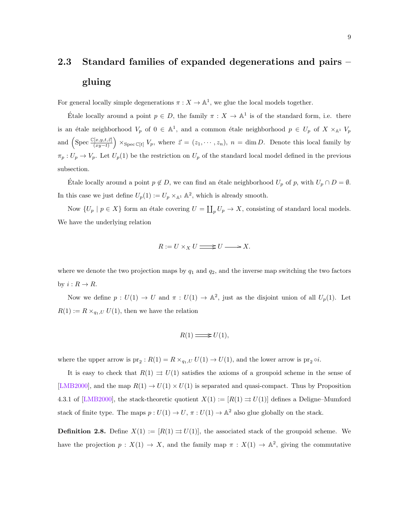## <span id="page-14-0"></span>2.3 Standard families of expanded degenerations and pairs – gluing

For general locally simple degenerations  $\pi : X \to \mathbb{A}^1$ , we glue the local models together.

Etale locally around a point  $p \in D$ , the family  $\pi : X \to \mathbb{A}^1$  is of the standard form, i.e. there is an étale neighborhood  $V_p$  of  $0 \in A^1$ , and a common étale neighborhood  $p \in U_p$  of  $X \times_{A^1} V_p$ and  $\left(\text{Spec }\frac{\mathbb{C}[x,y,t,\vec{z}]}{(xy-t)}\right) \times_{\text{Spec }\mathbb{C}[t]} V_p$ , where  $\vec{z} = (z_1,\dots,z_n)$ ,  $n = \dim D$ . Denote this local family by  $\pi_p: U_p \to V_p$ . Let  $U_p(1)$  be the restriction on  $U_p$  of the standard local model defined in the previous subsection.

Etale locally around a point  $p \notin D$ , we can find an étale neighborhood  $U_p$  of p, with  $U_p \cap D = \emptyset$ . In this case we just define  $U_p(1) := U_p \times_{\mathbb{A}^1} \mathbb{A}^2$ , which is already smooth.

Now  $\{U_p \mid p \in X\}$  form an étale covering  $U = \coprod_p U_p \to X$ , consisting of standard local models. We have the underlying relation

$$
R := U \times_X U \longrightarrow U \longrightarrow X.
$$

where we denote the two projection maps by  $q_1$  and  $q_2$ , and the inverse map switching the two factors by  $i: R \to R$ .

Now we define  $p: U(1) \to U$  and  $\pi: U(1) \to \mathbb{A}^2$ , just as the disjoint union of all  $U_p(1)$ . Let  $R(1) := R \times_{q_1,U} U(1)$ , then we have the relation

$$
R(1) \mathop{\Longrightarrow}\limits^{}} U(1),
$$

where the upper arrow is  $pr_2: R(1) = R \times_{q_1,U} U(1) \to U(1)$ , and the lower arrow is  $pr_2 \circ i$ .

It is easy to check that  $R(1) \Rightarrow U(1)$  satisfies the axioms of a groupoid scheme in the sense of [\[LMB2000\]](#page-88-8), and the map  $R(1) \rightarrow U(1) \times U(1)$  is separated and quasi-compact. Thus by Proposition 4.3.1 of [\[LMB2000\]](#page-88-8), the stack-theoretic quotient  $X(1) := [R(1) \Rightarrow U(1)]$  defines a Deligne–Mumford stack of finite type. The maps  $p: U(1) \to U$ ,  $\pi: U(1) \to \mathbb{A}^2$  also glue globally on the stack.

**Definition 2.8.** Define  $X(1) := [R(1) \Rightarrow U(1)]$ , the associated stack of the groupoid scheme. We have the projection  $p: X(1) \to X$ , and the family map  $\pi: X(1) \to \mathbb{A}^2$ , giving the commutative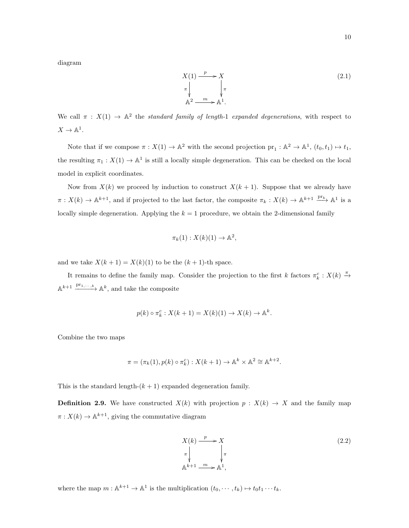diagram

$$
X(1) \xrightarrow{p} X
$$
  
\n
$$
\pi \downarrow \qquad \qquad \downarrow \pi
$$
  
\n
$$
\mathbb{A}^2 \xrightarrow{m} \mathbb{A}^1.
$$
\n(2.1)

We call  $\pi$  :  $X(1) \to \mathbb{A}^2$  the standard family of length-1 expanded degenerations, with respect to  $X \to \mathbb{A}^1$ .

Note that if we compose  $\pi : X(1) \to \mathbb{A}^2$  with the second projection  $\text{pr}_1 : \mathbb{A}^2 \to \mathbb{A}^1$ ,  $(t_0, t_1) \mapsto t_1$ , the resulting  $\pi_1 : X(1) \to \mathbb{A}^1$  is still a locally simple degeneration. This can be checked on the local model in explicit coordinates.

Now from  $X(k)$  we proceed by induction to construct  $X(k + 1)$ . Suppose that we already have  $\pi: X(k) \to \mathbb{A}^{k+1}$ , and if projected to the last factor, the composite  $\pi_k: X(k) \to \mathbb{A}^{k+1} \xrightarrow{\text{pr}_k} \mathbb{A}^1$  is a locally simple degeneration. Applying the  $k = 1$  procedure, we obtain the 2-dimensional family

$$
\pi_k(1): X(k)(1) \to \mathbb{A}^2,
$$

and we take  $X(k + 1) = X(k)(1)$  to be the  $(k + 1)$ -th space.

It remains to define the family map. Consider the projection to the first k factors  $\pi_k^c$ :  $X(k) \stackrel{\pi}{\rightarrow}$  $\mathbb{A}^{k+1} \xrightarrow{\text{pr}_{1,\cdots,k}} \mathbb{A}^{k}$ , and take the composite

$$
p(k) \circ \pi_k^c : X(k+1) = X(k)(1) \to X(k) \to \mathbb{A}^k.
$$

Combine the two maps

$$
\pi = (\pi_k(1), p(k) \circ \pi_k^c) : X(k+1) \to \mathbb{A}^k \times \mathbb{A}^2 \cong \mathbb{A}^{k+2}.
$$

This is the standard length- $(k + 1)$  expanded degeneration family.

**Definition 2.9.** We have constructed  $X(k)$  with projection  $p : X(k) \rightarrow X$  and the family map  $\pi: X(k) \to \mathbb{A}^{k+1}$ , giving the commutative diagram

<span id="page-15-0"></span>
$$
X(k) \xrightarrow{p} X
$$
  
\n
$$
\pi \downarrow \qquad \qquad \downarrow \pi
$$
  
\n
$$
\mathbb{A}^{k+1} \xrightarrow{m} \mathbb{A}^1,
$$
\n
$$
(2.2)
$$

where the map  $m : \mathbb{A}^{k+1} \to \mathbb{A}^1$  is the multiplication  $(t_0, \dots, t_k) \mapsto t_0 t_1 \dots t_k$ .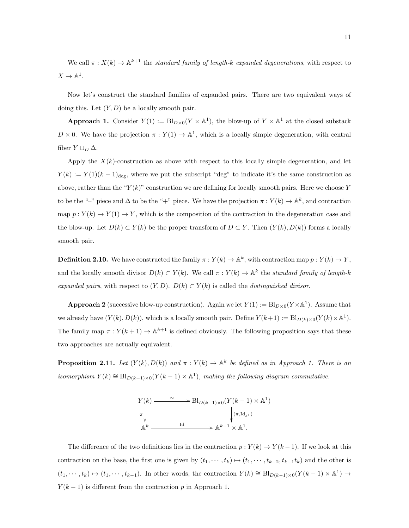We call  $\pi: X(k) \to \mathbb{A}^{k+1}$  the standard family of length-k expanded degenerations, with respect to  $X \to \mathbb{A}^1$ .

Now let's construct the standard families of expanded pairs. There are two equivalent ways of doing this. Let  $(Y, D)$  be a locally smooth pair.

**Approach 1.** Consider  $Y(1) := \text{Bl}_{D\times 0}(Y \times \mathbb{A}^1)$ , the blow-up of  $Y \times \mathbb{A}^1$  at the closed substack  $D \times 0$ . We have the projection  $\pi : Y(1) \to \mathbb{A}^1$ , which is a locally simple degeneration, with central fiber  $Y \cup_D \Delta$ .

Apply the  $X(k)$ -construction as above with respect to this locally simple degeneration, and let  $Y(k) := Y(1)(k-1)_{\text{deg}}$ , where we put the subscript "deg" to indicate it's the same construction as above, rather than the " $Y(k)$ " construction we are defining for locally smooth pairs. Here we choose Y to be the "-" piece and  $\Delta$  to be the "+" piece. We have the projection  $\pi: Y(k) \to \mathbb{A}^k$ , and contraction map  $p: Y(k) \to Y(1) \to Y$ , which is the composition of the contraction in the degeneration case and the blow-up. Let  $D(k) \subset Y(k)$  be the proper transform of  $D \subset Y$ . Then  $(Y(k), D(k))$  forms a locally smooth pair.

**Definition 2.10.** We have constructed the family  $\pi : Y(k) \to \mathbb{A}^k$ , with contraction map  $p : Y(k) \to Y$ , and the locally smooth divisor  $D(k) \subset Y(k)$ . We call  $\pi : Y(k) \to \mathbb{A}^k$  the standard family of length-k expanded pairs, with respect to  $(Y, D)$ .  $D(k) \subset Y(k)$  is called the distinguished divisor.

**Approach 2** (successive blow-up construction). Again we let  $Y(1) := \text{Bl}_{D\times 0}(Y\times \mathbb{A}^1)$ . Assume that we already have  $(Y(k), D(k))$ , which is a locally smooth pair. Define  $Y(k+1) := \text{Bl}_{D(k) \times 0}(Y(k) \times \mathbb{A}^1)$ . The family map  $\pi: Y(k+1) \to \mathbb{A}^{k+1}$  is defined obviously. The following proposition says that these two approaches are actually equivalent.

**Proposition 2.11.** Let  $(Y(k), D(k))$  and  $\pi : Y(k) \to \mathbb{A}^k$  be defined as in Approach 1. There is an isomorphism  $Y(k) \cong \text{Bl}_{D(k-1)\times 0}(Y(k-1) \times \mathbb{A}^1)$ , making the following diagram commutative.

$$
Y(k) \longrightarrow Bl_{D(k-1)\times 0}(Y(k-1)\times \mathbb{A}^{1})
$$
  
\n
$$
\uparrow \qquad \qquad \downarrow (\pi, \mathrm{Id}_{\mathbb{A}^{1}})
$$
  
\n
$$
\mathbb{A}^{k} \longrightarrow \mathbb{A}^{k-1} \times \mathbb{A}^{1}.
$$

The difference of the two definitions lies in the contraction  $p: Y(k) \to Y(k-1)$ . If we look at this contraction on the base, the first one is given by  $(t_1, \dots, t_k) \mapsto (t_1, \dots, t_{k-2}, t_{k-1}t_k)$  and the other is  $(t_1, \dots, t_k) \mapsto (t_1, \dots, t_{k-1})$ . In other words, the contraction  $Y(k) \cong \text{Bl}_{D(k-1)\times 0}(Y(k-1)\times \mathbb{A}^1) \to$  $Y(k-1)$  is different from the contraction p in Approach 1.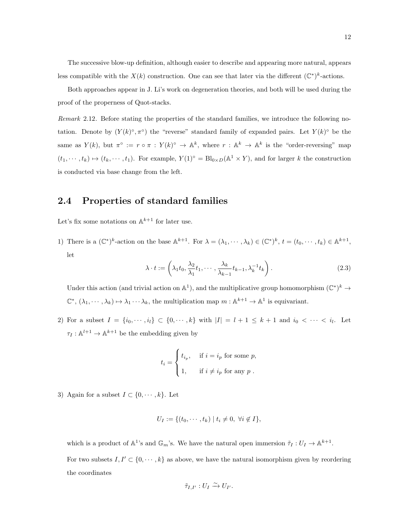The successive blow-up definition, although easier to describe and appearing more natural, appears less compatible with the  $X(k)$  construction. One can see that later via the different  $(\mathbb{C}^*)^k$ -actions.

Both approaches appear in J. Li's work on degeneration theories, and both will be used during the proof of the properness of Quot-stacks.

Remark 2.12. Before stating the properties of the standard families, we introduce the following notation. Denote by  $(Y(k)^\circ, \pi^\circ)$  the "reverse" standard family of expanded pairs. Let  $Y(k)^\circ$  be the same as  $Y(k)$ , but  $\pi^{\circ} := r \circ \pi : Y(k)^{\circ} \to \mathbb{A}^{k}$ , where  $r : \mathbb{A}^{k} \to \mathbb{A}^{k}$  is the "order-reversing" map  $(t_1, \dots, t_k) \mapsto (t_k, \dots, t_1)$ . For example,  $Y(1)^\circ = \text{Bl}_{0 \times D}(\mathbb{A}^1 \times Y)$ , and for larger k the construction is conducted via base change from the left.

#### <span id="page-17-0"></span>2.4 Properties of standard families

Let's fix some notations on  $\mathbb{A}^{k+1}$  for later use.

1) There is a  $(\mathbb{C}^*)^k$ -action on the base  $\mathbb{A}^{k+1}$ . For  $\lambda = (\lambda_1, \dots, \lambda_k) \in (\mathbb{C}^*)^k$ ,  $t = (t_0, \dots, t_k) \in \mathbb{A}^{k+1}$ , let

$$
\lambda \cdot t := \left(\lambda_1 t_0, \frac{\lambda_2}{\lambda_1} t_1, \cdots, \frac{\lambda_k}{\lambda_{k-1}} t_{k-1}, \lambda_k^{-1} t_k\right). \tag{2.3}
$$

Under this action (and trivial action on  $\mathbb{A}^1$ ), and the multiplicative group homomorphism  $(\mathbb{C}^*)^k \to$  $\mathbb{C}^*, (\lambda_1, \dots, \lambda_k) \mapsto \lambda_1 \dots \lambda_k$ , the multiplication map  $m : \mathbb{A}^{k+1} \to \mathbb{A}^1$  is equivariant.

2) For a subset  $I = \{i_0, \dots, i_l\} \subset \{0, \dots, k\}$  with  $|I| = l + 1 \leq k + 1$  and  $i_0 < \dots < i_l$ . Let  $\tau_I : \mathbb{A}^{l+1} \to \mathbb{A}^{k+1}$  be the embedding given by

$$
t_i = \begin{cases} t_{i_p}, & \text{if } i = i_p \text{ for some } p, \\ 1, & \text{if } i \neq i_p \text{ for any } p. \end{cases}
$$

3) Again for a subset  $I \subset \{0, \dots, k\}$ . Let

$$
U_I := \{ (t_0, \cdots, t_k) \mid t_i \neq 0, \ \forall i \notin I \},
$$

which is a product of  $\mathbb{A}^1$ 's and  $\mathbb{G}_m$ 's. We have the natural open immersion  $\tilde{\tau}_I: U_I \to \mathbb{A}^{k+1}$ . For two subsets  $I, I' \subset \{0, \dots, k\}$  as above, we have the natural isomorphism given by reordering the coordinates

$$
\tilde{\tau}_{I,I'}: U_I \xrightarrow{\sim} U_{I'}.
$$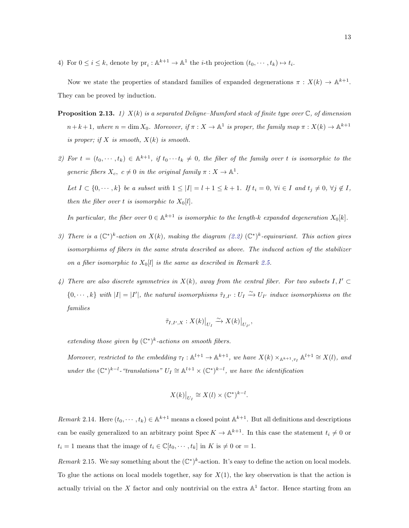4) For  $0 \le i \le k$ , denote by  $\text{pr}_i : \mathbb{A}^{k+1} \to \mathbb{A}^1$  the *i*-th projection  $(t_0, \dots, t_k) \mapsto t_i$ .

Now we state the properties of standard families of expanded degenerations  $\pi : X(k) \to \mathbb{A}^{k+1}$ . They can be proved by induction.

- **Proposition 2.13.** 1)  $X(k)$  is a separated Deligne–Mumford stack of finite type over  $\mathbb{C}$ , of dimension  $n+k+1$ , where  $n=\dim X_0$ . Moreover, if  $\pi:X\to \mathbb{A}^1$  is proper, the family map  $\pi:X(k)\to \mathbb{A}^{k+1}$ is proper; if X is smooth,  $X(k)$  is smooth.
- 2) For  $t = (t_0, \dots, t_k) \in \mathbb{A}^{k+1}$ , if  $t_0 \dots t_k \neq 0$ , the fiber of the family over t is isomorphic to the generic fibers  $X_c, c \neq 0$  in the original family  $\pi : X \to \mathbb{A}^1$ .

Let  $I \subset \{0, \dots, k\}$  be a subset with  $1 \leq |I| = l + 1 \leq k + 1$ . If  $t_i = 0$ ,  $\forall i \in I$  and  $t_j \neq 0$ ,  $\forall j \notin I$ , then the fiber over t is isomorphic to  $X_0[l]$ .

In particular, the fiber over  $0 \in \mathbb{A}^{k+1}$  is isomorphic to the length-k expanded degeneration  $X_0[k]$ .

- 3) There is a  $(\mathbb{C}^*)^k$ -action on  $X(k)$ , making the diagram  $(2.2)$   $(\mathbb{C}^*)^k$ -equivariant. This action gives isomorphisms of fibers in the same strata described as above. The induced action of the stabilizer on a fiber isomorphic to  $X_0[l]$  is the same as described in Remark [2.5.](#page-12-1)
- 4) There are also discrete symmetries in  $X(k)$ , away from the central fiber. For two subsets  $I, I' \subset$  $\{0,\dots,k\}$  with  $|I|=|I'|$ , the natural isomorphisms  $\tilde{\tau}_{I,I'}: U_I \xrightarrow{\sim} U_{I'}$  induce isomorphisms on the families

$$
\tilde{\tau}_{I,I',X}:X(k)\big|_{U_I}\xrightarrow{\sim} X(k)\big|_{U_{I'}},
$$

extending those given by  $(\mathbb{C}^*)^k$ -actions on smooth fibers.

Moreover, restricted to the embedding  $\tau_I : \mathbb{A}^{l+1} \to \mathbb{A}^{k+1}$ , we have  $X(k) \times_{\mathbb{A}^{k+1}, \tau_I} \mathbb{A}^{l+1} \cong X(l)$ , and under the  $(\mathbb{C}^*)^{k-l}$ -"translations"  $U_I \cong \mathbb{A}^{l+1} \times (\mathbb{C}^*)^{k-l}$ , we have the identification

$$
X(k)|_{U_I} \cong X(l) \times (\mathbb{C}^*)^{k-l}.
$$

Remark 2.14. Here  $(t_0, \dots, t_k) \in \mathbb{A}^{k+1}$  means a closed point  $\mathbb{A}^{k+1}$ . But all definitions and descriptions can be easily generalized to an arbitrary point  $\text{Spec } K \to \mathbb{A}^{k+1}$ . In this case the statement  $t_i \neq 0$  or  $t_i = 1$  means that the image of  $t_i \in \mathbb{C}[t_0, \dots, t_k]$  in  $K$  is  $\neq 0$  or  $= 1$ .

Remark 2.15. We say something about the  $(\mathbb{C}^*)^k$ -action. It's easy to define the action on local models. To glue the actions on local models together, say for  $X(1)$ , the key observation is that the action is actually trivial on the X factor and only nontrivial on the extra  $\mathbb{A}^1$  factor. Hence starting from an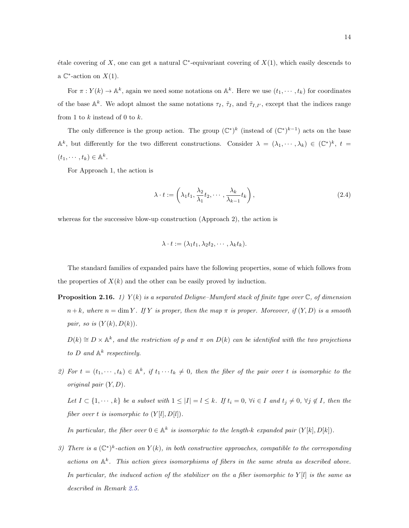étale covering of X, one can get a natural  $\mathbb{C}^*$ -equivariant covering of  $X(1)$ , which easily descends to a  $\mathbb{C}^*$ -action on  $X(1)$ .

For  $\pi: Y(k) \to \mathbb{A}^k$ , again we need some notations on  $\mathbb{A}^k$ . Here we use  $(t_1, \dots, t_k)$  for coordinates of the base  $\mathbb{A}^k$ . We adopt almost the same notations  $\tau_I$ ,  $\tilde{\tau}_I$ , and  $\tilde{\tau}_{I,I'}$ , except that the indices range from 1 to  $k$  instead of 0 to  $k$ .

The only difference is the group action. The group  $(\mathbb{C}^*)^k$  (instead of  $(\mathbb{C}^*)^{k-1}$ ) acts on the base  $\mathbb{A}^k$ , but differently for the two different constructions. Consider  $\lambda = (\lambda_1, \dots, \lambda_k) \in (\mathbb{C}^*)^k$ ,  $t =$  $(t_1, \cdots, t_k) \in \mathbb{A}^k$ .

For Approach 1, the action is

$$
\lambda \cdot t := \left(\lambda_1 t_1, \frac{\lambda_2}{\lambda_1} t_2, \cdots, \frac{\lambda_k}{\lambda_{k-1}} t_k\right),\tag{2.4}
$$

whereas for the successive blow-up construction (Approach 2), the action is

$$
\lambda \cdot t := (\lambda_1 t_1, \lambda_2 t_2, \cdots, \lambda_k t_k).
$$

The standard families of expanded pairs have the following properties, some of which follows from the properties of  $X(k)$  and the other can be easily proved by induction.

- **Proposition 2.16.** 1)  $Y(k)$  is a separated Deligne–Mumford stack of finite type over  $\mathbb{C}$ , of dimension  $n+k$ , where  $n=\dim Y$ . If Y is proper, then the map  $\pi$  is proper. Moreover, if  $(Y, D)$  is a smooth pair, so is  $(Y(k), D(k))$ .
	- $D(k) \cong D \times \mathbb{A}^k$ , and the restriction of p and  $\pi$  on  $D(k)$  can be identified with the two projections to D and  $\mathbb{A}^k$  respectively.
- 2) For  $t = (t_1, \dots, t_k) \in \mathbb{A}^k$ , if  $t_1 \dots t_k \neq 0$ , then the fiber of the pair over t is isomorphic to the original pair  $(Y, D)$ .

Let  $I \subset \{1, \dots, k\}$  be a subset with  $1 \leq |I| = l \leq k$ . If  $t_i = 0$ ,  $\forall i \in I$  and  $t_j \neq 0$ ,  $\forall j \notin I$ , then the fiber over t is isomorphic to  $(Y[l], D[l])$ .

In particular, the fiber over  $0 \in \mathbb{A}^k$  is isomorphic to the length-k expanded pair  $(Y[k], D[k])$ .

3) There is a  $(\mathbb{C}^*)^k$ -action on  $Y(k)$ , in both constructive approaches, compatible to the corresponding actions on  $\mathbb{A}^k$ . This action gives isomorphisms of fibers in the same strata as described above. In particular, the induced action of the stabilizer on the a fiber isomorphic to  $Y[l]$  is the same as described in Remark [2.5.](#page-12-1)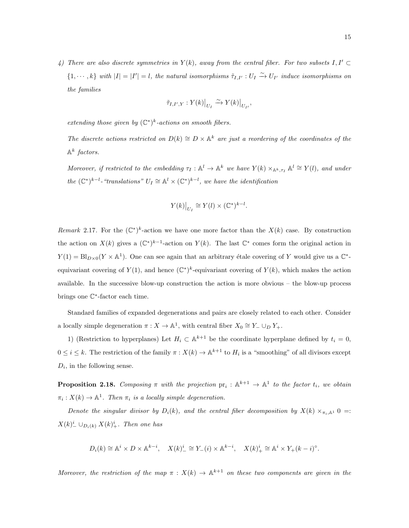4) There are also discrete symmetries in  $Y(k)$ , away from the central fiber. For two subsets  $I, I' \subset I$  $\{1,\dots,k\}$  with  $|I|=|I'|=l$ , the natural isomorphisms  $\tilde{\tau}_{I,I'}:U_I\overset{\sim}{\to} U_{I'}$  induce isomorphisms on the families

$$
\tilde{\tau}_{I,I',Y}:Y(k)\big|_{U_I}\xrightarrow{\sim}Y(k)\big|_{U_{I'}},
$$

extending those given by  $(\mathbb{C}^*)^k$ -actions on smooth fibers.

The discrete actions restricted on  $D(k) \cong D \times \mathbb{A}^k$  are just a reordering of the coordinates of the  $\mathbb{A}^k$  factors.

Moreover, if restricted to the embedding  $\tau_I : \mathbb{A}^l \to \mathbb{A}^k$  we have  $Y(k) \times_{\mathbb{A}^k, \tau_I} \mathbb{A}^l \cong Y(l)$ , and under the  $(\mathbb{C}^*)^{k-l}$ -"translations"  $U_I \cong \mathbb{A}^l \times (\mathbb{C}^*)^{k-l}$ , we have the identification

$$
Y(k)|_{U_I} \cong Y(l) \times (\mathbb{C}^*)^{k-l}.
$$

Remark 2.17. For the  $(\mathbb{C}^*)^k$ -action we have one more factor than the  $X(k)$  case. By construction the action on  $X(k)$  gives a  $(\mathbb{C}^*)^{k-1}$ -action on  $Y(k)$ . The last  $\mathbb{C}^*$  comes form the original action in  $Y(1) = \text{Bl}_{D\times 0}(Y \times \mathbb{A}^{1})$ . One can see again that an arbitrary étale covering of Y would give us a  $\mathbb{C}^{*}$ equivariant covering of  $Y(1)$ , and hence  $(\mathbb{C}^*)^k$ -equivariant covering of  $Y(k)$ , which makes the action available. In the successive blow-up construction the action is more obvious – the blow-up process brings one C ∗ -factor each time.

Standard families of expanded degenerations and pairs are closely related to each other. Consider a locally simple degeneration  $\pi : X \to \mathbb{A}^1$ , with central fiber  $X_0 \cong Y_- \cup_D Y_+$ .

1) (Restriction to hyperplanes) Let  $H_i \subset \mathbb{A}^{k+1}$  be the coordinate hyperplane defined by  $t_i = 0$ ,  $0 \leq i \leq k$ . The restriction of the family  $\pi: X(k) \to \mathbb{A}^{k+1}$  to  $H_i$  is a "smoothing" of all divisors except  $D_i$ , in the following sense.

**Proposition 2.18.** Composing  $\pi$  with the projection  $pr_i : \mathbb{A}^{k+1} \to \mathbb{A}^1$  to the factor  $t_i$ , we obtain  $\pi_i: X(k) \to \mathbb{A}^1$ . Then  $\pi_i$  is a locally simple degeneration.

Denote the singular divisor by  $D_i(k)$ , and the central fiber decomposition by  $X(k) \times_{\pi_i,k} 0 =$ :  $X(k)_{-}^{i} \cup_{D_i(k)} X(k)_{+}^{i}$ . Then one has

$$
D_i(k) \cong \mathbb{A}^i \times D \times \mathbb{A}^{k-i}, \quad X(k)^i_{-} \cong Y_{-}(i) \times \mathbb{A}^{k-i}, \quad X(k)^i_{+} \cong \mathbb{A}^i \times Y_{+}(k-i)^{\circ}.
$$

Moreover, the restriction of the map  $\pi : X(k) \to \mathbb{A}^{k+1}$  on these two components are given in the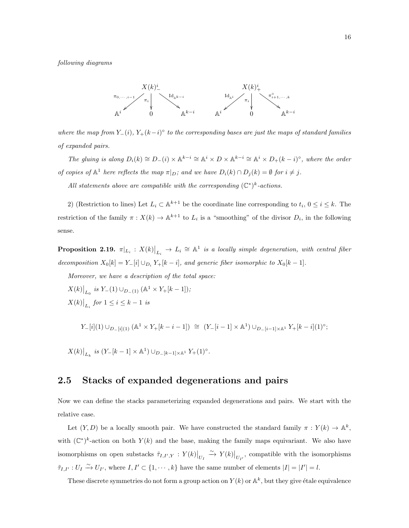following diagrams



where the map from  $Y_-(i)$ ,  $Y_+(k-i)^\circ$  to the corresponding bases are just the maps of standard families of expanded pairs.

The gluing is along  $D_i(k) \cong D_-(i) \times \mathbb{A}^{k-i} \cong \mathbb{A}^i \times D \times \mathbb{A}^{k-i} \cong \mathbb{A}^i \times D_+(k-i)^\circ$ , where the order of copies of  $\mathbb{A}^1$  here reflects the map  $\pi|_D$ ; and we have  $D_i(k) \cap D_j(k) = \emptyset$  for  $i \neq j$ .

All statements above are compatible with the corresponding  $(\mathbb{C}^*)^k$ -actions.

2) (Restriction to lines) Let  $L_i \subset \mathbb{A}^{k+1}$  be the coordinate line corresponding to  $t_i, 0 \le i \le k$ . The restriction of the family  $\pi: X(k) \to \mathbb{A}^{k+1}$  to  $L_i$  is a "smoothing" of the divisor  $D_i$ , in the following sense.

**Proposition 2.19.**  $\pi|_{L_i}: X(k)|_{L_i} \to L_i \cong \mathbb{A}^1$  is a locally simple degeneration, with central fiber decomposition  $X_0[k] = Y_0[i] \cup_{D_i} Y_+[k-i]$ , and generic fiber isomorphic to  $X_0[k-1]$ .

Moreover, we have a description of the total space:

 $X(k)\big|_{L_0}$  is  $Y_-(1) \cup_{D_-(1)} (\mathbb{A}^1 \times Y_+[k-1]);$  $X(k)|_{L_i}$  for  $1 \leq i \leq k-1$  is

$$
Y_{-}[i](1) \cup_{D_{-}[i](1)} (\mathbb{A}^1 \times Y_{+}[k-i-1]) \cong (Y_{-}[i-1] \times \mathbb{A}^1) \cup_{D_{-}[i-1] \times \mathbb{A}^1} Y_{+}[k-i](1)^{\circ};
$$

 $X(k)|_{L_k}$  is  $(Y-[k-1] \times \mathbb{A}^1) \cup_{D-[k-1] \times \mathbb{A}^1} Y_+(1)^\circ$ .

#### <span id="page-21-0"></span>2.5 Stacks of expanded degenerations and pairs

Now we can define the stacks parameterizing expanded degenerations and pairs. We start with the relative case.

Let  $(Y, D)$  be a locally smooth pair. We have constructed the standard family  $\pi : Y(k) \to \mathbb{A}^k$ , with  $(\mathbb{C}^*)^k$ -action on both  $Y(k)$  and the base, making the family maps equivariant. We also have isomorphisms on open substacks  $\tilde{\tau}_{I,I',Y}: Y(k)|_{U_I} \overset{\sim}{\to} Y(k)|_{U_{I'}}$ , compatible with the isomorphisms  $\tilde{\tau}_{I,I'}: U_I \xrightarrow{\sim} U_{I'}$ , where  $I, I' \subset \{1, \cdots, k\}$  have the same number of elements  $|I| = |I'| = l$ .

These discrete symmetries do not form a group action on  $Y(k)$  or  $\mathbb{A}^k$ , but they give étale equivalence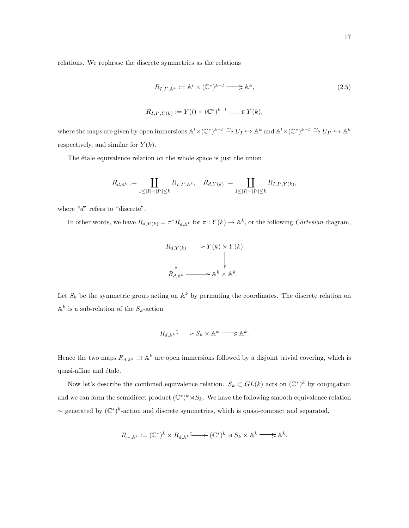relations. We rephrase the discrete symmetries as the relations

$$
R_{I,I',\mathbb{A}^k} := \mathbb{A}^l \times (\mathbb{C}^*)^{k-l} \Longrightarrow \mathbb{A}^k,
$$
  

$$
R_{I,I',Y(k)} := Y(l) \times (\mathbb{C}^*)^{k-l} \Longrightarrow Y(k),
$$
  

$$
(2.5)
$$

where the maps are given by open immersions  $\mathbb{A}^l \times (\mathbb{C}^*)^{k-l} \xrightarrow{\sim} U_I \hookrightarrow \mathbb{A}^k$  and  $\mathbb{A}^l \times (\mathbb{C}^*)^{k-l} \xrightarrow{\sim} U_{I'} \hookrightarrow \mathbb{A}^k$ respectively, and similar for  $Y(k)$ .

The étale equivalence relation on the whole space is just the union

$$
R_{d,{\mathbb A}^k}:=\coprod_{1\leq |I|=|I'|\leq k}R_{I,I',{\mathbb A}^k},\quad R_{d,Y(k)}:=\coprod_{1\leq |I|=|I'|\leq k}R_{I,I',Y(k)},
$$

where " $d$ " refers to "discrete".

In other words, we have  $R_{d,Y(k)} = \pi^* R_{d,\mathbb{A}^k}$  for  $\pi: Y(k) \to \mathbb{A}^k$ , or the following *Cartesian* diagram,

$$
R_{d,Y(k)} \longrightarrow Y(k) \times Y(k)
$$
  
\n
$$
\downarrow \qquad \qquad \downarrow
$$
  
\n
$$
R_{d,\mathbb{A}^k} \longrightarrow \mathbb{A}^k \times \mathbb{A}^k.
$$

Let  $S_k$  be the symmetric group acting on  $\mathbb{A}^k$  by permuting the coordinates. The discrete relation on  $\mathbb{A}^k$  is a sub-relation of the  $S_k$ -action

$$
R_{d,\mathbb{A}^k} \longrightarrow S_k \times \mathbb{A}^k \longrightarrow \mathbb{A}^k.
$$

Hence the two maps  $R_{d,\mathbb{A}^k} \rightrightarrows \mathbb{A}^k$  are open immersions followed by a disjoint trivial covering, which is quasi-affine and étale.

Now let's describe the combined equivalence relation.  $S_k \subset GL(k)$  acts on  $(\mathbb{C}^*)^k$  by conjugation and we can form the semidirect product  $(\mathbb{C}^*)^k \rtimes S_k$ . We have the following smooth equivalence relation  $\sim$  generated by  $(\mathbb{C}^*)^k$ -action and discrete symmetries, which is quasi-compact and separated,

$$
R_{\sim,\mathbb{A}^k}:= (\mathbb{C}^*)^k \times R_{d,\mathbb{A}^k} \text{Mone}(\mathbb{C}^*)^k \rtimes S_k \times \mathbb{A}^k \Longrightarrow \mathbb{A}^k.
$$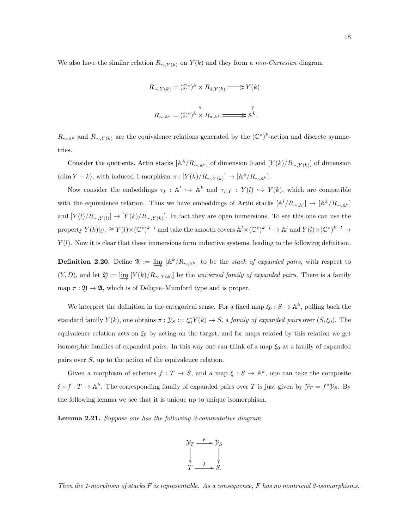We also have the similar relation  $R_{\sim Y(k)}$  on  $Y(k)$  and they form a non-Cartesian diagram

$$
R_{\sim, Y(k)} = (\mathbb{C}^*)^k \times R_{d, Y(k)} \Longrightarrow Y(k)
$$
  
\n
$$
\downarrow \qquad \qquad \downarrow
$$
  
\n
$$
R_{\sim, \mathbb{A}^k} = (\mathbb{C}^*)^k \times R_{d, \mathbb{A}^k} \Longrightarrow \mathbb{A}^k.
$$

 $R_{\sim, \mathbb{A}^k}$  and  $R_{\sim, Y(k)}$  are the equivalence relations generated by the  $(\mathbb{C}^*)^k$ -action and discrete symmetries.

Consider the quotients, Artin stacks  $[\mathbb{A}^k/R_{\sim,\mathbb{A}^k}]$  of dimension 0 and  $[Y(k)/R_{\sim,Y(k)}]$  of dimension  $(\dim Y - k)$ , with induced 1-morphism  $\pi : [Y(k)/R_{\sim, Y(k)}] \to [\mathbb{A}^k/R_{\sim, \mathbb{A}^k}].$ 

Now consider the embeddings  $\tau_I : \mathbb{A}^l \hookrightarrow \mathbb{A}^k$  and  $\tau_{I,Y} : Y(l) \hookrightarrow Y(k)$ , which are compatible with the equivalence relation. Thus we have embeddings of Artin stacks  $[\mathbb{A}^l/R_{\sim,\mathbb{A}^l}] \to [\mathbb{A}^k/R_{\sim,\mathbb{A}^k}]$ and  $[Y(l)/R_{\sim,Y(l)}] \to [Y(k)/R_{\sim,Y(k)}]$ . In fact they are open immersions. To see this one can use the property  $Y(k)|_{U_I} \cong Y(l) \times (\mathbb{C}^*)^{k-l}$  and take the smooth covers  $\mathbb{A}^l \times (\mathbb{C}^*)^{k-l} \to \mathbb{A}^l$  and  $Y(l) \times (\mathbb{C}^*)^{k-l} \to$  $Y(l)$ . Now it is clear that these immersions form inductive systems, leading to the following definition.

**Definition 2.20.** Define  $\mathfrak{A} := \varinjlim \ [A^k/R_{\sim,A^k}]$  to be the *stack of expanded pairs*, with respect to  $(Y, D)$ , and let  $\mathfrak{Y} := \varinjlim [Y(k)/R_{\sim, Y(k)}]$  be the universal family of expanded pairs. There is a family map  $\pi : \mathfrak{Y} \to \mathfrak{A}$ , which is of Deligne–Mumford type and is proper.

We interpret the definition in the categorical sense. For a fixed map  $\xi_0 : S \to \mathbb{A}^k$ , pulling back the standard family  $Y(k)$ , one obtains  $\pi : \mathcal{Y}_S := \xi_0^* Y(k) \to S$ , a family of expanded pairs over  $(S, \xi_0)$ . The equivalence relation acts on  $\xi_0$  by acting on the target, and for maps related by this relation we get isomorphic families of expanded pairs. In this way one can think of a map  $\xi_0$  as a family of expanded pairs over S, up to the action of the equivalence relation.

Given a morphism of schemes  $f: T \to S$ , and a map  $\xi: S \to \mathbb{A}^k$ , one can take the composite  $\xi \circ f : T \to \mathbb{A}^k$ . The corresponding family of expanded pairs over T is just given by  $\mathcal{Y}_T = f^* \mathcal{Y}_S$ . By the following lemma we see that it is unique up to unique isomorphism.

Lemma 2.21. Suppose one has the following 2-commutative diagram



Then the 1-morphism of stacks  $F$  is representable. As a consequence,  $F$  has no nontrivial 2-isomorphisms.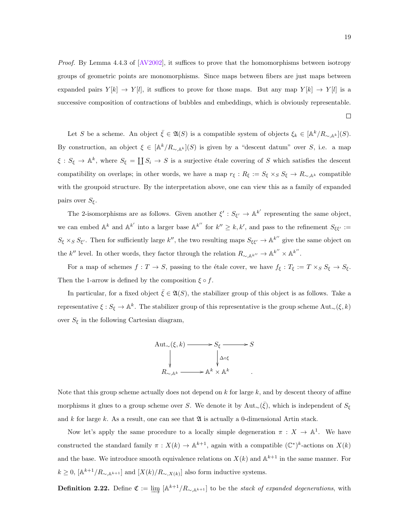Proof. By Lemma 4.4.3 of [\[AV2002\]](#page-87-8), it suffices to prove that the homomorphisms between isotropy groups of geometric points are monomorphisms. Since maps between fibers are just maps between expanded pairs  $Y[k] \rightarrow Y[l]$ , it suffices to prove for those maps. But any map  $Y[k] \rightarrow Y[l]$  is a successive composition of contractions of bubbles and embeddings, which is obviously representable.

Let S be a scheme. An object  $\bar{\xi} \in \mathfrak{A}(S)$  is a compatible system of objects  $\xi_k \in [\mathbb{A}^k/R_{\sim, \mathbb{A}^k}](S)$ . By construction, an object  $\xi \in [\mathbb{A}^k/R_{\sim,\mathbb{A}^k}](S)$  is given by a "descent datum" over S, i.e. a map  $\xi: S_{\xi} \to \mathbb{A}^{k}$ , where  $S_{\xi} = \coprod S_{i} \to S$  is a surjective étale covering of S which satisfies the descent compatibility on overlaps; in other words, we have a map  $r_{\xi}: R_{\xi} := S_{\xi} \times_S S_{\xi} \to R_{\sim, \mathbb{A}^k}$  compatible with the groupoid structure. By the interpretation above, one can view this as a family of expanded pairs over  $S_{\xi}$ .

The 2-isomorphisms are as follows. Given another  $\xi': S_{\xi'} \to \mathbb{A}^{k'}$  representing the same object, we can embed  $\mathbb{A}^k$  and  $\mathbb{A}^{k'}$  into a larger base  $\mathbb{A}^{k''}$  for  $k'' \geq k, k'$ , and pass to the refinement  $S_{\xi\xi'} :=$  $S_{\xi} \times_S S_{\xi'}$ . Then for sufficiently large k'', the two resulting maps  $S_{\xi\xi'} \to \mathbb{A}^{k''}$  give the same object on the  $k''$  level. In other words, they factor through the relation  $R_{\sim, \mathbb{A}^{k''}} \to \mathbb{A}^{k''} \times \mathbb{A}^{k''}$ .

For a map of schemes  $f: T \to S$ , passing to the étale cover, we have  $f_{\xi}: T_{\xi} := T \times_S S_{\xi} \to S_{\xi}$ . Then the 1-arrow is defined by the composition  $\xi \circ f$ .

In particular, for a fixed object  $\bar{\xi} \in \mathfrak{A}(S)$ , the stabilizer group of this object is as follows. Take a representative  $\xi: S_{\xi} \to \mathbb{A}^k$ . The stabilizer group of this representative is the group scheme Aut<sub>∼</sub>( $\xi, k$ ) over  $S_{\xi}$  in the following Cartesian diagram,



Note that this group scheme actually does not depend on  $k$  for large  $k$ , and by descent theory of affine morphisms it glues to a group scheme over S. We denote it by  $Aut_{\sim}(\bar{\xi})$ , which is independent of  $S_{\xi}$ and k for large k. As a result, one can see that  $\mathfrak A$  is actually a 0-dimensional Artin stack.

Now let's apply the same procedure to a locally simple degeneration  $\pi : X \to \mathbb{A}^1$ . We have constructed the standard family  $\pi: X(k) \to \mathbb{A}^{k+1}$ , again with a compatible  $(\mathbb{C}^*)^k$ -actions on  $X(k)$ and the base. We introduce smooth equivalence relations on  $X(k)$  and  $\mathbb{A}^{k+1}$  in the same manner. For  $k \geq 0$ ,  $[\mathbb{A}^{k+1}/R_{\sim, \mathbb{A}^{k+1}}]$  and  $[X(k)/R_{\sim, X(k)}]$  also form inductive systems.

**Definition 2.22.** Define  $\mathfrak{C} := \varinjlim \ [ \mathbb{A}^{k+1}/R_{\sim, \mathbb{A}^{k+1}} ]$  to be the stack of expanded degenerations, with

 $\Box$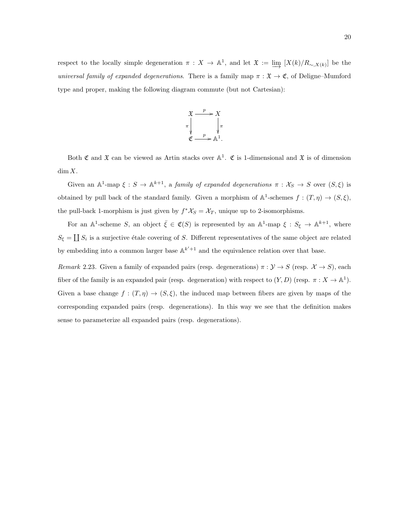respect to the locally simple degeneration  $\pi : X \to \mathbb{A}^1$ , and let  $\mathfrak{X} := \underline{\lim}_{\longrightarrow} [X(k)/R_{\sim, X(k)}]$  be the universal family of expanded degenerations. There is a family map  $\pi : \mathfrak{X} \to \mathfrak{C}$ , of Deligne–Mumford type and proper, making the following diagram commute (but not Cartesian):



Both  $\mathfrak C$  and  $\mathfrak X$  can be viewed as Artin stacks over  $\mathbb A^1$ .  $\mathfrak C$  is 1-dimensional and  $\mathfrak X$  is of dimension  $\dim X$ .

Given an  $\mathbb{A}^1$ -map  $\xi : S \to \mathbb{A}^{k+1}$ , a family of expanded degenerations  $\pi : \mathcal{X}_S \to S$  over  $(S, \xi)$  is obtained by pull back of the standard family. Given a morphism of  $\mathbb{A}^1$ -schemes  $f: (T, \eta) \to (S, \xi)$ , the pull-back 1-morphism is just given by  $f^*X_S = X_T$ , unique up to 2-isomorphisms.

For an  $\mathbb{A}^1$ -scheme S, an object  $\bar{\xi} \in \mathfrak{C}(S)$  is represented by an  $\mathbb{A}^1$ -map  $\xi : S_{\xi} \to \mathbb{A}^{k+1}$ , where  $S_{\xi} = \coprod S_i$  is a surjective étale covering of S. Different representatives of the same object are related by embedding into a common larger base  $\mathbb{A}^{k'+1}$  and the equivalence relation over that base.

Remark 2.23. Given a family of expanded pairs (resp. degenerations)  $\pi : \mathcal{Y} \to S$  (resp.  $\mathcal{X} \to S$ ), each fiber of the family is an expanded pair (resp. degeneration) with respect to  $(Y, D)$  (resp.  $\pi : X \to \mathbb{A}^1$ ). Given a base change  $f : (T, \eta) \to (S, \xi)$ , the induced map between fibers are given by maps of the corresponding expanded pairs (resp. degenerations). In this way we see that the definition makes sense to parameterize all expanded pairs (resp. degenerations).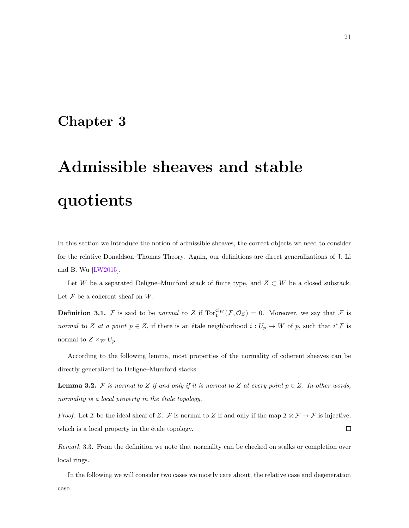## <span id="page-26-0"></span>Chapter 3

# Admissible sheaves and stable quotients

In this section we introduce the notion of admissible sheaves, the correct objects we need to consider for the relative Donaldson–Thomas Theory. Again, our definitions are direct generalizations of J. Li and B. Wu [\[LW2015\]](#page-88-3).

Let W be a separated Deligne–Mumford stack of finite type, and  $Z \subset W$  be a closed substack. Let  $\mathcal F$  be a coherent sheaf on  $W$ .

**Definition 3.1.** F is said to be normal to Z if  $Tor_1^{\mathcal{O}_W}(\mathcal{F}, \mathcal{O}_Z) = 0$ . Moreover, we say that F is normal to Z at a point  $p \in Z$ , if there is an étale neighborhood  $i : U_p \to W$  of p, such that  $i^* \mathcal{F}$  is normal to  $Z \times_W U_p$ .

According to the following lemma, most properties of the normality of coherent sheaves can be directly generalized to Deligne–Mumford stacks.

**Lemma 3.2.** F is normal to Z if and only if it is normal to Z at every point  $p \in Z$ . In other words, normality is a local property in the  $étele$  topology.

*Proof.* Let *I* be the ideal sheaf of *Z*. *F* is normal to *Z* if and only if the map  $I \otimes F \to F$  is injective, which is a local property in the étale topology.  $\Box$ 

Remark 3.3. From the definition we note that normality can be checked on stalks or completion over local rings.

In the following we will consider two cases we mostly care about, the relative case and degeneration case.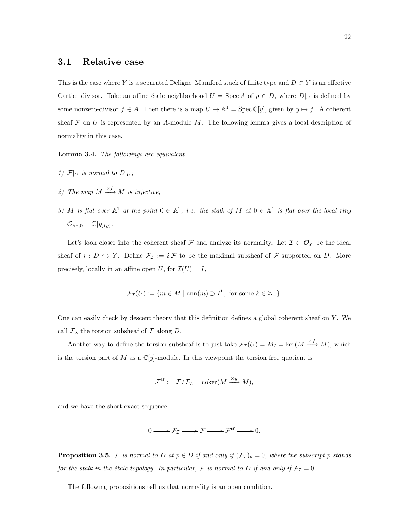#### <span id="page-27-0"></span>3.1 Relative case

This is the case where Y is a separated Deligne–Mumford stack of finite type and  $D \subset Y$  is an effective Cartier divisor. Take an affine étale neighborhood  $U = \text{Spec } A$  of  $p \in D$ , where  $D|_U$  is defined by some nonzero-divisor  $f \in A$ . Then there is a map  $U \to \mathbb{A}^1 = \text{Spec } \mathbb{C}[y]$ , given by  $y \mapsto f$ . A coherent sheaf  $\mathcal F$  on U is represented by an A-module M. The following lemma gives a local description of normality in this case.

Lemma 3.4. The followings are equivalent.

- 1)  $\mathcal{F}|_U$  is normal to  $D|_U$ ;
- 2) The map  $M \stackrel{\times f}{\longrightarrow} M$  is injective;
- 3) M is flat over  $\mathbb{A}^1$  at the point  $0 \in \mathbb{A}^1$ , i.e. the stalk of M at  $0 \in \mathbb{A}^1$  is flat over the local ring  $\mathcal{O}_{\mathbb{A}^1,0} = \mathbb{C}[y]_{(y)}.$

Let's look closer into the coherent sheaf F and analyze its normality. Let  $\mathcal{I} \subset \mathcal{O}_Y$  be the ideal sheaf of  $i: D \hookrightarrow Y$ . Define  $\mathcal{F}_{\mathcal{I}} := i^! \mathcal{F}$  to be the maximal subsheaf of  $\mathcal{F}$  supported on D. More precisely, locally in an affine open U, for  $\mathcal{I}(U) = I$ ,

$$
\mathcal{F}_{\mathcal{I}}(U) := \{ m \in M \mid \text{ann}(m) \supset I^k, \text{ for some } k \in \mathbb{Z}_+ \}.
$$

One can easily check by descent theory that this definition defines a global coherent sheaf on  $Y$ . We call  $\mathcal{F}_{\mathcal{I}}$  the torsion subsheaf of  $\mathcal F$  along  $D$ .

Another way to define the torsion subsheaf is to just take  $\mathcal{F}_{\mathcal{I}}(U) = M_I = \ker(M \xrightarrow{\times f} M)$ , which is the torsion part of M as a  $\mathbb{C}[y]$ -module. In this viewpoint the torsion free quotient is

$$
\mathcal{F}^{\text{tf}} := \mathcal{F}/\mathcal{F}_{\mathcal{I}} = \text{coker}(M \xrightarrow{\times y} M),
$$

and we have the short exact sequence

$$
0 \longrightarrow \mathcal{F}_{\mathcal{I}} \longrightarrow \mathcal{F} \longrightarrow \mathcal{F}^{\mathrm{tf}} \longrightarrow 0.
$$

**Proposition 3.5.** F is normal to D at  $p \in D$  if and only if  $(\mathcal{F}_{\mathcal{I}})_p = 0$ , where the subscript p stands for the stalk in the étale topology. In particular, F is normal to D if and only if  $\mathcal{F}_{\mathcal{I}} = 0$ .

The following propositions tell us that normality is an open condition.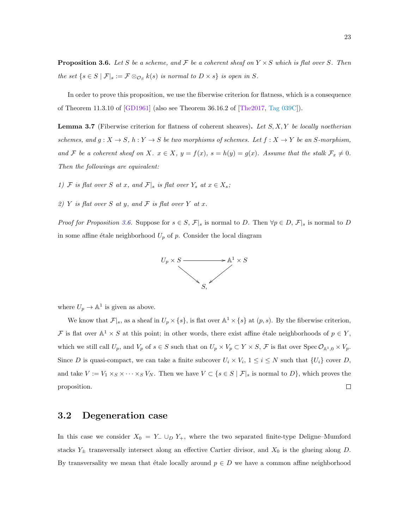<span id="page-28-1"></span>**Proposition 3.6.** Let S be a scheme, and F be a coherent sheaf on  $Y \times S$  which is flat over S. Then the set  $\{s \in S \mid \mathcal{F}|_s := \mathcal{F} \otimes_{\mathcal{O}_S} k(s)$  is normal to  $D \times s\}$  is open in S.

In order to prove this proposition, we use the fiberwise criterion for flatness, which is a consequence of Theorem 11.3.10 of [\[GD1961\]](#page-87-9) (also see Theorem 36.16.2 of [\[The2017,](#page-89-7) [Tag 039C\]](http://stacks.math.columbia.edu/tag/039C)).

**Lemma 3.7** (Fiberwise criterion for flatness of coherent sheaves). Let  $S, X, Y$  be locally noetherian schemes, and  $g: X \to S$ ,  $h: Y \to S$  be two morphisms of schemes. Let  $f: X \to Y$  be an S-morphism, and F be a coherent sheaf on X.  $x \in X$ ,  $y = f(x)$ ,  $s = h(y) = g(x)$ . Assume that the stalk  $\mathcal{F}_x \neq 0$ . Then the followings are equivalent:

1) F is flat over S at x, and  $\mathcal{F}|_s$  is flat over  $Y_s$  at  $x \in X_s$ ;

2) Y is flat over S at y, and F is flat over Y at x.

*Proof for Proposition [3.6.](#page-28-1)* Suppose for  $s \in S$ ,  $\mathcal{F}|_s$  is normal to D. Then  $\forall p \in D$ ,  $\mathcal{F}|_s$  is normal to D in some affine étale neighborhood  $U_p$  of p. Consider the local diagram



where  $U_p \to \mathbb{A}^1$  is given as above.

We know that  $\mathcal{F}|_s$ , as a sheaf in  $U_p \times \{s\}$ , is flat over  $\mathbb{A}^1 \times \{s\}$  at  $(p, s)$ . By the fiberwise criterion, F is flat over  $\mathbb{A}^1 \times S$  at this point; in other words, there exist affine étale neighborhoods of  $p \in Y$ , which we still call  $U_p$ , and  $V_p$  of  $s \in S$  such that on  $U_p \times V_p \subset Y \times S$ ,  $\mathcal{F}$  is flat over  $\text{Spec } \mathcal{O}_{\mathbb{A}^1,0} \times V_p$ . Since D is quasi-compact, we can take a finite subcover  $U_i \times V_i$ ,  $1 \leq i \leq N$  such that  $\{U_i\}$  cover D, and take  $V := V_1 \times_S \times \cdots \times_S V_N$ . Then we have  $V \subset \{s \in S \mid \mathcal{F}|_s \text{ is normal to } D\}$ , which proves the proposition.  $\Box$ 

#### <span id="page-28-0"></span>3.2 Degeneration case

In this case we consider  $X_0 = Y_-\cup_D Y_+$ , where the two separated finite-type Deligne–Mumford stacks  $Y_{\pm}$  transversally intersect along an effective Cartier divisor, and  $X_0$  is the glueing along D. By transversality we mean that étale locally around  $p \in D$  we have a common affine neighborhood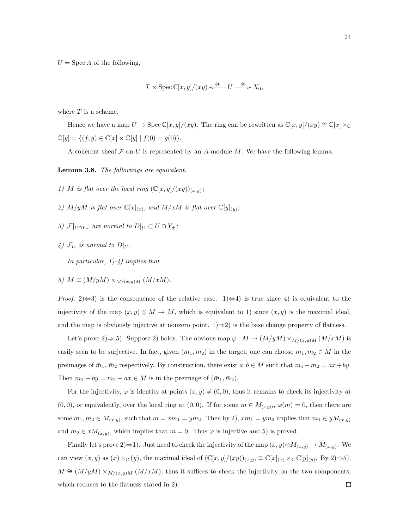$U = \operatorname{Spec} A$  of the following,

$$
T \times \operatorname{Spec} \mathbb{C}[x, y]/(xy) \xleftarrow{\text{\'et}} U \xrightarrow{\text{\'et}} X_0,
$$

where  $T$  is a scheme.

Hence we have a map  $U \to \text{Spec } \mathbb{C}[x, y]/(xy)$ . The ring can be rewritten as  $\mathbb{C}[x, y]/(xy) \cong \mathbb{C}[x] \times_{\mathbb{C}}$  $\mathbb{C}[y] = \{ (f, g) \in \mathbb{C}[x] \times \mathbb{C}[y] | f(0) = g(0) \}.$ 

A coherent sheaf  $\mathcal F$  on U is represented by an A-module M. We have the following lemma.

<span id="page-29-0"></span>Lemma 3.8. The followings are equivalent.

- 1) M is flat over the local ring  $(\mathbb{C}[x,y]/(xy))_{(x,y)}$ ;
- 2)  $M/yM$  is flat over  $\mathbb{C}[x]_{(x)}$ , and  $M/xM$  is flat over  $\mathbb{C}[y]_{(y)}$ ;
- 3)  $\mathcal{F}|_{U \cap Y_{\pm}}$  are normal to  $D|_U \subset U \cap Y_{\pm}$ ;
- 4)  $\mathcal{F}_U$  is normal to  $D|_U$ .

In particular,  $1)-4$ ) implies that

5)  $M \cong (M/yM) \times_{M/(x,y)M} (M/xM)$ .

*Proof.* 2) $\Leftrightarrow$ 3) is the consequence of the relative case. 1) $\Leftrightarrow$ 4) is true since 4) is equivalent to the injectivity of the map  $(x, y) \otimes M \to M$ , which is equivalent to 1) since  $(x, y)$  is the maximal ideal, and the map is obviously injective at nonzero point.  $1) \Rightarrow 2$ ) is the base change property of flatness.

Let's prove 2) $\Rightarrow$  5). Suppose 2) holds. The obvious map  $\varphi : M \to (M/yM) \times_{M/(x,y)M} (M/xM)$  is easily seen to be surjective. In fact, given  $(\bar{m}_1, \bar{m}_2)$  in the target, one can choose  $m_1, m_2 \in M$  in the preimages of  $\bar{m}_1$ ,  $\bar{m}_2$  respectively. By construction, there exist  $a, b \in M$  such that  $m_1 - m_2 = ax + by$ . Then  $m_1 - by = m_2 + ax \in M$  is in the preimage of  $(\bar{m}_1, \bar{m}_2)$ .

For the injectivity,  $\varphi$  is identity at points  $(x, y) \neq (0, 0)$ , thus it remains to check its injectivity at  $(0,0)$ , or equivalently, over the local ring at  $(0,0)$ . If for some  $m \in M_{(x,y)}$ ,  $\varphi(m) = 0$ , then there are some  $m_1, m_2 \in M_{(x,y)}$ , such that  $m = xm_1 = ym_2$ . Then by 2),  $xm_1 = ym_2$  implies that  $m_1 \in yM_{(x,y)}$ and  $m_2 \in xM_{(x,y)}$ , which implies that  $m = 0$ . Thus  $\varphi$  is injective and 5) is proved.

Finally let's prove 2) $\Rightarrow$ 1). Just need to check the injectivity of the map  $(x, y) \otimes M_{(x,y)} \to M_{(x,y)}$ . We can view  $(x, y)$  as  $(x) \times_{\mathbb{C}} (y)$ , the maximal ideal of  $(\mathbb{C}[x,y]/(xy))_{(x,y)} \cong \mathbb{C}[x]_{(x)} \times_{\mathbb{C}} \mathbb{C}[y]_{(y)}$ . By 2) $\Rightarrow$ 5),  $M \cong (M/yM) \times_{M/(x,y)M} (M/xM)$ ; thus it suffices to check the injectivity on the two components, which reduces to the flatness stated in 2). $\Box$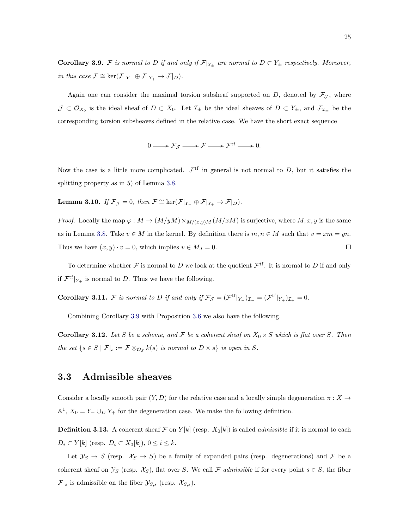<span id="page-30-1"></span>**Corollary 3.9.** F is normal to D if and only if  $\mathcal{F}|_{Y_{\pm}}$  are normal to  $D \subset Y_{\pm}$  respectively. Moreover, in this case  $\mathcal{F} \cong \ker(\mathcal{F}|_{Y_-} \oplus \mathcal{F}|_{Y_+} \to \mathcal{F}|_D)$ .

Again one can consider the maximal torsion subsheaf supported on  $D$ , denoted by  $\mathcal{F}_{\mathcal{J}}$ , where  $\mathcal{J} \subset \mathcal{O}_{X_0}$  is the ideal sheaf of  $D \subset X_0$ . Let  $\mathcal{I}_{\pm}$  be the ideal sheaves of  $D \subset Y_{\pm}$ , and  $\mathcal{F}_{\mathcal{I}_{\pm}}$  be the corresponding torsion subsheaves defined in the relative case. We have the short exact sequence

$$
0 \longrightarrow \mathcal{F}_{\mathcal{J}} \longrightarrow \mathcal{F} \longrightarrow \mathcal{F}^{\mathrm{tf}} \longrightarrow 0.
$$

Now the case is a little more complicated.  $\mathcal{F}^{\text{tf}}$  in general is not normal to D, but it satisfies the splitting property as in 5) of Lemma [3.8.](#page-29-0)

**Lemma 3.10.** If  $\mathcal{F}_{\mathcal{J}} = 0$ , then  $\mathcal{F} \cong \ker(\mathcal{F}|_{Y_-} \oplus \mathcal{F}|_{Y_+} \to \mathcal{F}|_D)$ .

*Proof.* Locally the map  $\varphi : M \to (M/yM) \times_{M/(x,y)M} (M/xM)$  is surjective, where  $M, x, y$  is the same as in Lemma [3.8.](#page-29-0) Take  $v \in M$  in the kernel. By definition there is  $m, n \in M$  such that  $v = xm = yn$ . Thus we have  $(x, y) \cdot v = 0$ , which implies  $v \in M_J = 0$ .  $\Box$ 

To determine whether F is normal to D we look at the quotient  $\mathcal{F}^{\text{tf}}$ . It is normal to D if and only if  $\mathcal{F}^{\text{tf}}|_{Y_{\pm}}$  is normal to D. Thus we have the following.

**Corollary 3.11.** F is normal to D if and only if  $\mathcal{F}_{\mathcal{J}} = (\mathcal{F}^{\text{tf}}|_{Y_{-}})_{\mathcal{I}_{-}} = (\mathcal{F}^{\text{tf}}|_{Y_{+}})_{\mathcal{I}_{+}} = 0$ .

Combining Corollary [3.9](#page-30-1) with Proposition [3.6](#page-28-1) we also have the following.

<span id="page-30-2"></span>**Corollary 3.12.** Let S be a scheme, and F be a coherent sheaf on  $X_0 \times S$  which is flat over S. Then the set  $\{s \in S \mid \mathcal{F}|_s := \mathcal{F} \otimes_{\mathcal{O}_S} k(s)$  is normal to  $D \times s\}$  is open in S.

#### <span id="page-30-0"></span>3.3 Admissible sheaves

Consider a locally smooth pair  $(Y, D)$  for the relative case and a locally simple degeneration  $\pi : X \to Y$  $\mathbb{A}^1$ ,  $X_0 = Y_- \cup_D Y_+$  for the degeneration case. We make the following definition.

**Definition 3.13.** A coherent sheaf F on  $Y[k]$  (resp.  $X_0[k]$ ) is called *admissible* if it is normal to each  $D_i \subset Y[k]$  (resp.  $D_i \subset X_0[k]$ ),  $0 \leq i \leq k$ .

Let  $\mathcal{Y}_S \to S$  (resp.  $\mathcal{X}_S \to S$ ) be a family of expanded pairs (resp. degenerations) and F be a coherent sheaf on  $\mathcal{Y}_S$  (resp.  $\mathcal{X}_S$ ), flat over S. We call F admissible if for every point  $s \in S$ , the fiber  $\mathcal{F}|_s$  is admissible on the fiber  $\mathcal{Y}_{S,s}$  (resp.  $\mathcal{X}_{S,s}$ ).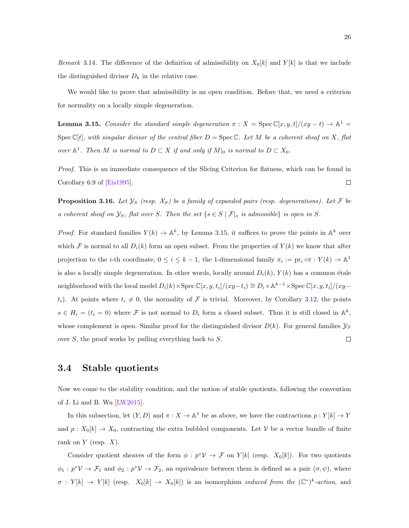Remark 3.14. The difference of the definition of admissibility on  $X_0[k]$  and  $Y[k]$  is that we include the distinguished divisor  $D_k$  in the relative case.

We would like to prove that admissibility is an open condition. Before that, we need a criterion for normality on a locally simple degeneration.

<span id="page-31-1"></span>**Lemma 3.15.** Consider the standard simple degeneration  $\pi$  :  $X = \text{Spec } \mathbb{C}[x, y, t]/(xy - t) \to \mathbb{A}^1$  $Spec \mathbb{C}[t]$ , with singular divisor of the central fiber  $D = Spec \mathbb{C}$ . Let M be a coherent sheaf on X, flat over  $\mathbb{A}^1$ . Then M is normal to  $D \subset X$  if and only if  $M|_0$  is normal to  $D \subset X_0$ .

Proof. This is an immediate consequence of the Slicing Criterion for flatness, which can be found in Corollary 6.9 of [\[Eis1995\]](#page-87-10).  $\Box$ 

<span id="page-31-2"></span>**Proposition 3.16.** Let  $\mathcal{Y}_S$  (resp.  $\mathcal{X}_S$ ) be a family of expanded pairs (resp. degenerations). Let F be a coherent sheaf on  $\mathcal{Y}_S$ , flat over S. Then the set  $\{s \in S \mid \mathcal{F}|_s \text{ is admissible}\}$  is open in S.

*Proof.* For standard families  $Y(k) \to \mathbb{A}^k$ , by Lemma [3.15,](#page-31-1) it suffices to prove the points in  $\mathbb{A}^k$  over which F is normal to all  $D_i(k)$  form an open subset. From the properties of  $Y(k)$  we know that after projection to the *i*-th coordinate,  $0 \le i \le k-1$ , the 1-dimensional family  $\pi_i := pr_i \circ \pi : Y(k) \to \mathbb{A}^1$ is also a locally simple degeneration. In other words, locally around  $D_i(k)$ ,  $Y(k)$  has a common étale neighborhood with the local model  $D_i(k) \times \text{Spec } \mathbb{C}[x, y, t_i]/(xy-t_i) \cong D_i \times \mathbb{A}^{k-1} \times \text{Spec } \mathbb{C}[x, y, t_i]/(xy-t_i)$  $t_i$ ). At points where  $t_i \neq 0$ , the normality of F is trivial. Moreover, by Corollary [3.12,](#page-30-2) the points  $s \in H_i = (t_i = 0)$  where F is not normal to  $D_i$  form a closed subset. Thus it is still closed in  $\mathbb{A}^k$ , whose complement is open. Similar proof for the distinguished divisor  $D(k)$ . For general families  $\mathcal{Y}_S$ over S, the proof works by pulling everything back to S.  $\Box$ 

#### <span id="page-31-0"></span>3.4 Stable quotients

Now we come to the stability condition, and the notion of stable quotients, following the convention of J. Li and B. Wu [\[LW2015\]](#page-88-3).

In this subsection, let  $(Y, D)$  and  $\pi : X \to \mathbb{A}^1$  be as above, we have the contractions  $p : Y[k] \to Y$ and  $p: X_0[k] \to X_0$ , contracting the extra bubbled components. Let V be a vector bundle of finite rank on  $Y$  (resp.  $X$ ).

Consider quotient sheaves of the form  $\phi : p^* \mathcal{V} \to \mathcal{F}$  on  $Y[k]$  (resp.  $X_0[k]$ ). For two quotients  $\phi_1: p^*\mathcal{V} \to \mathcal{F}_1$  and  $\phi_2: p^*\mathcal{V} \to \mathcal{F}_2$ , an equivalence between them is defined as a pair  $(\sigma, \psi)$ , where  $\sigma: Y[k] \to Y[k]$  (resp.  $X_0[k] \to X_0[k]$ ) is an isomorphism *induced from the*  $(\mathbb{C}^*)^k$ -action, and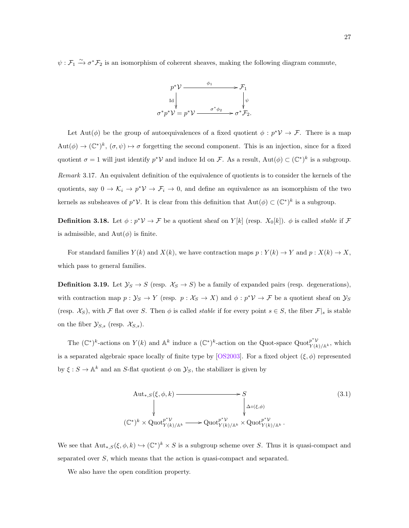$\psi: \mathcal{F}_1 \xrightarrow{\sim} \sigma^* \mathcal{F}_2$  is an isomorphism of coherent sheaves, making the following diagram commute,



Let Aut( $\phi$ ) be the group of autoequivalences of a fixed quotient  $\phi : p^* \mathcal{V} \to \mathcal{F}$ . There is a map  $\text{Aut}(\phi) \to (\mathbb{C}^*)^k$ ,  $(\sigma, \psi) \mapsto \sigma$  forgetting the second component. This is an injection, since for a fixed quotient  $\sigma = 1$  will just identify  $p^*V$  and induce Id on F. As a result,  $Aut(\phi) \subset (\mathbb{C}^*)^k$  is a subgroup. Remark 3.17. An equivalent definition of the equivalence of quotients is to consider the kernels of the quotients, say  $0 \to \mathcal{K}_i \to p^* \mathcal{V} \to \mathcal{F}_i \to 0$ , and define an equivalence as an isomorphism of the two kernels as subsheaves of  $p^*\mathcal{V}$ . It is clear from this definition that  $\mathrm{Aut}(\phi) \subset (\mathbb{C}^*)^k$  is a subgroup.

**Definition 3.18.** Let  $\phi: p^*V \to \mathcal{F}$  be a quotient sheaf on  $Y[k]$  (resp.  $X_0[k]$ ).  $\phi$  is called *stable* if  $\mathcal{F}$ is admissible, and  $Aut(\phi)$  is finite.

For standard families  $Y(k)$  and  $X(k)$ , we have contraction maps  $p: Y(k) \to Y$  and  $p: X(k) \to X$ , which pass to general families.

**Definition 3.19.** Let  $\mathcal{Y}_S \to S$  (resp.  $\mathcal{X}_S \to S$ ) be a family of expanded pairs (resp. degenerations), with contraction map  $p: \mathcal{Y}_S \to Y$  (resp.  $p: \mathcal{X}_S \to X$ ) and  $\phi: p^* \mathcal{V} \to \mathcal{F}$  be a quotient sheaf on  $\mathcal{Y}_S$ (resp.  $\mathcal{X}_S$ ), with F flat over S. Then  $\phi$  is called *stable* if for every point  $s \in S$ , the fiber  $\mathcal{F}|_s$  is stable on the fiber  $\mathcal{Y}_{S,s}$  (resp.  $\mathcal{X}_{S,s}$ ).

The  $(\mathbb{C}^*)^k$ -actions on  $Y(k)$  and  $\mathbb{A}^k$  induce a  $(\mathbb{C}^*)^k$ -action on the Quot-space Quot $\mathcal{V}_{Y(k)/\mathbb{A}^k}^{\mathfrak{p}^*\mathcal{V}}$ , which is a separated algebraic space locally of finite type by [\[OS2003\]](#page-88-9). For a fixed object  $(\xi, \phi)$  represented by  $\xi : S \to \mathbb{A}^k$  and an S-flat quotient  $\phi$  on  $\mathcal{Y}_S$ , the stabilizer is given by

<span id="page-32-0"></span>
$$
\begin{array}{ccc}\n\text{Aut}_{*,S}(\xi,\phi,k) & \longrightarrow & S & \\
\downarrow & & \downarrow & \downarrow & \\
\downarrow & & \downarrow & \downarrow & \downarrow & \\
(\mathbb{C}^*)^k \times \text{Quot}_{Y(k)/\mathbb{A}^k}^{p^*\mathcal{V}} & \longrightarrow \text{Quot}_{Y(k)/\mathbb{A}^k}^{p^*\mathcal{V}} \times \text{Quot}_{Y(k)/\mathbb{A}^k}^{p^*\mathcal{V}}.\n\end{array} \tag{3.1}
$$

We see that  ${\rm Aut}_{*,S}(\xi,\phi,k) \hookrightarrow (\mathbb{C}^*)^k \times S$  is a subgroup scheme over S. Thus it is quasi-compact and separated over S, which means that the action is quasi-compact and separated.

We also have the open condition property.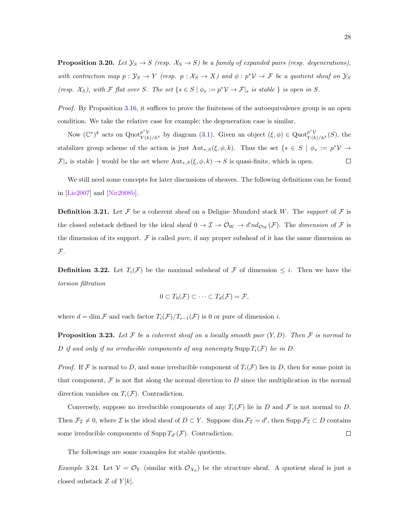**Proposition 3.20.** Let  $\mathcal{Y}_S \to S$  (resp.  $\mathcal{X}_S \to S$ ) be a family of expanded pairs (resp. degenerations), with contraction map  $p: \mathcal{Y}_S \to Y$  (resp.  $p: \mathcal{X}_S \to X$ ) and  $\phi: p^* \mathcal{V} \to \mathcal{F}$  be a quotient sheaf on  $\mathcal{Y}_S$ (resp.  $\mathcal{X}_S$ ), with F flat over S. The set  $\{s \in S \mid \phi_s := p^* \mathcal{V} \to \mathcal{F} \mid_s \text{ is stable }\}$  is open in S.

Proof. By Proposition [3.16,](#page-31-2) it suffices to prove the finiteness of the autoequivalence group is an open condition. We take the relative case for example; the degeneration case is similar.

Now  $(\mathbb{C}^*)^k$  acts on  $\text{Quot}_{Y(k)/\mathbb{A}^k}^{p^*\mathcal{V}}$  by diagram [\(3.1\)](#page-32-0). Given an object  $(\xi,\phi) \in \text{Quot}_{Y(k)/\mathbb{A}^k}^{p^*\mathcal{V}}(S)$ , the stabilizer group scheme of the action is just  ${\rm Aut}_{*,S}(\xi,\phi,k)$ . Thus the set  $\{s \in S \mid \phi_s := p^* \mathcal{V} \to \mathcal{V}\}$  $\Box$  $\mathcal{F}|_s$  is stable } would be the set where  $\text{Aut}_{*,S}(\xi, \phi, k) \to S$  is quasi-finite, which is open.

We still need some concepts for later discussions of sheaves. The following definitions can be found in [\[Lie2007\]](#page-88-10) and [\[Nir2008b\]](#page-88-11).

**Definition 3.21.** Let F be a coherent sheaf on a Deligne–Mumford stack W. The support of F is the closed substack defined by the ideal sheaf  $0 \to \mathcal{I} \to \mathcal{O}_W \to \mathcal{E} nd_{\mathcal{O}_W}(\mathcal{F})$ . The *dimension* of  $\mathcal F$  is the dimension of its support.  $\mathcal F$  is called *pure*, if any proper subsheaf of it has the same dimension as  $\mathcal{F}.$ 

**Definition 3.22.** Let  $T_i(\mathcal{F})$  be the maximal subsheaf of  $\mathcal F$  of dimension  $\leq i$ . Then we have the torsion filtration

$$
0\subset T_0(\mathcal{F})\subset\cdots\subset T_d(\mathcal{F})=\mathcal{F},
$$

where  $d = \dim \mathcal{F}$  and each factor  $T_i(\mathcal{F})/T_{i-1}(\mathcal{F})$  is 0 or pure of dimension i.

**Proposition 3.23.** Let F be a coherent sheaf on a locally smooth pair  $(Y, D)$ . Then F is normal to D if and only if no irreducible components of any nonempty Supp  $T_i(\mathcal{F})$  lie in D.

*Proof.* If F is normal to D, and some irreducible component of  $T_i(\mathcal{F})$  lies in D, then for some point in that component,  $\mathcal F$  is not flat along the normal direction to  $D$  since the multiplication in the normal direction vanishes on  $T_i(\mathcal{F})$ . Contradiction.

Conversely, suppose no irreducible components of any  $T_i(\mathcal{F})$  lie in D and F is not normal to D. Then  $\mathcal{F}_{\mathcal{I}} \neq 0$ , where  $\mathcal{I}$  is the ideal sheaf of  $D \subset Y$ . Suppose dim  $\mathcal{F}_{\mathcal{I}} = d'$ , then Supp  $\mathcal{F}_{\mathcal{I}} \subset D$  contains some irreducible components of Supp  $T_{d'}(\mathcal{F})$ . Contradiction.  $\Box$ 

The followings are some examples for stable quotients.

*Example* 3.24. Let  $V = \mathcal{O}_Y$  (similar with  $\mathcal{O}_{X_0}$ ) be the structure sheaf. A quotient sheaf is just a closed substack  $Z$  of  $Y[k]$ .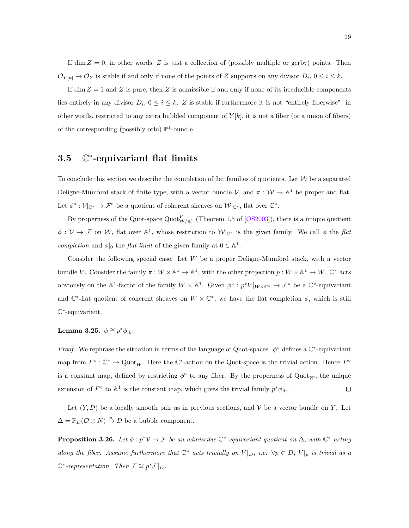If dim  $Z = 0$ , in other words, Z is just a collection of (possibly multiple or gerby) points. Then  $\mathcal{O}_{Y[k]} \to \mathcal{O}_Z$  is stable if and only if none of the points of Z supports on any divisor  $D_i$ ,  $0 \le i \le k$ .

If dim  $Z = 1$  and Z is pure, then Z is admissible if and only if none of its irreducible components lies entirely in any divisor  $D_i$ ,  $0 \le i \le k$ . Z is stable if furthermore it is not "entirely fiberwise"; in other words, restricted to any extra bubbled component of  $Y[k]$ , it is not a fiber (or a union of fibers) of the corresponding (possibly orbi)  $\mathbb{P}^1$ -bundle.

#### <span id="page-34-0"></span>3.5 C ∗ -equivariant flat limits

To conclude this section we describe the completion of flat families of quotients. Let  $W$  be a separated Deligne-Mumford stack of finite type, with a vector bundle  $V$ , and  $\pi : W \to \mathbb{A}^1$  be proper and flat. Let  $\phi^{\circ} : \mathcal{V}|_{\mathbb{C}^*} \to \mathcal{F}^{\circ}$  be a quotient of coherent sheaves on  $\mathcal{W}|_{\mathbb{C}^*}$ , flat over  $\mathbb{C}^*$ .

By properness of the Quot-space  $\text{Quot}^{\mathcal{V}}_{\mathcal{W}/\mathbb{A}^1}$  (Theorem 1.5 of [\[OS2003\]](#page-88-9)), there is a unique quotient  $\phi: V \to \mathcal{F}$  on W, flat over  $\mathbb{A}^1$ , whose restriction to  $W|_{\mathbb{C}^*}$  is the given family. We call  $\phi$  the flat completion and  $\phi|_0$  the *flat limit* of the given family at  $0 \in \mathbb{A}^1$ .

Consider the following special case. Let W be a proper Deligne-Mumford stack, with a vector bundle V. Consider the family  $\pi: W \times \mathbb{A}^1 \to \mathbb{A}^1$ , with the other projection  $p: W \times \mathbb{A}^1 \to W$ .  $\mathbb{C}^*$  acts obviously on the  $\mathbb{A}^1$ -factor of the family  $W \times \mathbb{A}^1$ . Given  $\phi^\circ: p^*V|_{W \times \mathbb{C}^*} \to \mathcal{F}^\circ$  be a  $\mathbb{C}^*$ -equivariant and  $\mathbb{C}^*$ -flat quotient of coherent sheaves on  $W \times \mathbb{C}^*$ , we have the flat completion  $\phi$ , which is still C ∗ -equivariant.

Lemma 3.25.  $\phi \cong p^* \phi |_0$ .

Proof. We rephrase the situation in terms of the language of Quot-spaces.  $\phi^{\circ}$  defines a  $\mathbb{C}^*$ -equivariant map from  $F^{\circ} : \mathbb{C}^* \to \mathrm{Quot}_W$ . Here the  $\mathbb{C}^*$ -action on the Quot-space is the trivial action. Hence  $F^{\circ}$ is a constant map, defined by restricting  $\phi^{\circ}$  to any fiber. By the properness of  $\text{Quot}_W$ , the unique extension of  $F^{\circ}$  to  $\mathbb{A}^{1}$  is the constant map, which gives the trivial family  $p^*\phi|_{0}$ .  $\Box$ 

Let  $(Y, D)$  be a locally smooth pair as in previous sections, and V be a vector bundle on Y. Let  $\Delta = \mathbb{P}_D(\mathcal{O} \oplus N) \xrightarrow{p} D$  be a bubble component.

<span id="page-34-1"></span>**Proposition 3.26.** Let  $\phi: p^* \mathcal{V} \to \mathcal{F}$  be an admissible  $\mathbb{C}^*$ -equivariant quotient on  $\Delta$ , with  $\mathbb{C}^*$  acting along the fiber. Assume furthermore that  $\mathbb{C}^*$  acts trivially on  $V|_D$ , i.e.  $\forall p \in D$ ,  $V|_p$  is trivial as a  $\mathbb{C}^*$ -representation. Then  $\mathcal{F} \cong p^* \mathcal{F}|_D$ .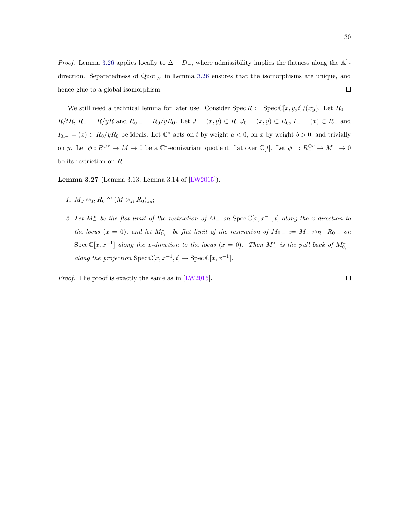*Proof.* Lemma [3.26](#page-34-1) applies locally to  $\Delta - D_{-}$ , where admissibility implies the flatness along the A<sup>1</sup>direction. Separatedness of  $\text{Quot}_W$  in Lemma [3.26](#page-34-1) ensures that the isomorphisms are unique, and hence glue to a global isomorphism.  $\Box$ 

We still need a technical lemma for later use. Consider Spec R := Spec  $\mathbb{C}[x, y, t]/(xy)$ . Let  $R_0 =$  $R/tR$ ,  $R_ - = R/yR$  and  $R_{0,-} = R_0/yR_0$ . Let  $J = (x, y) \subset R$ ,  $J_0 = (x, y) \subset R_0$ ,  $I_ - = (x) \subset R_ -$  and  $I_{0,-} = (x) \subset R_0/yR_0$  be ideals. Let  $\mathbb{C}^*$  acts on t by weight  $a < 0$ , on x by weight  $b > 0$ , and trivially on y. Let  $\phi: R^{\oplus r} \to M \to 0$  be a  $\mathbb{C}^*$ -equivariant quotient, flat over  $\mathbb{C}[t]$ . Let  $\phi_-: R^{\oplus r} \to M^- \to 0$ be its restriction on  $R_-\$ .

Lemma 3.27 (Lemma 3.13, Lemma 3.14 of [\[LW2015\]](#page-88-3)).

- 1.  $M_J \otimes_R R_0 \cong (M \otimes_R R_0)_{J_0};$
- 2. Let  $M^*_-$  be the flat limit of the restriction of  $M_-$  on  $Spec \mathbb{C}[x, x^{-1}, t]$  along the x-direction to the locus  $(x = 0)$ , and let  $M_{0,-}^*$  be flat limit of the restriction of  $M_{0,-} := M_- \otimes_{R_-} R_{0,-}$  on Spec  $\mathbb{C}[x,x^{-1}]$  along the x-direction to the locus  $(x = 0)$ . Then  $M^*_-$  is the pull back of  $M^*_{0,-}$ along the projection  $\text{Spec } \mathbb{C}[x, x^{-1}, t] \to \text{Spec } \mathbb{C}[x, x^{-1}]$ .

Proof. The proof is exactly the same as in [\[LW2015\]](#page-88-3).

 $\Box$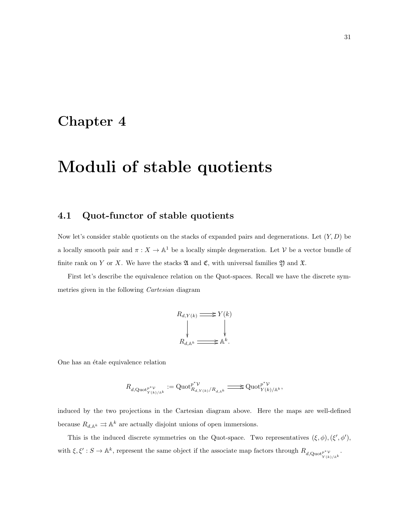## Chapter 4

# Moduli of stable quotients

#### 4.1 Quot-functor of stable quotients

Now let's consider stable quotients on the stacks of expanded pairs and degenerations. Let  $(Y, D)$  be a locally smooth pair and  $\pi : X \to \mathbb{A}^1$  be a locally simple degeneration. Let V be a vector bundle of finite rank on Y or X. We have the stacks  $\mathfrak A$  and  $\mathfrak C$ , with universal families  $\mathfrak Y$  and  $\mathfrak X$ .

First let's describe the equivalence relation on the Quot-spaces. Recall we have the discrete symmetries given in the following Cartesian diagram

$$
R_{d,Y(k)} \xrightarrow{\qquad} Y(k)
$$
\n
$$
\downarrow \qquad \qquad \downarrow
$$
\n
$$
R_{d,\mathbb{A}^k} \xrightarrow{\qquad \qquad} \mathbb{A}^k.
$$

One has an étale equivalence relation

$$
R_{d,\operatorname{Quot}^{p^*\mathcal{V}}_{Y(k)/\mathbb{A}^k}}:=\operatorname{Quot}^{p^*\mathcal{V}}_{R_{d,Y(k)}/R_{d,\mathbb{A}^k}}\xrightarrow{\hspace*{1cm}}\operatorname{Quot}^{p^*\mathcal{V}}_{Y(k)/\mathbb{A}^k},
$$

induced by the two projections in the Cartesian diagram above. Here the maps are well-defined because  $R_{d, \mathbb{A}^k} \rightrightarrows \mathbb{A}^k$  are actually disjoint unions of open immersions.

This is the induced discrete symmetries on the Quot-space. Two representatives  $(\xi, \phi), (\xi', \phi'),$ with  $\xi, \xi': S \to \mathbb{A}^k$ , represent the same object if the associate map factors through  $R_{d, \text{Quot}_{Y(k)/\mathbb{A}^k}}$ .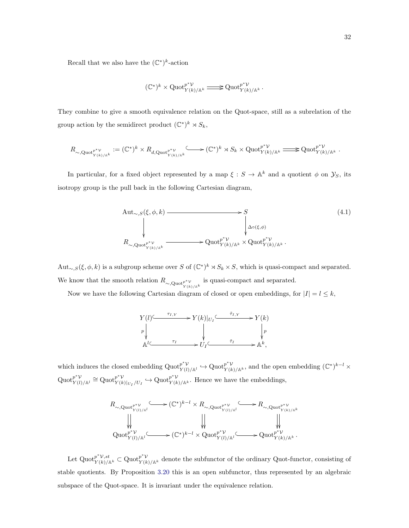Recall that we also have the  $(\mathbb{C}^*)^k$ -action

$$
(\mathbb{C}^*)^k\times\operatorname{Quot}_{Y(k)/\mathbb{A}^k}^{p^*\mathcal{V}}\xrightarrow{\qquad \qquad }\operatorname{Quot}_{Y(k)/\mathbb{A}^k}^{p^*\mathcal{V}}.
$$

They combine to give a smooth equivalence relation on the Quot-space, still as a subrelation of the group action by the semidirect product  $(\mathbb{C}^*)^k \rtimes S_k$ ,

$$
R_{\sim, \operatorname{Quot}^{p^* \mathcal{V}}_{Y(k)/\mathbb{A}^k}} := (\mathbb{C}^*)^k \times R_{d, \operatorname{Quot}^{p^* \mathcal{V}}_{Y(k)/\mathbb{A}^k}} \longrightarrow (\mathbb{C}^*)^k \rtimes S_k \times \operatorname{Quot}^{p^* \mathcal{V}}_{Y(k)/\mathbb{A}^k} \longrightarrow \operatorname{Quot}^{p^* \mathcal{V}}_{Y(k)/\mathbb{A}^k}.
$$

In particular, for a fixed object represented by a map  $\xi : S \to \mathbb{A}^k$  and a quotient  $\phi$  on  $\mathcal{Y}_S$ , its isotropy group is the pull back in the following Cartesian diagram,

$$
\begin{array}{ccc}\n\text{Aut}_{\sim,S}(\xi,\phi,k) & \xrightarrow{\qquad} & S & (4.1) \\
\downarrow^{\qquad} & & \downarrow^{\qquad} & \downarrow^{\qquad} \\
R_{\sim,\text{Quot}_{Y(k)/\mathbb{A}^k}^{p^*V}} & \xrightarrow{\qquad} \text{Quot}_{Y(k)/\mathbb{A}^k}^{p^*V} \times \text{Quot}_{Y(k)/\mathbb{A}^k}^{p^*V}.\n\end{array}
$$

Aut<sub>∼,S</sub>( $\xi, \phi, k$ ) is a subgroup scheme over S of  $(\mathbb{C}^*)^k \rtimes S_k \times S$ , which is quasi-compact and separated. We know that the smooth relation  $R_{\sim, \text{Quot}_{Y(k)/\mathbb{A}^k}}$  is quasi-compact and separated.

Now we have the following Cartesian diagram of closed or open embeddings, for  $|I| = l \leq k$ ,



which induces the closed embedding  $\mathrm{Quot}_{Y(r)}^{p^*V}$  $p^* \mathcal{V}_{Y(l)/\mathbb{A}^l} \hookrightarrow \mathrm{Quot}_{Y(k)/\mathbb{A}^k}^{p^* \mathcal{V}},$  and the open embedding  $(\mathbb{C}^*)^{k-l} \times$  $\mathrm{Quot}_{\mathbf{V}(l)}^{p^*\mathcal{V}}$  $p^*\mathcal{V}$ <br> $Y(l)/\mathbb{A}^l \cong \mathrm{Quot}_{Y(k)}^{p^*\mathcal{V}}$  $p^* \mathcal{V}_{Y(k)|_{U_I}/U_I} \hookrightarrow \mathrm{Quot}_{Y(k)/\mathbb{A}^k}^{p^* \mathcal{V}}$ . Hence we have the embeddings,

R<sup>∼</sup>,Quotp∗V Y (l)/Al / (C ∗ ) <sup>k</sup>−<sup>l</sup> <sup>×</sup> <sup>R</sup><sup>∼</sup>,Quotp∗V Y (l)/Al / R<sup>∼</sup>,Quotp∗V Y (k)/Ak Quot<sup>p</sup> <sup>∗</sup>V Y (l)/A<sup>l</sup> /(C ∗ ) <sup>k</sup>−<sup>l</sup> × Quot<sup>p</sup> <sup>∗</sup>V Y (l)/A<sup>l</sup> /Quot<sup>p</sup> <sup>∗</sup>V <sup>Y</sup> (k)/A<sup>k</sup> .

Let  $\operatorname{Quot}_{Y(k)/\mathbb{A}^k}^{\mathcal{P}^*V, st} \subset \operatorname{Quot}_{Y(k)/\mathbb{A}^k}$  denote the subfunctor of the ordinary Quot-functor, consisting of stable quotients. By Proposition [3.20](#page-33-0) this is an open subfunctor, thus represented by an algebraic subspace of the Quot-space. It is invariant under the equivalence relation.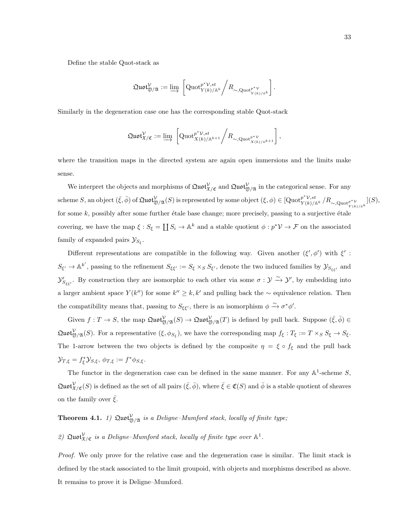Define the stable Quot-stack as

$$
\mathfrak{Quot}^{\mathcal{V}}_{\mathfrak{Y}/\mathfrak{A}}:=\varinjlim\ \left[\operatorname{Quot}^{p^*\mathcal{V},st}_{Y(k)/\mathbb{A}^k}\bigg/R_{\sim, \operatorname{Quot}^{p^*\mathcal{V}}_{Y(k)/\mathbb{A}^k}}\right].
$$

Similarly in the degeneration case one has the corresponding stable Quot-stack

$$
\mathfrak{Quot}^{\mathcal{V}}_{\mathfrak{X}/\mathfrak{C}}:=\varinjlim\ \left[\operatorname{Quot}^{p^*\mathcal{V},st}_{X(k)/\mathbb{A}^{k+1}}\bigg/R_{\sim, \operatorname{Quot}^{p^*\mathcal{V}}_{X(k)/\mathbb{A}^{k+1}}}\right],
$$

where the transition maps in the directed system are again open immersions and the limits make sense.

We interpret the objects and morphisms of  $\mathfrak{Quot}^{\mathcal{V}}_{\mathfrak{X}/\mathfrak{C}}$  and  $\mathfrak{Quot}^{\mathcal{V}}_{\mathfrak{Y}/\mathfrak{A}}$  in the categorical sense. For any  $\text{scheme } S, \text{ an object } (\bar{\xi}, \bar{\phi}) \text{ of } \mathfrak{Quot}_{\mathfrak{Y}/\mathfrak{A}}^{\mathcal{V}}(S) \text{ is represented by some object } (\xi, \phi) \in [\text{Quot}_{Y(k)/\mathbb{A}^k}^{\mathcal{F}^{\Psi}, \mathcal{S}^{\sharp}}/R_{\sim, \text{Quot}_{Y(k)/\mathbb{A}^k}}](S),$ for some  $k$ , possibly after some further étale base change; more precisely, passing to a surjective étale covering, we have the map  $\xi : S_{\xi} = \coprod S_i \to \mathbb{A}^k$  and a stable quotient  $\phi : p^* \mathcal{V} \to \mathcal{F}$  on the associated family of expanded pairs  $\mathcal{Y}_{S_{\xi}}$ .

Different representations are compatible in the following way. Given another  $(\xi', \phi')$  with  $\xi'$ :  $S_{\xi'} \to \mathbb{A}^{k'}$ , passing to the refinement  $S_{\xi\xi'} := S_{\xi} \times_S S_{\xi'}$ , denote the two induced families by  $\mathcal{Y}_{S_{\xi\xi'}}$  and  $\mathcal{Y}'_{S_{\xi\xi'}}$ . By construction they are isomorphic to each other via some  $\sigma : \mathcal{Y} \xrightarrow{\sim} \mathcal{Y}'$ , by embedding into a larger ambient space  $Y(k'')$  for some  $k'' \geq k, k'$  and pulling back the  $\sim$  equivalence relation. Then the compatibility means that, passing to  $S_{\xi\xi'}$ , there is an isomorphism  $\phi \xrightarrow{\sim} \sigma^* \phi'$ .

Given  $f: T \to S$ , the map  $\mathfrak{Quot}^{\mathcal{V}}_{\mathfrak{Y}/\mathfrak{A}}(S) \to \mathfrak{Quot}^{\mathcal{V}}_{\mathfrak{Y}/\mathfrak{A}}(T)$  is defined by pull back. Suppose  $(\bar{\xi}, \bar{\phi}) \in$  $\mathfrak{Quot}^{\mathcal{V}}_{\mathfrak{Y}/\mathfrak{A}}(S)$ . For a representative  $(\xi, \phi_{S_{\xi}})$ , we have the corresponding map  $f_{\xi}: T_{\xi} := T \times_S S_{\xi} \to S_{\xi}$ . The 1-arrow between the two objects is defined by the composite  $\eta = \xi \circ f_{\xi}$  and the pull back  $\mathcal{Y}_{T,\xi} = f_{\xi}^* \mathcal{Y}_{S,\xi}, \ \phi_{T,\xi} := f^* \phi_{S,\xi}.$ 

The functor in the degeneration case can be defined in the same manner. For any  $\mathbb{A}^1$ -scheme S,  $\mathfrak{Quot}^{\mathcal{V}}_{\mathfrak{X}/\mathfrak{C}}(S)$  is defined as the set of all pairs  $(\bar{\xi}, \bar{\phi})$ , where  $\bar{\xi} \in \mathfrak{C}(S)$  and  $\bar{\phi}$  is a stable quotient of sheaves on the family over  $\bar{\xi}$ .

#### **Theorem 4.1.** 1)  $\text{Quot}_{\mathfrak{Y}/\mathfrak{A}}^{\mathcal{V}}$  is a Deligne-Mumford stack, locally of finite type;

#### 2)  $\mathfrak{Quot}^{\mathcal{V}}_{\mathfrak{X}/\mathfrak{C}}$  is a Deligne-Mumford stack, locally of finite type over  $\mathbb{A}^1$ .

Proof. We only prove for the relative case and the degeneration case is similar. The limit stack is defined by the stack associated to the limit groupoid, with objects and morphisms described as above. It remains to prove it is Deligne–Mumford.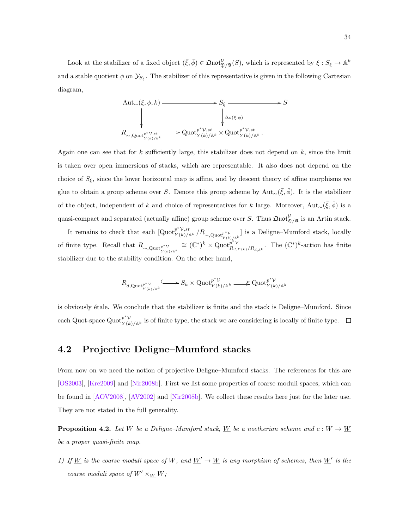Look at the stabilizer of a fixed object  $(\bar{\xi}, \bar{\phi}) \in \mathfrak{Quot}^{\mathcal{V}}_{\mathfrak{Y}/\mathfrak{A}}(S)$ , which is represented by  $\xi : S_{\xi} \to \mathbb{A}^k$ and a stable quotient  $\phi$  on  $\mathcal{Y}_{S_{\xi}}$ . The stabilizer of this representative is given in the following Cartesian diagram,

$$
\begin{array}{ccc}\n\mathrm{Aut}_{\sim}(\xi,\phi,k) & \longrightarrow & S_{\xi} & \longrightarrow & S \\
\downarrow & & \downarrow & \downarrow & \downarrow & \downarrow \\
R_{\sim,\mathrm{Quot}_{Y(k)/\mathbb{A}^k}} & \longrightarrow & \mathrm{Quot}_{Y(k)/\mathbb{A}^k}^{p^* \mathcal{V},st} \times \mathrm{Quot}_{Y(k)/\mathbb{A}^k}^{p^* \mathcal{V},st}.\n\end{array}
$$

Again one can see that for  $k$  sufficiently large, this stabilizer does not depend on  $k$ , since the limit is taken over open immersions of stacks, which are representable. It also does not depend on the choice of  $S_{\xi}$ , since the lower horizontal map is affine, and by descent theory of affine morphisms we glue to obtain a group scheme over S. Denote this group scheme by  $\text{Aut}_{\sim}(\bar{\xi}, \bar{\phi})$ . It is the stabilizer of the object, independent of k and choice of representatives for k large. Moreover, Aut<sub>∼</sub>( $\bar{\xi}, \bar{\phi}$ ) is a quasi-compact and separated (actually affine) group scheme over S. Thus  $\mathfrak{Quot}^{\mathcal{V}}_{\mathfrak{Y}/\mathfrak{A}}$  is an Artin stack.

It remains to check that each  $[\text{Quot}_{Y(k)/\mathbb{A}^k}^{p^*V, st} / R_{\sim, \text{Quot}_{Y(k)/\mathbb{A}^k}}]$  is a Deligne–Mumford stack, locally of finite type. Recall that  $R_{\sim, \text{Quot}_{Y(k)/\mathbb{A}^k}} \cong (\mathbb{C}^*)^k \times \text{Quot}_{R_{d,\mathbb{C}}}^{p^*\mathcal{V}}$  $p^{*\mathcal{V}}_{R_{d,Y(k)}/R_{d,\mathbb{A}^k}}$ . The  $(\mathbb{C}^*)^k$ -action has finite stabilizer due to the stability condition. On the other hand,

$$
R_{d,\operatorname{Quot}^{p^*\mathcal{V}}_{Y(k)/\mathbb{A}^k}}\!\! \xrightarrow{\leftarrow} S_k \times \operatorname{Quot}_{Y(k)/\mathbb{A}^k}^{p^*\mathcal{V}} \xrightarrow{\longrightarrow} \operatorname{Quot}_{Y(k)/\mathbb{A}^k}^{p^*\mathcal{V}}
$$

is obviously étale. We conclude that the stabilizer is finite and the stack is Deligne–Mumford. Since each Quot-space  $\operatorname{Quot}_{Y(k)/\mathbb{A}^k}$  is of finite type, the stack we are considering is locally of finite type.

#### 4.2 Projective Deligne–Mumford stacks

From now on we need the notion of projective Deligne–Mumford stacks. The references for this are [\[OS2003\]](#page-88-0), [\[Kre2009\]](#page-88-1) and [\[Nir2008b\]](#page-88-2). First we list some properties of coarse moduli spaces, which can be found in [\[AOV2008\]](#page-87-0), [\[AV2002\]](#page-87-1) and [\[Nir2008b\]](#page-88-2). We collect these results here just for the later use. They are not stated in the full generality.

**Proposition 4.2.** Let W be a Deligne–Mumford stack, W be a noetherian scheme and  $c: W \to W$ be a proper quasi-finite map.

1) If W is the coarse moduli space of W, and  $\underline{W}' \to \underline{W}$  is any morphism of schemes, then  $\underline{W}'$  is the coarse moduli space of  $\underline{W}' \times_{\underline{W}} W$ ;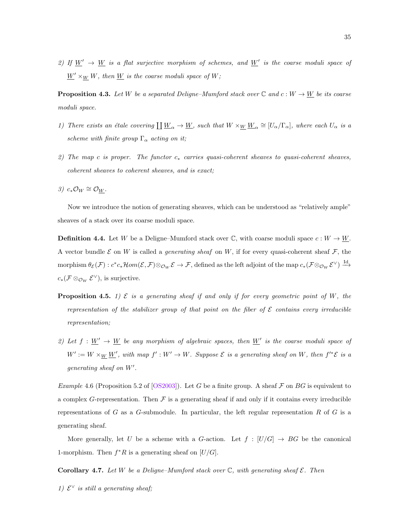2) If  $\underline{W}' \rightarrow \underline{W}$  is a flat surjective morphism of schemes, and  $\underline{W}'$  is the coarse moduli space of  $\underline{W}' \times_W W$ , then  $\underline{W}$  is the coarse moduli space of W;

**Proposition 4.3.** Let W be a separated Deligne–Mumford stack over  $\mathbb{C}$  and  $c: W \to \underline{W}$  be its coarse moduli space.

- 1) There exists an étale covering  $\underline{W}_{\alpha} \to \underline{W}$ , such that  $W \times_{\underline{W}} \underline{W}_{\alpha} \cong [U_{\alpha}/\Gamma_{\alpha}]$ , where each  $U_{\alpha}$  is a scheme with finite group  $\Gamma_{\alpha}$  acting on it;
- 2) The map c is proper. The functor  $c_*$  carries quasi-coherent sheaves to quasi-coherent sheaves, coherent sheaves to coherent sheaves, and is exact;
- 3)  $c_*\mathcal{O}_W \cong \mathcal{O}_{W}$ .

Now we introduce the notion of generating sheaves, which can be understood as "relatively ample" sheaves of a stack over its coarse moduli space.

**Definition 4.4.** Let W be a Deligne–Mumford stack over  $\mathbb{C}$ , with coarse moduli space  $c: W \to \underline{W}$ . A vector bundle  $\mathcal E$  on W is called a *generating sheaf* on W, if for every quasi-coherent sheaf  $\mathcal F$ , the  $\text{morphism } \theta_{\mathcal{E}}(\mathcal{F}) : c^*c_*\mathcal{H}om(\mathcal{E},\mathcal{F}) \otimes_{\mathcal{O}_W} \mathcal{E} \to \mathcal{F}, \text{ defined as the left adjoint of the map } c_*(\mathcal{F} \otimes_{\mathcal{O}_W} \mathcal{E}^\vee) \stackrel{\text{Id}}{\to}$  $c_*(\mathcal{F} \otimes_{\mathcal{O}_W} \mathcal{E}^{\vee}),$  is surjective.

- **Proposition 4.5.** 1)  $\mathcal E$  is a generating sheaf if and only if for every geometric point of W, the representation of the stabilizer group of that point on the fiber of  $\mathcal E$  contains every irreducible representation;
- 2) Let  $f: \underline{W}' \to \underline{W}$  be any morphism of algebraic spaces, then  $\underline{W}'$  is the coarse moduli space of  $W' := W \times_{W} \underline{W}'$ , with map  $f' : W' \to W$ . Suppose  $\mathcal E$  is a generating sheaf on W, then  $f'^* \mathcal E$  is a  $generating\ sheaf\ on\ W'.$

*Example* 4.6 (Proposition 5.2 of [\[OS2003\]](#page-88-0)). Let G be a finite group. A sheaf  $\mathcal F$  on BG is equivalent to a complex G-representation. Then  $\mathcal F$  is a generating sheaf if and only if it contains every irreducible representations of G as a G-submodule. In particular, the left regular representation R of G is a generating sheaf.

More generally, let U be a scheme with a G-action. Let  $f : [U/G] \rightarrow BG$  be the canonical 1-morphism. Then  $f^*R$  is a generating sheaf on  $[U/G]$ .

<span id="page-40-0"></span>Corollary 4.7. Let W be a Deligne–Mumford stack over  $\mathbb C$ , with generating sheaf  $\mathcal E$ . Then

1)  $\mathcal{E}^{\vee}$  is still a generating sheaf;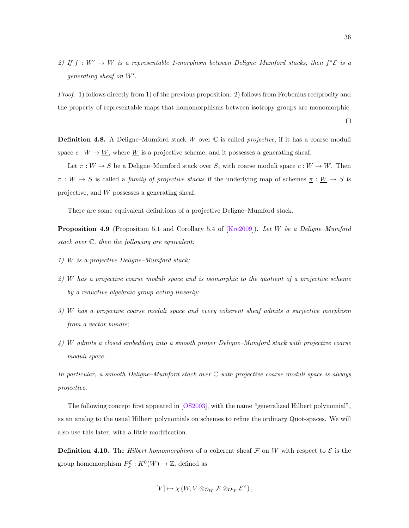2) If  $f: W' \to W$  is a representable 1-morphism between Deligne–Mumford stacks, then  $f^*{\mathcal{E}}$  is a generating sheaf on  $W'$ .

Proof. 1) follows directly from 1) of the previous proposition. 2) follows from Frobenius reciprocity and the property of representable maps that homomorphisms between isotropy groups are monomorphic.

**Definition 4.8.** A Deligne–Mumford stack W over  $\mathbb C$  is called *projective*, if it has a coarse moduli space  $c: W \to \underline{W}$ , where  $\underline{W}$  is a projective scheme, and it possesses a generating sheaf.

Let  $\pi : W \to S$  be a Deligne–Mumford stack over S, with coarse moduli space  $c : W \to W$ . Then  $\pi : W \to S$  is called a *family of projective stacks* if the underlying map of schemes  $\underline{\pi} : \underline{W} \to S$  is projective, and W possesses a generating sheaf.

There are some equivalent definitions of a projective Deligne–Mumford stack.

<span id="page-41-0"></span>Proposition 4.9 (Proposition 5.1 and Corollary 5.4 of [\[Kre2009\]](#page-88-1)). Let W be a Deligne–Mumford stack over  $\mathbb{C}$ , then the following are equivalent:

- 1) W is a projective Deligne–Mumford stack;
- 2) W has a projective coarse moduli space and is isomorphic to the quotient of a projective scheme by a reductive algebraic group acting linearly;
- 3) W has a projective coarse moduli space and every coherent sheaf admits a surjective morphism from a vector bundle;
- 4) W admits a closed embedding into a smooth proper Deligne–Mumford stack with projective coarse moduli space.

In particular, a smooth Deligne–Mumford stack over C with projective coarse moduli space is always projective.

The following concept first appeared in [\[OS2003\]](#page-88-0), with the name "generalized Hilbert polynomial", as an analog to the usual Hilbert polynomials on schemes to refine the ordinary Quot-spaces. We will also use this later, with a little modification.

**Definition 4.10.** The Hilbert homomorphism of a coherent sheaf F on W with respect to  $\mathcal{E}$  is the group homomorphism  $P_{\mathcal{F}}^{\mathcal{E}} : K^0(W) \to \mathbb{Z}$ , defined as

$$
[V] \mapsto \chi(W, V \otimes_{\mathcal{O}_W} \mathcal{F} \otimes_{\mathcal{O}_W} \mathcal{E}^{\vee}),
$$

 $\Box$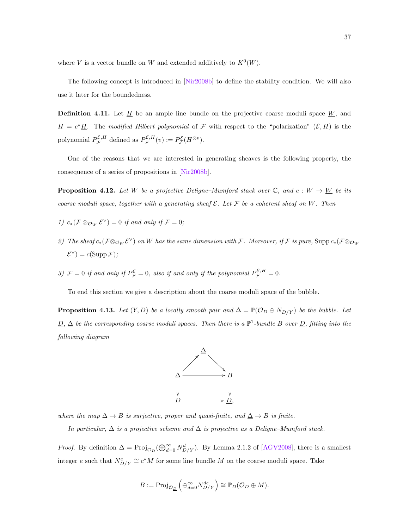where V is a vector bundle on W and extended additively to  $K^0(W)$ .

The following concept is introduced in [\[Nir2008b\]](#page-88-2) to define the stability condition. We will also use it later for the boundedness.

**Definition 4.11.** Let  $\underline{H}$  be an ample line bundle on the projective coarse moduli space  $\underline{W}$ , and  $H = c^* \underline{H}$ . The modified Hilbert polynomial of F with respect to the "polarization"  $(\mathcal{E}, H)$  is the polynomial  $P_{\mathcal{F}}^{\mathcal{E},H}$  defined as  $P_{\mathcal{F}}^{\mathcal{E},H}(v) := P_{\mathcal{F}}^{\mathcal{E}}(H^{\otimes v})$ .

One of the reasons that we are interested in generating sheaves is the following property, the consequence of a series of propositions in [\[Nir2008b\]](#page-88-2).

<span id="page-42-0"></span>**Proposition 4.12.** Let W be a projective Deligne–Mumford stack over  $\mathbb{C}$ , and  $c: W \to \underline{W}$  be its coarse moduli space, together with a generating sheaf  $\mathcal{E}$ . Let  $\mathcal{F}$  be a coherent sheaf on W. Then

- 1)  $c_*(\mathcal{F} \otimes_{\mathcal{O}_W} \mathcal{E}^{\vee}) = 0$  if and only if  $\mathcal{F} = 0$ ;
- 2) The sheaf  $c_*(\mathcal{F} \otimes_{\mathcal{O}_W} \mathcal{E}^{\vee})$  on W has the same dimension with F. Moreover, if F is pure,  $\text{Supp}\, c_*(\mathcal{F} \otimes_{\mathcal{O}_W} \mathcal{E}^{\vee})$  $\mathcal{E}^{\vee}$ ) =  $c(\text{Supp }\mathcal{F});$
- 3)  $\mathcal{F} = 0$  if and only if  $P_{\mathcal{F}}^{\mathcal{E}} = 0$ , also if and only if the polynomial  $P_{\mathcal{F}}^{\mathcal{E},H} = 0$ .

To end this section we give a description about the coarse moduli space of the bubble.

<span id="page-42-1"></span>**Proposition 4.13.** Let  $(Y, D)$  be a locally smooth pair and  $\Delta = \mathbb{P}(\mathcal{O}_D \oplus N_{D/Y})$  be the bubble. Let  $\underline{D}$ ,  $\Delta$  be the corresponding coarse moduli spaces. Then there is a  $\mathbb{P}^1$ -bundle B over  $\underline{D}$ , fitting into the following diagram



where the map  $\Delta \to B$  is surjective, proper and quasi-finite, and  $\underline{\Delta} \to B$  is finite.

In particular,  $\Delta$  is a projective scheme and  $\Delta$  is projective as a Deligne–Mumford stack.

*Proof.* By definition  $\Delta = \text{Proj}_{\mathcal{O}_D}(\bigoplus_{d=0}^{\infty} N_{D/Y}^d)$ . By Lemma 2.1.2 of [\[AGV2008\]](#page-87-2), there is a smallest integer e such that  $N_{D/Y}^e \cong c^*M$  for some line bundle M on the coarse moduli space. Take

$$
B := \mathrm{Proj}_{\mathcal{O}_{\underline{D}}}\left(\oplus_{d=0}^{\infty} N_{D/Y}^{de}\right) \cong \mathbb{P}_{\underline{D}}(\mathcal{O}_{\underline{D}} \oplus M).
$$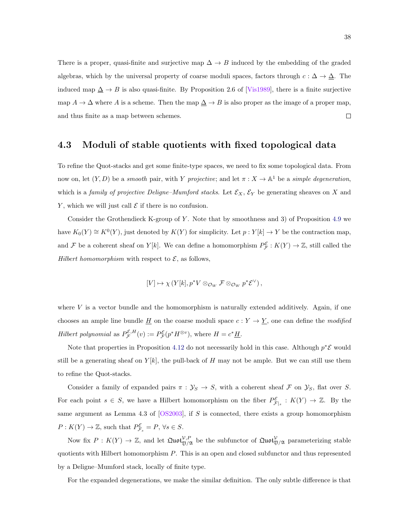There is a proper, quasi-finite and surjective map  $\Delta \to B$  induced by the embedding of the graded algebras, which by the universal property of coarse moduli spaces, factors through  $c : \Delta \to \underline{\Delta}$ . The induced map  $\Delta \to B$  is also quasi-finite. By Proposition 2.6 of [\[Vis1989\]](#page-89-0), there is a finite surjective map  $A \to \Delta$  where A is a scheme. Then the map  $\Delta \to B$  is also proper as the image of a proper map, and thus finite as a map between schemes.  $\Box$ 

#### <span id="page-43-0"></span>4.3 Moduli of stable quotients with fixed topological data

To refine the Quot-stacks and get some finite-type spaces, we need to fix some topological data. From now on, let  $(Y, D)$  be a smooth pair, with Y projective; and let  $\pi : X \to \mathbb{A}^1$  be a simple degeneration, which is a family of projective Deligne–Mumford stacks. Let  $\mathcal{E}_X$ ,  $\mathcal{E}_Y$  be generating sheaves on X and Y, which we will just call  $\mathcal E$  if there is no confusion.

Consider the Grothendieck K-group of Y. Note that by smoothness and 3) of Proposition [4.9](#page-41-0) we have  $K_0(Y) \cong K^0(Y)$ , just denoted by  $K(Y)$  for simplicity. Let  $p: Y[k] \to Y$  be the contraction map, and F be a coherent sheaf on  $Y[k]$ . We can define a homomorphism  $P_{\mathcal{F}}^{\mathcal{E}} : K(Y) \to \mathbb{Z}$ , still called the Hilbert homomorphism with respect to  $\mathcal{E}$ , as follows,

$$
[V] \mapsto \chi \left( Y[k], p^*V \otimes_{\mathcal{O}_W} \mathcal{F} \otimes_{\mathcal{O}_W} p^* \mathcal{E}^{\vee} \right),
$$

where  $V$  is a vector bundle and the homomorphism is naturally extended additively. Again, if one chooses an ample line bundle  $\underline{H}$  on the coarse moduli space  $c: Y \to \underline{Y}$ , one can define the modified Hilbert polynomial as  $P_{\mathcal{F}}^{\mathcal{E},H}(v) := P_{\mathcal{F}}^{\mathcal{E}}(p^*H^{\otimes v}),$  where  $H = c^* \underline{H}$ .

Note that properties in Proposition [4.12](#page-42-0) do not necessarily hold in this case. Although  $p^*\mathcal{E}$  would still be a generating sheaf on  $Y[k]$ , the pull-back of H may not be ample. But we can still use them to refine the Quot-stacks.

Consider a family of expanded pairs  $\pi : \mathcal{Y}_S \to S$ , with a coherent sheaf F on  $\mathcal{Y}_S$ , flat over S. For each point  $s \in S$ , we have a Hilbert homomorphism on the fiber  $P_{\mathcal{F}|_s}^{\mathcal{E}} : K(Y) \to \mathbb{Z}$ . By the same argument as Lemma 4.3 of  $[OS2003]$ , if S is connected, there exists a group homomorphism  $P: K(Y) \to \mathbb{Z}$ , such that  $P_{\mathcal{F}_s}^{\mathcal{E}} = P, \forall s \in S$ .

Now fix  $P: K(Y) \to \mathbb{Z}$ , and let  $\mathfrak{Quot}_{\mathfrak{Y}/\mathfrak{A}}^{V,P}$  be the subfunctor of  $\mathfrak{Quot}_{\mathfrak{Y}/\mathfrak{A}}^V$  parameterizing stable quotients with Hilbert homomorphism P. This is an open and closed subfunctor and thus represented by a Deligne–Mumford stack, locally of finite type.

For the expanded degenerations, we make the similar definition. The only subtle difference is that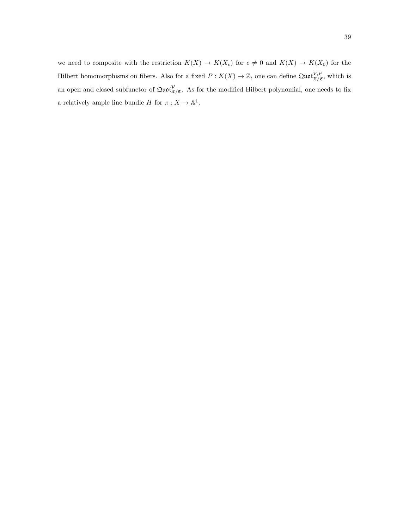we need to composite with the restriction  $K(X) \to K(X_c)$  for  $c \neq 0$  and  $K(X) \to K(X_0)$  for the Hilbert homomorphisms on fibers. Also for a fixed  $P: K(X) \to \mathbb{Z}$ , one can define  $\mathfrak{Quot}_{\mathfrak{X}/\mathfrak{C}}^{\mathcal{V},P}$ , which is an open and closed subfunctor of  $\mathfrak{Quot}^{\mathcal{V}}_{\mathfrak{X}/\mathfrak{C}}$ . As for the modified Hilbert polynomial, one needs to fix a relatively ample line bundle H for  $\pi: X \to \mathbb{A}^1$ .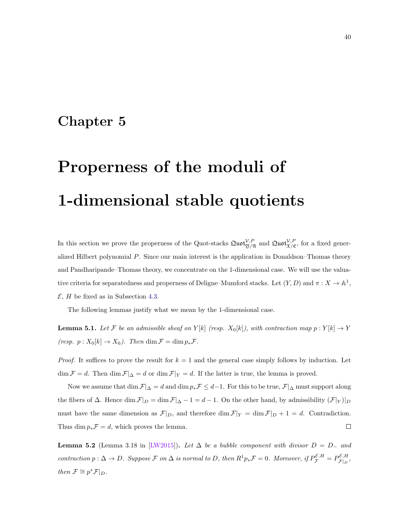### Chapter 5

# Properness of the moduli of 1-dimensional stable quotients

In this section we prove the properness of the Quot-stacks  $\mathfrak{Quot}_{\mathfrak{Y}/\mathfrak{A}}^{\mathcal{V},P}$  and  $\mathfrak{Quot}_{\mathfrak{X}/\mathfrak{C}}^{\mathcal{V},P}$ , for a fixed generalized Hilbert polynomial P. Since our main interest is the application in Donaldson–Thomas theory and Pandharipande–Thomas theory, we concentrate on the 1-dimensional case. We will use the valuative criteria for separatedness and properness of Deligne–Mumford stacks. Let  $(Y, D)$  and  $\pi : X \to \mathbb{A}^1$ ,  $\mathcal{E}, H$  be fixed as in Subsection [4.3.](#page-43-0)

The following lemmas justify what we mean by the 1-dimensional case.

**Lemma 5.1.** Let F be an admissible sheaf on Y[k] (resp.  $X_0[k]$ ), with contraction map  $p: Y[k] \to Y$ (resp.  $p: X_0[k] \to X_0$ ). Then  $\dim \mathcal{F} = \dim p_* \mathcal{F}$ .

*Proof.* It suffices to prove the result for  $k = 1$  and the general case simply follows by induction. Let  $\dim \mathcal{F} = d$ . Then  $\dim \mathcal{F}|_{\Delta} = d$  or  $\dim \mathcal{F}|_{Y} = d$ . If the latter is true, the lemma is proved.

Now we assume that dim  $\mathcal{F}|_{\Delta} = d$  and dim  $p_*\mathcal{F} \leq d-1$ . For this to be true,  $\mathcal{F}|_{\Delta}$  must support along the fibers of  $\Delta$ . Hence  $\dim \mathcal{F}|_D = \dim \mathcal{F}|_{\Delta} - 1 = d - 1$ . On the other hand, by admissibility  $(\mathcal{F}|_Y)|_D$ must have the same dimension as  $\mathcal{F}|_D$ , and therefore dim  $\mathcal{F}|_Y = \dim \mathcal{F}|_D + 1 = d$ . Contradiction. Thus dim  $p_*\mathcal{F} = d$ , which proves the lemma.  $\Box$ 

<span id="page-45-0"></span>**Lemma 5.2** (Lemma 3.18 in [\[LW2015\]](#page-88-3)). Let  $\Delta$  be a bubble component with divisor  $D = D_{-}$  and contraction  $p: \Delta \to D$ . Suppose F on  $\Delta$  is normal to D, then  $R^1p_*\mathcal{F} = 0$ . Moreover, if  $P_{\mathcal{F}}^{\mathcal{E},H} = P_{\mathcal{F}|_D}^{\mathcal{E},H}$  $\begin{array}{c} \mathcal{F}|_D \mathcal{F}|_D \end{array},$ then  $\mathcal{F} \cong p^* \mathcal{F}|_D$ .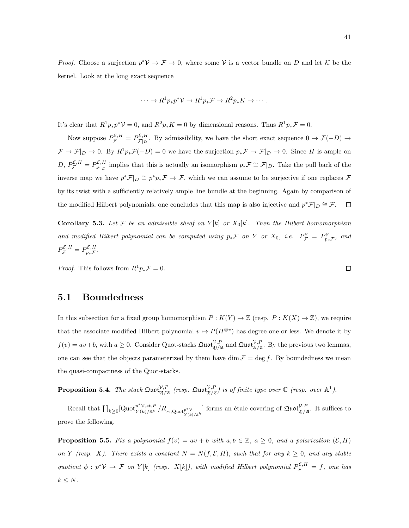*Proof.* Choose a surjection  $p^*V \to \mathcal{F} \to 0$ , where some V is a vector bundle on D and let K be the kernel. Look at the long exact sequence

$$
\cdots \to R^1 p_* p^* \mathcal{V} \to R^1 p_* \mathcal{F} \to R^2 p_* K \to \cdots.
$$

It's clear that  $R^1p_*p^*\mathcal{V}=0$ , and  $R^2p_*K=0$  by dimensional reasons. Thus  $R^1p_*\mathcal{F}=0$ .

Now suppose  $P_{\mathcal{F}}^{\mathcal{E},H} = P_{\mathcal{F}|_D}^{\mathcal{E},H}$  $\mathcal{F}_{|D}$ . By admissibility, we have the short exact sequence  $0 \to \mathcal{F}(-D) \to \mathcal{F}_{|D}$  $\mathcal{F} \to \mathcal{F}|_D \to 0$ . By  $R^1p_*\mathcal{F}(-D) = 0$  we have the surjection  $p_*\mathcal{F} \to \mathcal{F}|_D \to 0$ . Since H is ample on  $D, P_{\mathcal{F}}^{\mathcal{E},H} = P_{\mathcal{F}|_D}^{\mathcal{E},H}$  $\mathcal{E}_{\mathcal{F}|D}^{\mathcal{E},H}$  implies that this is actually an isomorphism  $p_*\mathcal{F} \cong \mathcal{F}|_D$ . Take the pull back of the inverse map we have  $p^* \mathcal{F}|_D \cong p^*p_* \mathcal{F} \to \mathcal{F}$ , which we can assume to be surjective if one replaces  $\mathcal{F}$ by its twist with a sufficiently relatively ample line bundle at the beginning. Again by comparison of the modified Hilbert polynomials, one concludes that this map is also injective and  $p^*\mathcal{F}|_D \cong \mathcal{F}$ .  $\Box$ 

**Corollary 5.3.** Let F be an admissible sheaf on  $Y[k]$  or  $X_0[k]$ . Then the Hilbert homomorphism and modified Hilbert polynomial can be computed using  $p_*\mathcal{F}$  on Y or  $X_0$ , i.e.  $P_{\mathcal{F}}^{\mathcal{E}} = P_{p_*\mathcal{F}}^{\mathcal{E}}$ , and  $P^{\mathcal{E},H}_{\mathcal{F}}=P^{\mathcal{E},H}_{p_*\mathcal{F}}.$ 

*Proof.* This follows from  $R^1p_*\mathcal{F}=0$ .

#### 5.1 Boundedness

In this subsection for a fixed group homomorphism  $P : K(Y) \to \mathbb{Z}$  (resp.  $P : K(X) \to \mathbb{Z}$ ), we require that the associate modified Hilbert polynomial  $v \mapsto P(H^{\otimes v})$  has degree one or less. We denote it by  $f(v) = av + b$ , with  $a \geq 0$ . Consider Quot-stacks  $\mathfrak{Quot}_{\mathfrak{Y}/\mathfrak{A}}^{\mathcal{V},P}$  and  $\mathfrak{Quot}_{\mathfrak{X}/\mathfrak{C}}^{\mathcal{V},P}$ . By the previous two lemmas, one can see that the objects parameterized by them have dim  $\mathcal{F} = \deg f$ . By boundedness we mean the quasi-compactness of the Quot-stacks.

**Proposition 5.4.** The stack  $\text{Quot}_{\mathfrak{Y}/\mathfrak{A}}^{\mathcal{V},P}$  (resp.  $\text{Quot}_{\mathfrak{X}/\mathfrak{C}}^{\mathcal{V},P}$ ) is of finite type over  $\mathbb{C}$  (resp. over  $\mathbb{A}^1$ ).

Recall that  $\prod_{k\geq 0} [Quot_{Y(k)/\mathbb{A}^k}^{\mathcal{P}^*\mathcal{V},st,P}/R_{\sim,Quot_{Y(k)/\mathbb{A}^k}}]$  forms an étale covering of  $Quot_{\mathfrak{Y}/\mathfrak{A}}^{\mathcal{V},P}$ . It suffices to prove the following.

<span id="page-46-0"></span>**Proposition 5.5.** Fix a polynomial  $f(v) = av + b$  with  $a, b \in \mathbb{Z}$ ,  $a \geq 0$ , and a polarization  $(\mathcal{E}, H)$ on Y (resp. X). There exists a constant  $N = N(f, \mathcal{E}, H)$ , such that for any  $k \geq 0$ , and any stable quotient  $\phi: p^*\mathcal{V} \to \mathcal{F}$  on  $Y[k]$  (resp.  $X[k]$ ), with modified Hilbert polynomial  $P_{\mathcal{F}}^{\mathcal{E},H} = f$ , one has  $k \leq N$ .

 $\Box$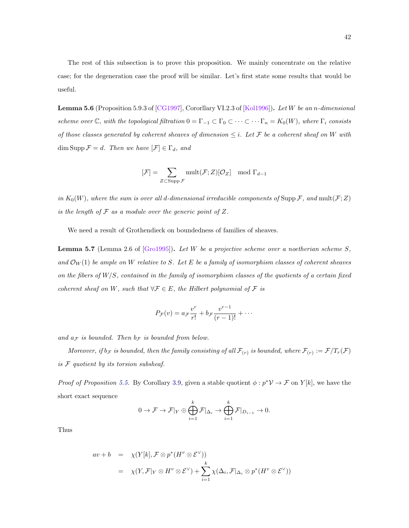The rest of this subsection is to prove this proposition. We mainly concentrate on the relative case; for the degeneration case the proof will be similar. Let's first state some results that would be useful.

<span id="page-47-1"></span>Lemma 5.6 (Proposition 5.9.3 of [\[CG1997\]](#page-87-3), Cororllary VI.2.3 of [\[Kol1996\]](#page-88-4)). Let W be an n-dimensional scheme over  $\mathbb C$ , with the topological filtration  $0 = \Gamma_{-1} \subset \Gamma_0 \subset \cdots \subset \cdots \Gamma_n = K_0(W)$ , where  $\Gamma_i$  consists of those classes generated by coherent sheaves of dimension  $\leq i$ . Let F be a coherent sheaf on W with dim Supp  $\mathcal{F} = d$ . Then we have  $[\mathcal{F}] \in \Gamma_d$ , and

$$
[\mathcal{F}] = \sum_{Z \subset \text{Supp } \mathcal{F}} \text{mult}(\mathcal{F}; Z)[\mathcal{O}_Z] \mod \Gamma_{d-1}
$$

in  $K_0(W)$ , where the sum is over all d-dimensional irreducible components of Supp F, and mult(F;Z) is the length of  $\mathcal F$  as a module over the generic point of  $Z$ .

We need a result of Grothendieck on boundedness of families of sheaves.

<span id="page-47-2"></span>**Lemma 5.7** (Lemma 2.6 of [\[Gro1995\]](#page-87-4)). Let W be a projective scheme over a noetherian scheme  $S$ , and  $\mathcal{O}_W(1)$  be ample on W relative to S. Let E be a family of isomorphism classes of coherent sheaves on the fibers of  $W/S$ , contained in the family of isomorphism classes of the quotients of a certain fixed coherent sheaf on W, such that  $\forall \mathcal{F} \in E$ , the Hilbert polynomial of  $\mathcal F$  is

$$
P_{\mathcal{F}}(v) = a_{\mathcal{F}} \frac{v^r}{r!} + b_{\mathcal{F}} \frac{v^{r-1}}{(r-1)!} + \cdots
$$

and  $a_{\mathcal{F}}$  is bounded. Then  $b_{\mathcal{F}}$  is bounded from below.

Moreover, if  $b_F$  is bounded, then the family consisting of all  $\mathcal{F}_{(r)}$  is bounded, where  $\mathcal{F}_{(r)} := \mathcal{F}/T_r(\mathcal{F})$ is F quotient by its torsion subsheaf.

*Proof of Proposition [5.5.](#page-46-0)* By Corollary [3.9,](#page-30-0) given a stable quotient  $\phi : p^* \mathcal{V} \to \mathcal{F}$  on  $Y[k]$ , we have the short exact sequence

$$
0 \to \mathcal{F} \to \mathcal{F}|_Y \oplus \bigoplus_{i=1}^k \mathcal{F}|_{\Delta_i} \to \bigoplus_{i=1}^k \mathcal{F}|_{D_{i-1}} \to 0.
$$

Thus

<span id="page-47-0"></span>
$$
av + b = \chi(Y[k], \mathcal{F} \otimes p^*(H^v \otimes \mathcal{E}^{\vee}))
$$
  
=  $\chi(Y, \mathcal{F}|_Y \otimes H^v \otimes \mathcal{E}^{\vee}) + \sum_{i=1}^k \chi(\Delta_i, \mathcal{F}|_{\Delta_i} \otimes p^*(H^v \otimes \mathcal{E}^{\vee}))$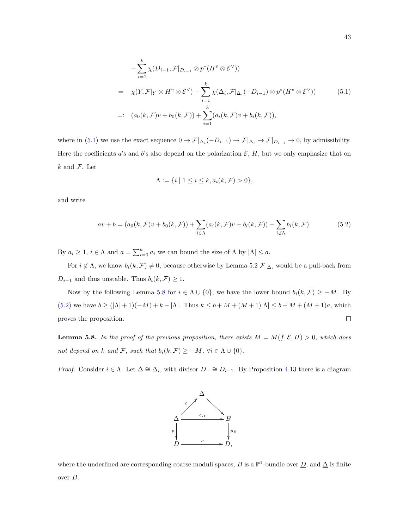$$
-\sum_{i=1}^{k} \chi(D_{i-1}, \mathcal{F}|_{D_{i-1}} \otimes p^*(H^v \otimes \mathcal{E}^{\vee}))
$$
  
=  $\chi(Y, \mathcal{F}|_Y \otimes H^v \otimes \mathcal{E}^{\vee}) + \sum_{i=1}^{k} \chi(\Delta_i, \mathcal{F}|_{\Delta_i}(-D_{i-1}) \otimes p^*(H^v \otimes \mathcal{E}^{\vee}))$  (5.1)  
=:  $(a_0(k, \mathcal{F})v + b_0(k, \mathcal{F})) + \sum_{i=1}^{k} (a_i(k, \mathcal{F})v + b_i(k, \mathcal{F})),$ 

where in [\(5.1\)](#page-47-0) we use the exact sequence  $0 \to \mathcal{F}|_{\Delta_i}(-D_{i-1}) \to \mathcal{F}|_{\Delta_i} \to \mathcal{F}|_{D_{i-1}} \to 0$ , by admissibility. Here the coefficients a's and b's also depend on the polarization  $\mathcal{E}, H$ , but we only emphasize that on  $k$  and  $\mathcal{F}$ . Let

$$
\Lambda := \{ i \mid 1 \le i \le k, a_i(k, \mathcal{F}) > 0 \},
$$

and write

<span id="page-48-1"></span>
$$
av + b = (a_0(k, \mathcal{F})v + b_0(k, \mathcal{F})) + \sum_{i \in \Lambda} (a_i(k, \mathcal{F})v + b_i(k, \mathcal{F})) + \sum_{i \notin \Lambda} b_i(k, \mathcal{F}).
$$
\n(5.2)

By  $a_i \geq 1$ ,  $i \in \Lambda$  and  $a = \sum_{i=0}^{k} a_i$  we can bound the size of  $\Lambda$  by  $|\Lambda| \leq a$ .

For  $i \notin \Lambda$ , we know  $b_i(k, \mathcal{F}) \neq 0$ , because otherwise by Lemma [5.2](#page-45-0)  $\mathcal{F}|_{\Delta_i}$  would be a pull-back from  $D_{i-1}$  and thus unstable. Thus  $b_i(k, \mathcal{F}) \geq 1$ .

Now by the following Lemma [5.8](#page-48-0) for  $i \in \Lambda \cup \{0\}$ , we have the lower bound  $b_i(k, \mathcal{F}) \geq -M$ . By [\(5.2\)](#page-48-1) we have  $b \geq (|\Lambda| + 1)(-M) + k - |\Lambda|$ . Thus  $k \leq b + M + (M + 1)|\Lambda| \leq b + M + (M + 1)a$ , which  $\Box$ proves the proposition.

<span id="page-48-0"></span>**Lemma 5.8.** In the proof of the previous proposition, there exists  $M = M(f, \mathcal{E}, H) > 0$ , which does not depend on k and F, such that  $b_i(k, \mathcal{F}) \ge -M$ ,  $\forall i \in \Lambda \cup \{0\}$ .

Proof. Consider  $i \in \Lambda$ . Let  $\Delta \cong \Delta_i$ , with divisor  $D_- \cong D_{i-1}$ . By Proposition [4.13](#page-42-1) there is a diagram



where the underlined are corresponding coarse moduli spaces, B is a  $\mathbb{P}^1$ -bundle over  $\underline{D}$ , and  $\underline{\Delta}$  is finite over B.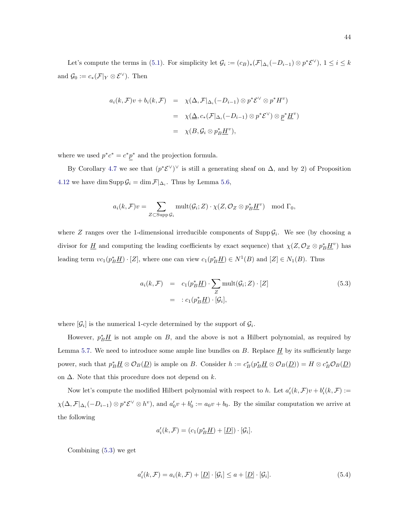Let's compute the terms in [\(5.1\)](#page-47-0). For simplicity let  $\mathcal{G}_i := (c_B)_*(\mathcal{F}|_{\Delta_i}(-D_{i-1}) \otimes p^*\mathcal{E}^{\vee}), 1 \le i \le k$ and  $\mathcal{G}_0 := c_*(\mathcal{F}|_Y \otimes \mathcal{E}^{\vee})$ . Then

$$
a_i(k, \mathcal{F})v + b_i(k, \mathcal{F}) = \chi(\Delta, \mathcal{F}|_{\Delta_i}(-D_{i-1}) \otimes p^* \mathcal{E}^{\vee} \otimes p^* H^v)
$$
  

$$
= \chi(\Delta, c_*(\mathcal{F}|_{\Delta_i}(-D_{i-1}) \otimes p^* \mathcal{E}^{\vee}) \otimes \underline{p}^* \underline{H}^v)
$$
  

$$
= \chi(B, \mathcal{G}_i \otimes p_B^* \underline{H}^v),
$$

where we used  $p^*c^* = c^*p^*$  and the projection formula.

By Corollary [4.7](#page-40-0) we see that  $(p^* \mathcal{E}^{\vee})^{\vee}$  is still a generating sheaf on  $\Delta$ , and by 2) of Proposition [4.12](#page-42-0) we have dim Supp  $\mathcal{G}_i = \dim \mathcal{F}|_{\Delta_i}$ . Thus by Lemma [5.6,](#page-47-1)

$$
a_i(k,\mathcal{F})v = \sum_{Z \subset \text{Supp } \mathcal{G}_i} \text{mult}(\mathcal{G}_i;Z) \cdot \chi(Z,\mathcal{O}_Z \otimes p_B^* \underline{H}^v) \mod \Gamma_0,
$$

where Z ranges over the 1-dimensional irreducible components of  $\text{Supp}\,\mathcal{G}_i$ . We see (by choosing a divisor for  $\underline{H}$  and computing the leading coefficients by exact sequence) that  $\chi(Z, \mathcal{O}_Z \otimes p_B^* \underline{H}^v)$  has leading term  $vc_1(p_B^* \underline{H}) \cdot [Z]$ , where one can view  $c_1(p_B^* \underline{H}) \in N^1(B)$  and  $[Z] \in N_1(B)$ . Thus

<span id="page-49-0"></span>
$$
a_i(k, \mathcal{F}) = c_1(p_B^* \underline{H}) \cdot \sum_{Z} \text{mult}(\mathcal{G}_i; Z) \cdot [Z]
$$
  
=  $: c_1(p_B^* \underline{H}) \cdot [\mathcal{G}_i],$  (5.3)

where  $[\mathcal{G}_i]$  is the numerical 1-cycle determined by the support of  $\mathcal{G}_i$ .

However,  $p_B^* \underline{H}$  is not ample on B, and the above is not a Hilbert polynomial, as required by Lemma [5.7.](#page-47-2) We need to introduce some ample line bundles on  $B$ . Replace  $H$  by its sufficiently large power, such that  $p_B^* \underline{H} \otimes \mathcal{O}_B(\underline{D})$  is ample on B. Consider  $h := c_B^*(p_B^* \underline{H} \otimes \mathcal{O}_B(\underline{D})) = H \otimes c_B^* \mathcal{O}_B(\underline{D})$ on  $\Delta$ . Note that this procedure does not depend on k.

Now let's compute the modified Hilbert polynomial with respect to h. Let  $a'_i(k,\mathcal{F})v + b'_i(k,\mathcal{F}) :=$  $\chi(\Delta, \mathcal{F}|_{\Delta_i}(-D_{i-1}) \otimes p^* \mathcal{E}^{\vee} \otimes h^v)$ , and  $a'_0v + b'_0 := a_0v + b_0$ . By the similar computation we arrive at the following

$$
a_i'(k, \mathcal{F}) = (c_1(p_B^* \underline{H}) + [\underline{D}]) \cdot [\mathcal{G}_i].
$$

Combining [\(5.3\)](#page-49-0) we get

<span id="page-49-1"></span>
$$
a_i'(k, \mathcal{F}) = a_i(k, \mathcal{F}) + [\underline{D}] \cdot [\mathcal{G}_i] \le a + [\underline{D}] \cdot [\mathcal{G}_i]. \tag{5.4}
$$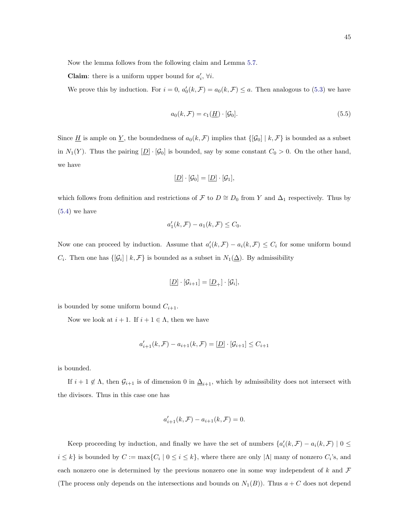Now the lemma follows from the following claim and Lemma [5.7.](#page-47-2)

**Claim:** there is a uniform upper bound for  $a'_i$ ,  $\forall i$ .

We prove this by induction. For  $i = 0$ ,  $a'_0(k, \mathcal{F}) = a_0(k, \mathcal{F}) \leq a$ . Then analogous to [\(5.3\)](#page-49-0) we have

$$
a_0(k, \mathcal{F}) = c_1(\underline{H}) \cdot [\mathcal{G}_0]. \tag{5.5}
$$

Since  $\underline{H}$  is ample on  $\underline{Y}$ , the boundedness of  $a_0(k, \mathcal{F})$  implies that  $\{[\mathcal{G}_0] | k, \mathcal{F}\}$  is bounded as a subset in  $N_1(Y)$ . Thus the pairing  $[\underline{D}] \cdot [\mathcal{G}_0]$  is bounded, say by some constant  $C_0 > 0$ . On the other hand, we have

$$
[\underline{D}]\cdot[\mathcal{G}_0]=[\underline{D}]\cdot[\mathcal{G}_1],
$$

which follows from definition and restrictions of F to  $D \cong D_0$  from Y and  $\Delta_1$  respectively. Thus by [\(5.4\)](#page-49-1) we have

$$
a_1'(k, \mathcal{F}) - a_1(k, \mathcal{F}) \leq C_0.
$$

Now one can proceed by induction. Assume that  $a'_i(k,\mathcal{F}) - a_i(k,\mathcal{F}) \leq C_i$  for some uniform bound  $C_i$ . Then one has  $\{[\mathcal{G}_i] \mid k, \mathcal{F}\}$  is bounded as a subset in  $N_1(\Delta)$ . By admissibility

$$
[\underline{D}]\cdot[\mathcal{G}_{i+1}]=[\underline{D}_+]\cdot[\mathcal{G}_i],
$$

is bounded by some uniform bound  $C_{i+1}$ .

Now we look at  $i + 1$ . If  $i + 1 \in \Lambda$ , then we have

$$
a'_{i+1}(k,\mathcal{F}) - a_{i+1}(k,\mathcal{F}) = [\underline{D}] \cdot [\mathcal{G}_{i+1}] \le C_{i+1}
$$

is bounded.

If  $i + 1 \notin \Lambda$ , then  $\mathcal{G}_{i+1}$  is of dimension 0 in  $\Delta_{i+1}$ , which by admissibility does not intersect with the divisors. Thus in this case one has

$$
a'_{i+1}(k,\mathcal{F}) - a_{i+1}(k,\mathcal{F}) = 0.
$$

Keep proceeding by induction, and finally we have the set of numbers  $\{a'_i(k,\mathcal{F}) - a_i(k,\mathcal{F}) \mid 0 \leq$  $i \leq k$  is bounded by  $C := \max\{C_i \mid 0 \leq i \leq k\}$ , where there are only  $|\Lambda|$  many of nonzero  $C_i$ 's, and each nonzero one is determined by the previous nonzero one in some way independent of k and  $\mathcal F$ (The process only depends on the intersections and bounds on  $N_1(B)$ ). Thus  $a + C$  does not depend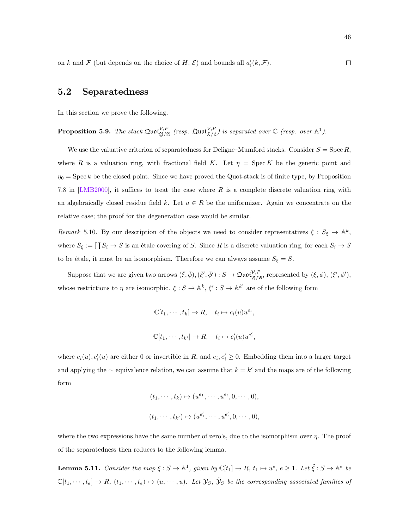on k and F (but depends on the choice of  $\underline{H}$ , E) and bounds all  $a'_i(k, \mathcal{F})$ .

#### 5.2 Separatedness

In this section we prove the following.

<span id="page-51-0"></span>**Proposition 5.9.** The stack 
$$
\text{Quot}_{\mathfrak{Y}/\mathfrak{X}}^{\mathcal{V},P}
$$
 (resp.  $\text{Quot}_{\mathfrak{X}/\mathfrak{C}}^{\mathcal{V},P}$ ) is separated over  $\mathbb{C}$  (resp. over  $\mathbb{A}^1$ ).

We use the valuative criterion of separatedness for Deligne–Mumford stacks. Consider  $S = \text{Spec } R$ , where R is a valuation ring, with fractional field K. Let  $\eta = \text{Spec } K$  be the generic point and  $\eta_0 = \text{Spec } k$  be the closed point. Since we have proved the Quot-stack is of finite type, by Proposition 7.8 in [\[LMB2000\]](#page-88-5), it suffices to treat the case where  $R$  is a complete discrete valuation ring with an algebraically closed residue field k. Let  $u \in R$  be the uniformizer. Again we concentrate on the relative case; the proof for the degeneration case would be similar.

Remark 5.10. By our description of the objects we need to consider representatives  $\xi : S_{\xi} \to \mathbb{A}^k$ , where  $S_{\xi} := \coprod S_i \to S$  is an étale covering of S. Since R is a discrete valuation ring, for each  $S_i \to S$ to be étale, it must be an isomorphism. Therefore we can always assume  $S_{\xi} = S$ .

Suppose that we are given two arrows  $(\bar{\xi}, \bar{\phi}), (\bar{\xi}', \bar{\phi}') : S \to \mathfrak{Quot}_{\mathfrak{Y}/\mathfrak{A}}^{\mathcal{V},P}$ , represented by  $(\xi, \phi), (\xi', \phi'),$ whose restrictions to  $\eta$  are isomorphic.  $\xi : S \to \mathbb{A}^k$ ,  $\xi' : S \to \mathbb{A}^{k'}$  are of the following form

$$
\mathbb{C}[t_1,\dots,t_k] \to R, \quad t_i \mapsto c_i(u)u^{e_i},
$$
  

$$
\mathbb{C}[t_1,\dots,t_{k'}] \to R, \quad t_i \mapsto c'_i(u)u^{e'_i},
$$

where  $c_i(u)$ ,  $c'_i(u)$  are either 0 or invertible in R, and  $e_i, e'_i \geq 0$ . Embedding them into a larger target and applying the  $\sim$  equivalence relation, we can assume that  $k = k'$  and the maps are of the following form

$$
(t_1, \cdots, t_k) \mapsto (u^{e_1}, \cdots, u^{e_l}, 0, \cdots, 0),
$$
  

$$
(t_1, \cdots, t_{k'}) \mapsto (u^{e'_1}, \cdots, u^{e'_l}, 0, \cdots, 0),
$$

where the two expressions have the same number of zero's, due to the isomorphism over  $\eta$ . The proof of the separatedness then reduces to the following lemma.

**Lemma 5.11.** Consider the map  $\xi : S \to \mathbb{A}^1$ , given by  $\mathbb{C}[t_1] \to R$ ,  $t_1 \mapsto u^e$ ,  $e \geq 1$ . Let  $\tilde{\xi} : S \to \mathbb{A}^e$  be  $\mathbb{C}[t_1,\dots,t_e]\to R$ ,  $(t_1,\dots,t_e)\mapsto (u,\dots,u)$ . Let  $\mathcal{Y}_S$ ,  $\tilde{\mathcal{Y}}_S$  be the corresponding associated families of

 $\Box$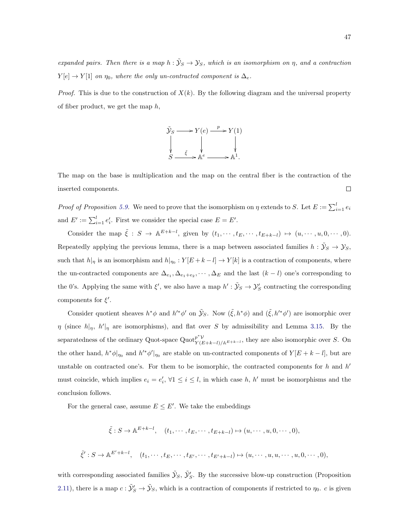expanded pairs. Then there is a map  $h : \tilde{Y}_S \to Y_S$ , which is an isomorphism on  $\eta$ , and a contraction  $Y[e] \to Y[1]$  on  $\eta_0$ , where the only un-contracted component is  $\Delta_e$ .

*Proof.* This is due to the construction of  $X(k)$ . By the following diagram and the universal property of fiber product, we get the map  $h$ ,



The map on the base is multiplication and the map on the central fiber is the contraction of the inserted components.  $\Box$ 

*Proof of Proposition [5.9.](#page-51-0)* We need to prove that the isomorphism on  $\eta$  extends to S. Let  $E := \sum_{i=1}^{l} e_i$ and  $E' := \sum_{i=1}^{l} e'_i$ . First we consider the special case  $E = E'$ .

Consider the map  $\tilde{\xi}: S \to \mathbb{A}^{E+k-l}$ , given by  $(t_1, \dots, t_E, \dots, t_{E+k-l}) \mapsto (u, \dots, u, 0, \dots, 0)$ . Repeatedly applying the previous lemma, there is a map between associated families  $h: \tilde{\mathcal{Y}}_S \to \mathcal{Y}_S$ , such that  $h|_{\eta}$  is an isomorphism and  $h|_{\eta_0}: Y[E+k-l] \to Y[k]$  is a contraction of components, where the un-contracted components are  $\Delta_{e_1}, \Delta_{e_1+e_2}, \cdots, \Delta_E$  and the last  $(k-l)$  one's corresponding to the 0's. Applying the same with  $\xi'$ , we also have a map  $h': \tilde{\mathcal{Y}}_S \to \mathcal{Y}'_S$  contracting the corresponding components for  $\xi'$ .

Consider quotient sheaves  $h^*\phi$  and  $h'^*\phi'$  on  $\tilde{\mathcal{Y}}_S$ . Now  $(\tilde{\xi}, h^*\phi)$  and  $(\tilde{\xi}, h'^*\phi')$  are isomorphic over  $\eta$  (since  $h|_{\eta}$ ,  $h'|_{\eta}$  are isomorphisms), and flat over S by admissibility and Lemma [3.15.](#page-31-0) By the separatedness of the ordinary Quot-space Quot $v_{V}^{p^*V}$  $Y(E+k-l)/\mathbb{A}^{E+k-l}$ , they are also isomorphic over S. On the other hand,  $h^*\phi|_{\eta_0}$  and  $h'^*\phi'|_{\eta_0}$  are stable on un-contracted components of  $Y[E+k-l]$ , but are unstable on contracted one's. For them to be isomorphic, the contracted components for  $h$  and  $h'$ must coincide, which implies  $e_i = e'_i$ ,  $\forall 1 \leq i \leq l$ , in which case h, h' must be isomorphisms and the conclusion follows.

For the general case, assume  $E \leq E'$ . We take the embeddings

$$
\tilde{\xi}: S \to \mathbb{A}^{E+k-l}, \quad (t_1, \cdots, t_E, \cdots, t_{E+k-l}) \mapsto (u, \cdots, u, 0, \cdots, 0),
$$
  

$$
\tilde{\xi}': S \to \mathbb{A}^{E'+k-l}, \quad (t_1, \cdots, t_E, \cdots, t_{E'}, \cdots, t_{E'+k-l}) \mapsto (u, \cdots, u, u, \cdots, u, 0, \cdots, 0),
$$

with corresponding associated families  $\tilde{\mathcal{Y}}_S$ ,  $\tilde{\mathcal{Y}}_S'$ . By the successive blow-up construction (Proposition [2.11\)](#page-16-0), there is a map  $c: \tilde{\mathcal{Y}}'_S \to \tilde{\mathcal{Y}}_S$ , which is a contraction of components if restricted to  $\eta_0$ . c is given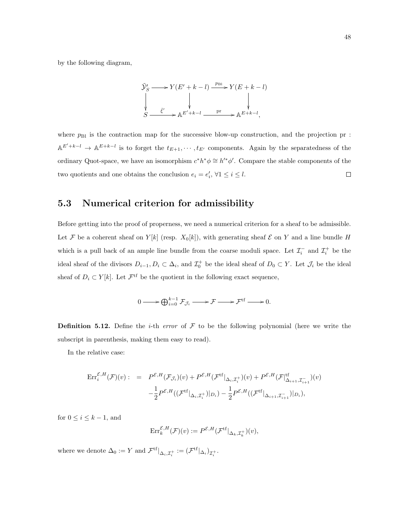by the following diagram,

$$
\tilde{\mathcal{Y}}'_S \longrightarrow Y(E' + k - l) \xrightarrow{p_{\text{Bl}}} Y(E + k - l)
$$
\n
$$
\downarrow \qquad \qquad \downarrow \qquad \qquad \downarrow
$$
\n
$$
S \xrightarrow{\tilde{\xi}'} \mathbb{A}^{E' + k - l} \xrightarrow{pr} \mathbb{A}^{E + k - l},
$$

where  $p_{\text{B1}}$  is the contraction map for the successive blow-up construction, and the projection pr :  $\mathbb{A}^{E'+k-l} \to \mathbb{A}^{E+k-l}$  is to forget the  $t_{E+1}, \cdots, t_{E'}$  components. Again by the separatedness of the ordinary Quot-space, we have an isomorphism  $c^*h^*\phi \cong h'^*\phi'$ . Compare the stable components of the two quotients and one obtains the conclusion  $e_i = e'_i, \forall 1 \leq i \leq l$ .  $\Box$ 

#### 5.3 Numerical criterion for admissibility

Before getting into the proof of properness, we need a numerical criterion for a sheaf to be admissible. Let F be a coherent sheaf on  $Y[k]$  (resp.  $X_0[k]$ ), with generating sheaf  $\mathcal E$  on Y and a line bundle H which is a pull back of an ample line bundle from the coarse moduli space. Let  $\mathcal{I}_i^-$  and  $\mathcal{I}_i^+$  be the ideal sheaf of the divisors  $D_{i-1}, D_i \subset \Delta_i$ , and  $\mathcal{I}_0^+$  be the ideal sheaf of  $D_0 \subset Y$ . Let  $\mathcal{J}_i$  be the ideal sheaf of  $D_i \subset Y[k]$ . Let  $\mathcal{F}^{\text{tf}}$  be the quotient in the following exact sequence,

$$
0 \longrightarrow \bigoplus_{i=0}^{k-1} \mathcal{F}_{\mathcal{J}_i} \longrightarrow \mathcal{F} \longrightarrow \mathcal{F}^{\text{tf}} \longrightarrow 0.
$$

**Definition 5.12.** Define the *i*-th *error* of  $F$  to be the following polynomial (here we write the subscript in parenthesis, making them easy to read).

In the relative case:

$$
\begin{array}{rcl} \operatorname{Err}^{\mathcal{E},H}_{i}(\mathcal{F})(v):&=&P^{\mathcal{E},H}(\mathcal{F}_{\mathcal{J}_{i}})(v)+P^{\mathcal{E},H}(\mathcal{F}^{\text{tf}}|_{\Delta_{i},\mathcal{I}_{i}^{+}})(v)+P^{\mathcal{E},H}(\mathcal{F}|_{\Delta_{i+1},\mathcal{I}_{i+1}^{-}}^{\text{tf}})(v)\\&&-\frac{1}{2}P^{\mathcal{E},H}((\mathcal{F}^{\text{tf}}|_{\Delta_{i},\mathcal{I}_{i}^{+}})|_{D_{i}})-\frac{1}{2}P^{\mathcal{E},H}((\mathcal{F}^{\text{tf}}|_{\Delta_{i+1},\mathcal{I}_{i+1}^{-}})|_{D_{i}}),\end{array}
$$

for  $0 \leq i \leq k-1$ , and

$$
\mathrm{Err}^{\mathcal{E},H}_k(\mathcal{F})(v) := P^{\mathcal{E},H}(\mathcal{F}^{\mathrm{tf}}|_{\Delta_k,\mathcal{I}_k^+})(v),
$$

where we denote  $\Delta_0 := Y$  and  $\mathcal{F}^{\text{tf}}|_{\Delta_i, \mathcal{I}_i^+} := (\mathcal{F}^{\text{tf}}|_{\Delta_i})_{\mathcal{I}_i^+}.$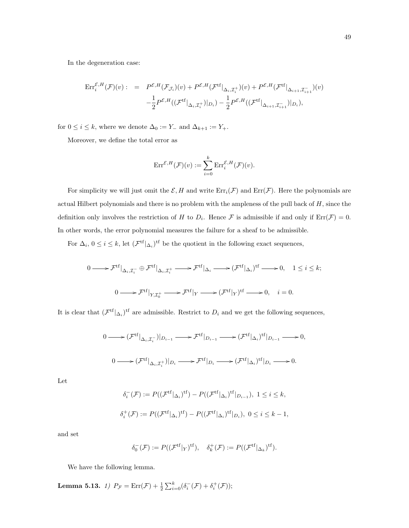In the degeneration case:

$$
\begin{array}{rcl}\n\operatorname{Err}^{\mathcal{E},H}_{i}(\mathcal{F})(v):&=&P^{\mathcal{E},H}(\mathcal{F}_{\mathcal{J}_{i}})(v)+P^{\mathcal{E},H}(\mathcal{F}^{\mathrm{tf}}|_{\Delta_{i},\mathcal{I}_{i}^{+}})(v)+P^{\mathcal{E},H}(\mathcal{F}^{\mathrm{tf}}|_{\Delta_{i+1},\mathcal{I}_{i+1}^{-}})(v)\\&&-\frac{1}{2}P^{\mathcal{E},H}((\mathcal{F}^{\mathrm{tf}}|_{\Delta_{i},\mathcal{I}_{i}^{+}})|_{D_{i}})-\frac{1}{2}P^{\mathcal{E},H}((\mathcal{F}^{\mathrm{tf}}|_{\Delta_{i+1},\mathcal{I}_{i+1}^{-}})|_{D_{i}}),\n\end{array}
$$

for  $0\leq i\leq k,$  where we denote  $\Delta_0:=Y_-$  and  $\Delta_{k+1}:=Y_+.$ 

Moreover, we define the total error as

$$
\mathrm{Err}^{\mathcal{E},H}(\mathcal{F})(v) := \sum_{i=0}^k \mathrm{Err}_i^{\mathcal{E},H}(\mathcal{F})(v).
$$

For simplicity we will just omit the  $\mathcal{E}, H$  and write  $\text{Err}_i(\mathcal{F})$  and  $\text{Err}(\mathcal{F})$ . Here the polynomials are actual Hilbert polynomials and there is no problem with the ampleness of the pull back of  $H$ , since the definition only involves the restriction of H to  $D_i$ . Hence F is admissible if and only if  $\text{Err}(\mathcal{F}) = 0$ . In other words, the error polynomial measures the failure for a sheaf to be admissible.

For  $\Delta_i$ ,  $0 \leq i \leq k$ , let  $(\mathcal{F}^{tf}|_{\Delta_i})^{tf}$  be the quotient in the following exact sequences,

$$
0 \longrightarrow \mathcal{F}^{tf}|_{\Delta_i, \mathcal{I}_i^-} \oplus \mathcal{F}^{tf}|_{\Delta_i, \mathcal{I}_i^+} \longrightarrow \mathcal{F}^{tf}|_{\Delta_i} \longrightarrow (\mathcal{F}^{tf}|_{\Delta_i})^{tf} \longrightarrow 0, \quad 1 \le i \le k;
$$
  

$$
0 \longrightarrow \mathcal{F}^{tf}|_{Y, \mathcal{I}_0^+} \longrightarrow \mathcal{F}^{tf}|_{Y} \longrightarrow (\mathcal{F}^{tf}|_{Y})^{tf} \longrightarrow 0, \quad i = 0.
$$

It is clear that  $(\mathcal{F}^{\text{tf}}|_{\Delta_i})^{\text{tf}}$  are admissible. Restrict to  $D_i$  and we get the following sequences,

$$
0 \longrightarrow (\mathcal{F}^{tf}|_{\Delta_i, \mathcal{I}_i^-})|_{D_{i-1}} \longrightarrow \mathcal{F}^{tf}|_{D_{i-1}} \longrightarrow (\mathcal{F}^{tf}|_{\Delta_i})^{tf}|_{D_{i-1}} \longrightarrow 0,
$$
  

$$
0 \longrightarrow (\mathcal{F}^{tf}|_{\Delta_i, \mathcal{I}_i^+})|_{D_i} \longrightarrow \mathcal{F}^{tf}|_{D_i} \longrightarrow (\mathcal{F}^{tf}|_{\Delta_i})^{tf}|_{D_i} \longrightarrow 0.
$$

Let

$$
\delta_i^-(\mathcal{F}) := P((\mathcal{F}^{\text{tf}}|_{\Delta_i})^{\text{tf}}) - P((\mathcal{F}^{\text{tf}}|_{\Delta_i})^{\text{tf}}|_{D_{i-1}}), \ 1 \le i \le k,
$$
  

$$
\delta_i^+(\mathcal{F}) := P((\mathcal{F}^{\text{tf}}|_{\Delta_i})^{\text{tf}}) - P((\mathcal{F}^{\text{tf}}|_{\Delta_i})^{\text{tf}}|_{D_i}), \ 0 \le i \le k - 1,
$$

and set

$$
\delta_0^-(\mathcal{F}) := P((\mathcal{F}^{\text{tf}}|_{Y})^{\text{tf}}), \quad \delta_k^+(\mathcal{F}) := P((\mathcal{F}^{\text{tf}}|_{\Delta_k})^{\text{tf}}).
$$

We have the following lemma.

**Lemma 5.13.** 1)  $P_{\mathcal{F}} = \text{Err}(\mathcal{F}) + \frac{1}{2} \sum_{i=0}^{k} (\delta_i^-(\mathcal{F}) + \delta_i^+(\mathcal{F}));$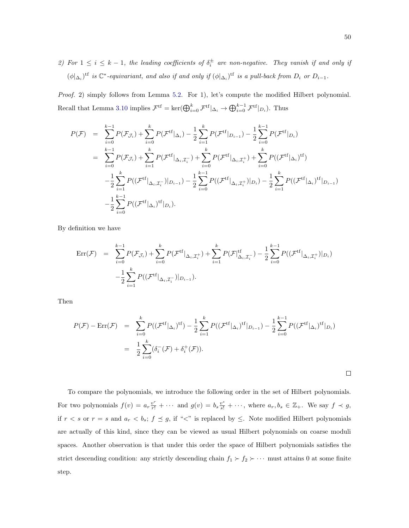2) For  $1 \leq i \leq k-1$ , the leading coefficients of  $\delta_i^{\pm}$  are non-negative. They vanish if and only if  $(\phi|_{\Delta_i})^{\text{tf}}$  is  $\mathbb{C}^*$ -equivariant, and also if and only if  $(\phi|_{\Delta_i})^{\text{tf}}$  is a pull-back from  $D_i$  or  $D_{i-1}$ .

Proof. 2) simply follows from Lemma [5.2.](#page-45-0) For 1), let's compute the modified Hilbert polynomial. Recall that Lemma [3.10](#page-30-1) implies  $\mathcal{F}^{tf} = \ker(\bigoplus_{i=0}^k \mathcal{F}^{tf}|_{\Delta_i} \to \bigoplus_{i=0}^{k-1} \mathcal{F}^{tf}|_{D_i}$ ). Thus

$$
P(\mathcal{F}) = \sum_{i=0}^{k-1} P(\mathcal{F}_{\mathcal{J}_i}) + \sum_{i=0}^{k} P(\mathcal{F}^{tf} |_{\Delta_i}) - \frac{1}{2} \sum_{i=1}^{k} P(\mathcal{F}^{tf} |_{D_{i-1}}) - \frac{1}{2} \sum_{i=0}^{k-1} P(\mathcal{F}^{tf} |_{D_i})
$$
  
\n
$$
= \sum_{i=0}^{k-1} P(\mathcal{F}_{\mathcal{J}_i}) + \sum_{i=1}^{k} P(\mathcal{F}^{tf} |_{\Delta_i, \mathcal{I}_i^-}) + \sum_{i=0}^{k} P(\mathcal{F}^{tf} |_{\Delta_i, \mathcal{I}_i^+}) + \sum_{i=0}^{k} P((\mathcal{F}^{tf} |_{\Delta_i})^{tf})
$$
  
\n
$$
- \frac{1}{2} \sum_{i=1}^{k} P((\mathcal{F}^{tf} |_{\Delta_i, \mathcal{I}_i^-}) |_{D_{i-1}}) - \frac{1}{2} \sum_{i=0}^{k-1} P((\mathcal{F}^{tf} |_{\Delta_i, \mathcal{I}_i^+}) |_{D_i}) - \frac{1}{2} \sum_{i=1}^{k} P((\mathcal{F}^{tf} |_{\Delta_i})^{tf} |_{D_{i-1}})
$$
  
\n
$$
- \frac{1}{2} \sum_{i=0}^{k-1} P((\mathcal{F}^{tf} |_{\Delta_i})^{tf} |_{D_i}).
$$

By definition we have

$$
\begin{split} \text{Err}(\mathcal{F}) &= \sum_{i=0}^{k-1} P(\mathcal{F}_{\mathcal{J}_i}) + \sum_{i=0}^{k} P(\mathcal{F}^{\text{tf}}|_{\Delta_i, \mathcal{I}_i^+}) + \sum_{i=1}^{k} P(\mathcal{F}|_{\Delta_i, \mathcal{I}_i^-}^{\text{tf}}) - \frac{1}{2} \sum_{i=0}^{k-1} P((\mathcal{F}^{\text{tf}}|_{\Delta_i, \mathcal{I}_i^+})|_{D_i}) \\ &- \frac{1}{2} \sum_{i=1}^{k} P((\mathcal{F}^{\text{tf}}|_{\Delta_i, \mathcal{I}_i^-})|_{D_{i-1}}). \end{split}
$$

Then

$$
P(\mathcal{F}) - \text{Err}(\mathcal{F}) = \sum_{i=0}^{k} P((\mathcal{F}^{tf} | \Delta_i)^{tf}) - \frac{1}{2} \sum_{i=1}^{k} P((\mathcal{F}^{tf} | \Delta_i)^{tf} | D_{i-1}) - \frac{1}{2} \sum_{i=0}^{k-1} P((\mathcal{F}^{tf} | \Delta_i)^{tf} | D_i)
$$
  
= 
$$
\frac{1}{2} \sum_{i=0}^{k} (\delta_i^-(\mathcal{F}) + \delta_i^+(\mathcal{F})).
$$

To compare the polynomials, we introduce the following order in the set of Hilbert polynomials. For two polynomials  $f(v) = a_r \frac{v^r}{r!} + \cdots$  and  $g(v) = b_s \frac{v^s}{s!} + \cdots$ , where  $a_r, b_s \in \mathbb{Z}_+$ . We say  $f \prec g$ , if  $r < s$  or  $r = s$  and  $a_r < b_s$ ;  $f \preceq g$ , if "<" is replaced by  $\leq$ . Note modified Hilbert polynomials are actually of this kind, since they can be viewed as usual Hilbert polynomials on coarse moduli spaces. Another observation is that under this order the space of Hilbert polynomials satisfies the strict descending condition: any strictly descending chain  $f_1 \succ f_2 \succ \cdots$  must attains 0 at some finite step.

 $\Box$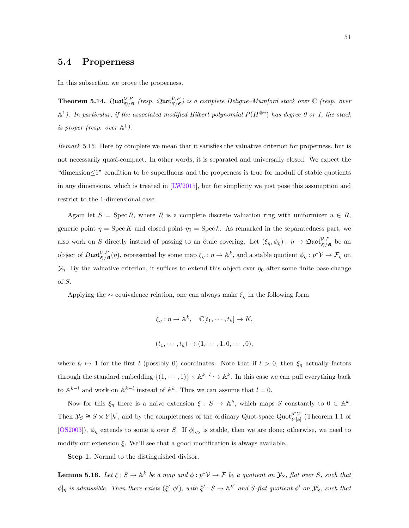#### 5.4 Properness

In this subsection we prove the properness.

<span id="page-56-0"></span>**Theorem 5.14.**  $\Omega$ uot ${}_{\mathfrak{Y}/\mathfrak{X}}^{V,P}$  (resp.  $\Omega$ uot ${}_{\mathfrak{X}/\mathfrak{C}}^{V,P}$ ) is a complete Deligne-Mumford stack over  $\mathbb C$  (resp. over  $\mathbb{A}^1$ ). In particular, if the associated modified Hilbert polynomial  $P(H^{\otimes v})$  has degree 0 or 1, the stack is proper (resp. over  $\mathbb{A}^1$ ).

Remark 5.15. Here by complete we mean that it satisfies the valuative criterion for properness, but is not necessarily quasi-compact. In other words, it is separated and universally closed. We expect the "dimension≤1" condition to be superfluous and the properness is true for moduli of stable quotients in any dimensions, which is treated in [\[LW2015\]](#page-88-3), but for simplicity we just pose this assumption and restrict to the 1-dimensional case.

Again let  $S = \operatorname{Spec} R$ , where R is a complete discrete valuation ring with uniformizer  $u \in R$ , generic point  $\eta = \text{Spec } K$  and closed point  $\eta_0 = \text{Spec } k$ . As remarked in the separatedness part, we also work on S directly instead of passing to an étale covering. Let  $(\bar{\xi}_{\eta}, \bar{\phi}_{\eta}) : \eta \to \mathfrak{Quot}_{\mathfrak{Y}/\mathfrak{X}}^{V,P}$  be an object of  $\mathfrak{Quot}^{\mathcal{V},P}_{\mathfrak{Y}/\mathfrak{A}}(\eta)$ , represented by some map  $\xi_{\eta}: \eta \to \mathbb{A}^k$ , and a stable quotient  $\phi_{\eta}: p^{\ast} \mathcal{V} \to \mathcal{F}_{\eta}$  on  $\mathcal{Y}_\eta$ . By the valuative criterion, it suffices to extend this object over  $\eta_0$  after some finite base change of S.

Applying the ∼ equivalence relation, one can always make  $\xi_{\eta}$  in the following form

$$
\xi_{\eta}: \eta \to \mathbb{A}^{k}, \quad \mathbb{C}[t_{1}, \cdots, t_{k}] \to K,
$$
  

$$
(t_{1}, \cdots, t_{k}) \mapsto (1, \cdots, 1, 0, \cdots, 0),
$$

where  $t_i \mapsto 1$  for the first l (possibly 0) coordinates. Note that if  $l > 0$ , then  $\xi_{\eta}$  actually factors through the standard embedding  $\{(1,\dots,1)\}\times \mathbb{A}^{k-l}\hookrightarrow \mathbb{A}^k$ . In this case we can pull everything back to  $\mathbb{A}^{k-l}$  and work on  $\mathbb{A}^{k-l}$  instead of  $\mathbb{A}^k$ . Thus we can assume that  $l=0$ .

Now for this  $\xi_{\eta}$  there is a naive extension  $\xi: S \to \mathbb{A}^{k}$ , which maps S constantly to  $0 \in \mathbb{A}^{k}$ . Then  $\mathcal{Y}_S \cong S \times Y[k]$ , and by the completeness of the ordinary Quot-space Quot $_{Y[k]}^{p^*V}$  $\frac{p}{Y[k]}$  (Theorem 1.1 of [\[OS2003\]](#page-88-0)),  $\phi_{\eta}$  extends to some  $\phi$  over S. If  $\phi|_{\eta_0}$  is stable, then we are done; otherwise, we need to modify our extension  $\xi$ . We'll see that a good modification is always available.

Step 1. Normal to the distinguished divisor.

<span id="page-56-1"></span>**Lemma 5.16.** Let  $\xi : S \to \mathbb{A}^k$  be a map and  $\phi : p^* \mathcal{V} \to \mathcal{F}$  be a quotient on  $\mathcal{Y}_S$ , flat over S, such that  $\phi|_{\eta}$  is admissible. Then there exists  $(\xi', \phi')$ , with  $\xi' : S \to \mathbb{A}^{k'}$  and S-flat quotient  $\phi'$  on  $\mathcal{Y}'_S$ , such that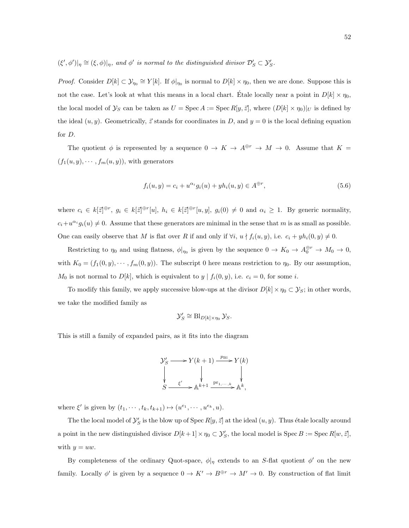$(\xi', \phi')|_{\eta} \cong (\xi, \phi)|_{\eta}$ , and  $\phi'$  is normal to the distinguished divisor  $\mathcal{D}'_S \subset \mathcal{Y}'_S$ .

*Proof.* Consider  $D[k] \subset \mathcal{Y}_{\eta_0} \cong Y[k]$ . If  $\phi|_{\eta_0}$  is normal to  $D[k] \times \eta_0$ , then we are done. Suppose this is not the case. Let's look at what this means in a local chart. Etale locally near a point in  $D[k] \times \eta_0$ , the local model of  $\mathcal{Y}_S$  can be taken as  $U = \operatorname{Spec} A := \operatorname{Spec} R[y, \vec{z}]$ , where  $(D[k] \times \eta_0)|_U$  is defined by the ideal  $(u, y)$ . Geometrically,  $\vec{z}$  stands for coordinates in D, and  $y = 0$  is the local defining equation for D.

The quotient  $\phi$  is represented by a sequence  $0 \to K \to A^{\oplus r} \to M \to 0$ . Assume that  $K =$  $(f_1(u, y), \dots, f_m(u, y)),$  with generators

<span id="page-57-0"></span>
$$
f_i(u, y) = c_i + u^{\alpha_i} g_i(u) + y h_i(u, y) \in A^{\oplus r},
$$
\n(5.6)

where  $c_i \in k[\vec{z}]^{\oplus r}, g_i \in k[\vec{z}]^{\oplus r}[u], h_i \in k[\vec{z}]^{\oplus r}[u, y], g_i(0) \neq 0$  and  $\alpha_i \geq 1$ . By generic normality,  $c_i + u^{\alpha_i} g_i(u) \neq 0$ . Assume that these generators are minimal in the sense that m is as small as possible. One can easily observe that M is flat over R if and only if  $\forall i, u \nmid f_i(u, y)$ , i.e.  $c_i + yh_i(0, y) \neq 0$ .

Restricting to  $\eta_0$  and using flatness,  $\phi|_{\eta_0}$  is given by the sequence  $0 \to K_0 \to A_0^{\oplus r} \to M_0 \to 0$ , with  $K_0 = (f_1(0, y), \dots, f_m(0, y))$ . The subscript 0 here means restriction to  $\eta_0$ . By our assumption,  $M_0$  is not normal to  $D[k]$ , which is equivalent to  $y \mid f_i(0, y)$ , i.e.  $c_i = 0$ , for some i.

To modify this family, we apply successive blow-ups at the divisor  $D[k] \times \eta_0 \subset \mathcal{Y}_S$ ; in other words, we take the modified family as

$$
\mathcal{Y}_S' \cong \mathrm{Bl}_{D[k] \times \eta_0} \mathcal{Y}_S.
$$

This is still a family of expanded pairs, as it fits into the diagram

$$
\mathcal{Y}'_S \longrightarrow Y(k+1) \xrightarrow{p_{\text{Bl}}} Y(k)
$$
  
\n
$$
\downarrow \qquad \qquad \downarrow \qquad \qquad \downarrow
$$
  
\n
$$
S \xrightarrow{\xi'} \mathbb{A}^{k+1} \xrightarrow{\text{pr}_{1,\cdots,k}} \mathbb{A}^k,
$$

where  $\xi'$  is given by  $(t_1, \dots, t_k, t_{k+1}) \mapsto (u^{e_1}, \dots, u^{e_k}, u)$ .

The the local model of  $\mathcal{Y}'_S$  is the blow up of Spec  $R[y, \vec{z}]$  at the ideal  $(u, y)$ . Thus étale locally around a point in the new distinguished divisor  $D[k+1] \times \eta_0 \subset \mathcal{Y}'_S$ , the local model is  $\text{Spec } B := \text{Spec } R[w, \bar{z}]$ , with  $y = uw$ .

By completeness of the ordinary Quot-space,  $\phi|_{\eta}$  extends to an S-flat quotient  $\phi'$  on the new family. Locally  $\phi'$  is given by a sequence  $0 \to K' \to B^{\oplus r} \to M' \to 0$ . By construction of flat limit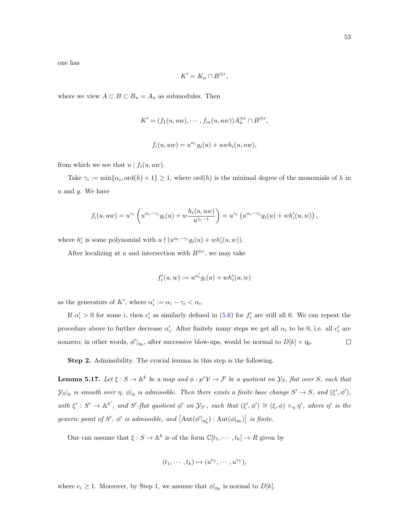one has

$$
K'=K_u\cap B^{\oplus r},
$$

where we view  $A \subset B \subset B_u = A_u$  as submodules. Then

$$
K' = (f_1(u, uw), \cdots, f_m(u, uw))A_u^{\oplus r} \cap B^{\oplus r},
$$
  

$$
f_i(u, uw) = u^{\alpha_i}g_i(u) + uwh_i(u, uw),
$$

from which we see that  $u | f_i(u, uw)$ .

Take  $\gamma_i := \min\{\alpha_i, \text{ord}(h) + 1\} \geq 1$ , where  $\text{ord}(h)$  is the minimal degree of the monomials of h in  $u$  and  $y$ . We have

$$
f_i(u, uw) = u^{\gamma_i} \left( u^{\alpha_i - \gamma_i} g_i(u) + w \frac{h_i(u, uw)}{u^{\gamma_i - 1}} \right) = u^{\gamma_i} \left( u^{\alpha_i - \gamma_i} g_i(u) + wh'_i(u, w) \right),
$$

where  $h'_i$  is some polynomial with  $u \nmid (u^{\alpha_i - \gamma_i} g_i(u) + wh'_i(u, w)).$ 

After localizing at u and intersection with  $B^{\oplus r}$ , we may take

$$
f'_i(u, w) := u^{\alpha'_i} g_i(u) + wh'_i(u, w)
$$

as the generators of K', where  $\alpha'_i := \alpha_i - \gamma_i < \alpha_i$ .

If  $\alpha'_i > 0$  for some *i*, then  $c'_i$  as similarly defined in [\(5.6\)](#page-57-0) for  $f'_i$  are still all 0. We can repeat the procedure above to further decrease  $\alpha'_i$ . After finitely many steps we get all  $\alpha_i$  to be 0, i.e. all  $c'_i$  are nonzero; in other words,  $\phi'|_{\eta_0}$ , after successive blow-ups, would be normal to  $D[k] \times \eta_0$ .  $\Box$ 

Step 2. Admissibility. The crucial lemma in this step is the following.

<span id="page-58-0"></span>**Lemma 5.17.** Let  $\xi : S \to \mathbb{A}^k$  be a map and  $\phi : p^* \mathcal{V} \to \mathcal{F}$  be a quotient on  $\mathcal{Y}_S$ , flat over S, such that  $y_{S|_{\eta}}$  is smooth over  $\eta$ ,  $\phi|_{\eta}$  is admissible. Then there exists a finite base change  $S' \to S$ , and  $(\xi', \phi')$ , with  $\xi': S' \to \mathbb{A}^{k'}$ , and S'-flat quotient  $\phi'$  on  $\mathcal{Y}_{S'}$ , such that  $(\xi', \phi') \cong (\xi, \phi) \times_{\eta} \eta'$ , where  $\eta'$  is the generic point of S',  $\phi'$  is admissible, and  $[\text{Aut}(\phi'|_{\eta'_0}) : \text{Aut}(\phi|_{\eta_0})]$  is finite.

One can assume that  $\xi: S \to \mathbb{A}^k$  is of the form  $\mathbb{C}[t_1, \dots, t_k] \to R$  given by

$$
(t_1,\cdots,t_k)\mapsto (u^{e_1},\cdots,u^{e_k}),
$$

where  $e_i \geq 1$ . Moreover, by Step 1, we assume that  $\phi|_{\eta_0}$  is normal to  $D[k]$ .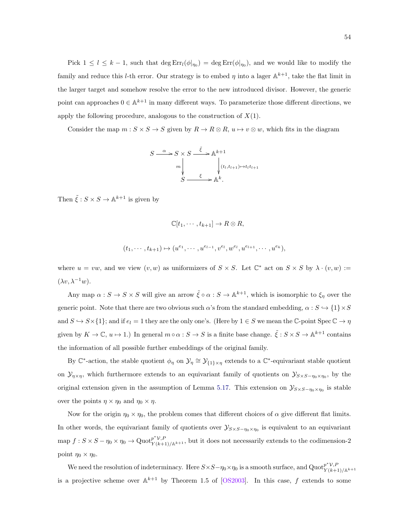Pick  $1 \leq l \leq k-1$ , such that  $\deg \text{Err}_{l}(\phi|_{\eta_0}) = \deg \text{Err}_{l}(\phi|_{\eta_0})$ , and we would like to modify the family and reduce this *l*-th error. Our strategy is to embed  $\eta$  into a lager  $\mathbb{A}^{k+1}$ , take the flat limit in the larger target and somehow resolve the error to the new introduced divisor. However, the generic point can approaches  $0 \in \mathbb{A}^{k+1}$  in many different ways. To parameterize those different directions, we apply the following procedure, analogous to the construction of  $X(1)$ .

Consider the map  $m : S \times S \to S$  given by  $R \to R \otimes R$ ,  $u \mapsto v \otimes w$ , which fits in the diagram

$$
S \xrightarrow{\alpha} S \times S \xrightarrow{\tilde{\xi}} \mathbb{A}^{k+1}
$$
  
\n
$$
m \downarrow \qquad \qquad \downarrow (t_l, t_{l+1}) \mapsto t_l t_{l+1}
$$
  
\n
$$
S \xrightarrow{\xi} \mathbb{A}^k.
$$

Then  $\tilde{\xi}: S \times S \to \mathbb{A}^{k+1}$  is given by

$$
\mathbb{C}[t_1,\dots,t_{k+1}] \to R \otimes R,
$$
  

$$
(t_1,\dots,t_{k+1}) \mapsto (u^{e_1},\dots,u^{e_{l-1}},v^{e_l},w^{e_l},u^{e_{l+1}},\dots,u^{e_k}),
$$

where  $u = vw$ , and we view  $(v, w)$  as uniformizers of  $S \times S$ . Let  $\mathbb{C}^*$  act on  $S \times S$  by  $\lambda \cdot (v, w) :=$  $(\lambda v, \lambda^{-1}w).$ 

Any map  $\alpha: S \to S \times S$  will give an arrow  $\tilde{\xi} \circ \alpha: S \to \mathbb{A}^{k+1}$ , which is isomorphic to  $\xi_{\eta}$  over the generic point. Note that there are two obvious such  $\alpha$ 's from the standard embedding,  $\alpha : S \hookrightarrow \{1\} \times S$ and  $S \hookrightarrow S \times \{1\}$ ; and if  $e_l = 1$  they are the only one's. (Here by  $1 \in S$  we mean the C-point Spec  $\mathbb{C} \to \eta$ given by  $K \to \mathbb{C}$ ,  $u \mapsto 1$ .) In general  $m \circ \alpha : S \to S$  is a finite base change.  $\tilde{\xi} : S \times S \to \mathbb{A}^{k+1}$  contains the information of all possible further embeddings of the original family.

By  $\mathbb{C}^*$ -action, the stable quotient  $\phi_\eta$  on  $\mathcal{Y}_\eta \cong \mathcal{Y}_{\{1\} \times \eta}$  extends to a  $\mathbb{C}^*$ -equivariant stable quotient on  $\mathcal{Y}_{\eta \times \eta}$ , which furthermore extends to an equivariant family of quotients on  $\mathcal{Y}_{S \times S-\eta_0 \times \eta_0}$ , by the original extension given in the assumption of Lemma [5.17.](#page-58-0) This extension on  $\mathcal{Y}_{S\times S-\eta_0\times\eta_0}$  is stable over the points  $\eta \times \eta_0$  and  $\eta_0 \times \eta$ .

Now for the origin  $\eta_0 \times \eta_0$ , the problem comes that different choices of  $\alpha$  give different flat limits. In other words, the equivariant family of quotients over  $\mathcal{Y}_{S\times S-\eta_0\times\eta_0}$  is equivalent to an equivariant map  $f: S \times S - \eta_0 \times \eta_0 \to \mathrm{Quot}_{Y(k+1)/\mathbb{A}^{k+1}}^{\mathbf{p}^* \mathcal{V}, P}$ , but it does not necessarily extends to the codimension-2 point  $\eta_0 \times \eta_0$ .

We need the resolution of indeterminacy. Here  $S \times S - \eta_0 \times \eta_0$  is a smooth surface, and  $\text{Quot}_{Y(k+1)}^{p^* \mathcal{V}, P}$  $Y(k+1)/{\mathbb{A}}^{k+1}$ is a projective scheme over  $\mathbb{A}^{k+1}$  by Theorem 1.5 of [\[OS2003\]](#page-88-0). In this case, f extends to some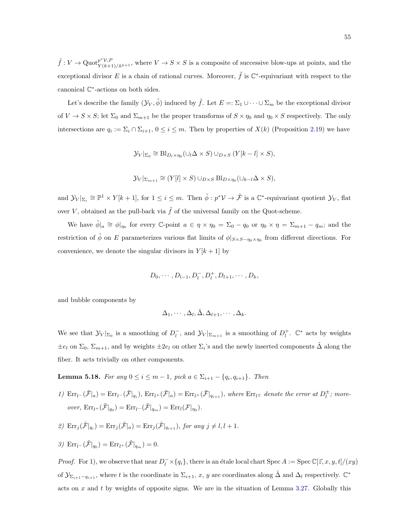$\tilde{f}: V \to \text{Quot}_{Y(k+1)/\mathbb{A}^{k+1}}^{\mathfrak{p}^* \mathcal{V}, P},$  where  $V \to S \times S$  is a composite of successive blow-ups at points, and the exceptional divisor E is a chain of rational curves. Moreover,  $\tilde{f}$  is  $\mathbb{C}^*$ -equivariant with respect to the canonical C ∗ -actions on both sides.

Let's describe the family  $(\mathcal{Y}_V, \tilde{\phi})$  induced by  $\tilde{f}$ . Let  $E =: \Sigma_1 \cup \cdots \cup \Sigma_m$  be the exceptional divisor of  $V \to S \times S$ ; let  $\Sigma_0$  and  $\Sigma_{m+1}$  be the proper transforms of  $S \times \eta_0$  and  $\eta_0 \times S$  respectively. The only intersections are  $q_i := \sum_i \cap \sum_{i+1}$ ,  $0 \le i \le m$ . Then by properties of  $X(k)$  (Proposition [2.19\)](#page-21-0) we have

$$
\mathcal{Y}_{V}|_{\Sigma_{0}} \cong \text{Bl}_{D_{l} \times \eta_{0}}(\cup_{l} \Delta \times S) \cup_{D \times S} (Y[k-l] \times S),
$$

$$
\mathcal{Y}_{V}|_{\Sigma_{m+1}} \cong (Y[l] \times S) \cup_{D \times S} \text{Bl}_{D \times \eta_{0}}(\cup_{k-l} \Delta \times S),
$$

and  $\mathcal{Y}_V|_{\Sigma_i} \cong \mathbb{P}^1 \times Y[k+1]$ , for  $1 \leq i \leq m$ . Then  $\tilde{\phi} : p^* \mathcal{V} \to \tilde{\mathcal{F}}$  is a  $\mathbb{C}^*$ -equivariant quotient  $\mathcal{Y}_V$ , flat over V, obtained as the pull-back via  $\tilde{f}$  of the universal family on the Quot-scheme.

We have  $\tilde{\phi}|_a \cong \phi|_{\eta_0}$  for every C-point  $a \in \eta \times \eta_0 = \Sigma_0 - q_0$  or  $\eta_0 \times \eta = \Sigma_{m+1} - q_m$ ; and the restriction of  $\tilde{\phi}$  on E parameterizes various flat limits of  $\phi|_{S\times S-\eta_0\times\eta_0}$  from different directions. For convenience, we denote the singular divisors in  $Y[k+1]$  by

$$
D_0, \cdots, D_{l-1}, D_l^-, D_l^+, D_{l+1}, \cdots, D_k,
$$

and bubble components by

$$
\Delta_1,\cdots,\Delta_l,\tilde{\Delta},\Delta_{l+1},\cdots,\Delta_k.
$$

We see that  $\mathcal{Y}_V|_{\Sigma_0}$  is a smoothing of  $D_l^-$ , and  $\mathcal{Y}_V|_{\Sigma_{m+1}}$  is a smoothing of  $D_l^+$ .  $\mathbb{C}^*$  acts by weights  $\pm e_l$  on  $\Sigma_0$ ,  $\Sigma_{m+1}$ , and by weights  $\pm 2e_l$  on other  $\Sigma_i$ 's and the newly inserted components  $\tilde{\Delta}$  along the fiber. It acts trivially on other components.

**Lemma 5.18.** For any  $0 \le i \le m-1$ , pick  $a \in \Sigma_{i+1} - \{q_i, q_{i+1}\}$ . Then

1)  $Err_{l}(\tilde{\mathcal{F}}|_a) = Err_{l}(\tilde{\mathcal{F}}|_{q_i}), Err_{l}(\tilde{\mathcal{F}}|_a) = Err_{l}(\tilde{\mathcal{F}}|_{q_{i+1}}), where Err_{l} \pm denote the error at D_l^{\pm}; more$ over,  $\text{Err}_{l^+}(\tilde{\mathcal{F}}|_{q_0}) = \text{Err}_{l^-}(\tilde{\mathcal{F}}|_{q_m}) = \text{Err}_{l}(\mathcal{F}|_{\eta_0}).$ 

2) 
$$
\text{Err}_j(\tilde{\mathcal{F}}|_{q_i}) = \text{Err}_j(\tilde{\mathcal{F}}|_a) = \text{Err}_j(\tilde{\mathcal{F}}|_{q_{i+1}}), \text{ for any } j \neq l, l+1.
$$

3)  $\text{Err}_{l}(\tilde{\mathcal{F}}|_{q_0}) = \text{Err}_{l}(\tilde{\mathcal{F}}|_{q_m}) = 0.$ 

*Proof.* For 1), we observe that near  $D_l^-\times\{q_i\}$ , there is an étale local chart Spec  $A := \text{Spec } \mathbb{C}[\vec{z}, x, y, t]/(xy)$ of  $\mathcal{Y}_{\Sigma_{i+1}-q_{i+1}}$ , where t is the coordinate in  $\Sigma_{i+1}, x, y$  are coordinates along  $\tilde{\Delta}$  and  $\Delta_l$  respectively.  $\mathbb{C}^*$ acts on  $x$  and  $t$  by weights of opposite signs. We are in the situation of Lemma [3.27.](#page-35-0) Globally this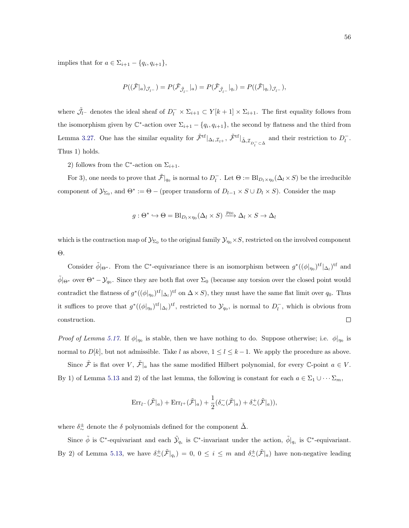implies that for  $a \in \Sigma_{i+1} - \{q_i, q_{i+1}\},\$ 

$$
P((\tilde{\mathcal{F}}|_a)_{\mathcal{J}_l-})=P(\tilde{\mathcal{F}}_{\tilde{\mathcal{J}}_{l-}}|_a)=P(\tilde{\mathcal{F}}_{\tilde{\mathcal{J}}_{l-}}|_{q_i})=P((\tilde{\mathcal{F}}|_{q_i})_{\mathcal{J}_{l-}}),
$$

where  $\tilde{J}_l$ - denotes the ideal sheaf of  $D_l^- \times \Sigma_{i+1} \subset Y[k+1] \times \Sigma_{i+1}$ . The first equality follows from the isomorphism given by  $\mathbb{C}^*$ -action over  $\Sigma_{i+1} - \{q_i, q_{i+1}\}\)$ , the second by flatness and the third from Lemma [3.27.](#page-35-0) One has the similar equality for  $\tilde{\mathcal{F}}^{\text{tf}}|_{\Delta_l,\mathcal{I}_{l^+}}, \tilde{\mathcal{F}}^{\text{tf}}|_{\tilde{\Delta},\mathcal{I}_{D_l^-}\subset \tilde{\Delta}}$  and their restriction to  $D_l^-$ . Thus 1) holds.

2) follows from the  $\mathbb{C}^*$ -action on  $\Sigma_{i+1}$ .

For 3), one needs to prove that  $\tilde{\mathcal{F}}|_{q_0}$  is normal to  $D_l^-$ . Let  $\Theta := \text{Bl}_{D_l \times \eta_0}(\Delta_l \times S)$  be the irreducible component of  $\mathcal{Y}_{\Sigma_0}$ , and  $\Theta^* := \Theta$  – (proper transform of  $D_{l-1} \times S \cup D_l \times S$ ). Consider the map

$$
g: \Theta^* \hookrightarrow \Theta = \text{Bl}_{D_l \times \eta_0}(\Delta_l \times S) \xrightarrow{p_{\text{Bl}}} \Delta_l \times S \to \Delta_l
$$

which is the contraction map of  $\mathcal{Y}_{\Sigma_0}$  to the original family  $\mathcal{Y}_{\eta_0} \times S$ , restricted on the involved component Θ.

Consider  $\tilde{\phi}|_{\Theta^*}$ . From the C<sup>\*</sup>-equivariance there is an isomorphism between  $g^*((\phi|_{\eta_0})^{\text{tf}}|_{\Delta_l})^{\text{tf}}$  and  $\tilde{\phi}|_{\Theta^*}$  over  $\Theta^* - \mathcal{Y}_{q_0}$ . Since they are both flat over  $\Sigma_0$  (because any torsion over the closed point would contradict the flatness of  $g^*((\phi|_{\eta_0})^{\text{tf}}|_{\Delta_l})^{\text{tf}}$  on  $\Delta \times S$ ), they must have the same flat limit over  $q_0$ . Thus it suffices to prove that  $g^*((\phi|_{\eta_0})^{tf}|\Delta_t)^{tf}$ , restricted to  $\mathcal{Y}_{q_0}$ , is normal to  $D_l^-$ , which is obvious from construction.  $\Box$ 

*Proof of Lemma [5.17.](#page-58-0)* If  $\phi|_{\eta_0}$  is stable, then we have nothing to do. Suppose otherwise; i.e.  $\phi|_{\eta_0}$  is normal to  $D[k]$ , but not admissible. Take l as above,  $1 \leq l \leq k-1$ . We apply the procedure as above.

Since  $\tilde{\mathcal{F}}$  is flat over V,  $\tilde{\mathcal{F}}|_a$  has the same modified Hilbert polynomial, for every  $\mathbb{C}$ -point  $a \in V$ . By 1) of Lemma [5.13](#page-0-0) and 2) of the last lemma, the following is constant for each  $a \in \Sigma_1 \cup \cdots \Sigma_m$ ,

$$
\mathrm{Err}_{l}(\tilde{\mathcal{F}}|_a) + \mathrm{Err}_{l}(\tilde{\mathcal{F}}|_a) + \frac{1}{2}(\delta_{\sim}(\tilde{\mathcal{F}}|_a) + \delta_{\sim}^+(\tilde{\mathcal{F}}|_a)),
$$

where  $\delta^{\pm}_{\sim}$  denote the  $\delta$  polynomials defined for the component  $\tilde{\Delta}$ .

Since  $\tilde{\phi}$  is  $\mathbb{C}^*$ -equivariant and each  $\tilde{\mathcal{Y}}_{q_i}$  is  $\mathbb{C}^*$ -invariant under the action,  $\tilde{\phi}|_{q_i}$  is  $\mathbb{C}^*$ -equivariant. By 2) of Lemma [5.13,](#page-0-0) we have  $\delta_{\sim}^{\pm}(\tilde{\mathcal{F}}|_{q_i}) = 0, 0 \leq i \leq m$  and  $\delta_{\sim}^{\pm}(\tilde{\mathcal{F}}|_a)$  have non-negative leading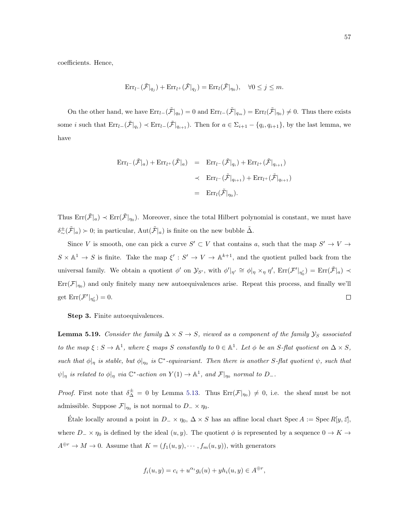coefficients. Hence,

$$
\mathrm{Err}_{l^-}(\tilde{\mathcal{F}}|_{q_j}) + \mathrm{Err}_{l^+}(\tilde{\mathcal{F}}|_{q_j}) = \mathrm{Err}_{l}(\tilde{\mathcal{F}}|_{\eta_0}), \quad \forall 0 \le j \le m.
$$

On the other hand, we have  $\text{Err}_{l-}(\tilde{\mathcal{F}}|_{q_0}) = 0$  and  $\text{Err}_{l-}(\tilde{\mathcal{F}}|_{q_m}) = \text{Err}_{l}(\tilde{\mathcal{F}}|_{\eta_0}) \neq 0$ . Thus there exists some *i* such that  $\text{Err}_{l-}(\tilde{\mathcal{F}}|_{q_i}) \prec \text{Err}_{l-}(\tilde{\mathcal{F}}|_{q_{i+1}})$ . Then for  $a \in \Sigma_{i+1} - \{q_i, q_{i+1}\}$ , by the last lemma, we have

$$
\begin{array}{rcl}\n\operatorname{Err}_{l^-}(\tilde{\mathcal{F}}|_a) + \operatorname{Err}_{l^+}(\tilde{\mathcal{F}}|_a) & = & \operatorname{Err}_{l^-}(\tilde{\mathcal{F}}|_{q_i}) + \operatorname{Err}_{l^+}(\tilde{\mathcal{F}}|_{q_{i+1}}) \\
& < & \operatorname{Err}_{l^-}(\tilde{\mathcal{F}}|_{q_{i+1}}) + \operatorname{Err}_{l^+}(\tilde{\mathcal{F}}|_{q_{i+1}}) \\
& = & \operatorname{Err}_{l}(\tilde{\mathcal{F}}|_{\eta_0}).\n\end{array}
$$

Thus  $Err(\tilde{\mathcal{F}}|_a) \prec Err(\tilde{\mathcal{F}}|_{\eta_0})$ . Moreover, since the total Hilbert polynomial is constant, we must have  $\delta^{\pm}_{\sim}(\tilde{\mathcal{F}}|_a) \succ 0$ ; in particular,  $\text{Aut}(\tilde{\mathcal{F}}|_a)$  is finite on the new bubble  $\tilde{\Delta}$ .

Since V is smooth, one can pick a curve  $S' \subset V$  that contains a, such that the map  $S' \to V \to V$  $S \times \mathbb{A}^1 \to S$  is finite. Take the map  $\xi' : S' \to V \to \mathbb{A}^{k+1}$ , and the quotient pulled back from the universal family. We obtain a quotient  $\phi'$  on  $\mathcal{Y}_{S'}$ , with  $\phi'|_{\eta'} \cong \phi|_{\eta} \times_{\eta} \eta'$ ,  $\text{Err}(\mathcal{F}'|_{\eta'_0}) = \text{Err}(\tilde{\mathcal{F}}|_{a}) \prec$  $\text{Err}(\mathcal{F}|_{\eta_0})$  and only finitely many new autoequivalences arise. Repeat this process, and finally we'll get  $\text{Err}(\mathcal{F}'|_{\eta'_0})=0.$  $\Box$ 

Step 3. Finite autoequivalences.

**Lemma 5.19.** Consider the family  $\Delta \times S \to S$ , viewed as a component of the family  $\mathcal{Y}_S$  associated to the map  $\xi : S \to \mathbb{A}^1$ , where  $\xi$  maps S constantly to  $0 \in \mathbb{A}^1$ . Let  $\phi$  be an S-flat quotient on  $\Delta \times S$ , such that  $\phi|_{\eta}$  is stable, but  $\phi|_{\eta_0}$  is  $\mathbb{C}^*$ -equivariant. Then there is another S-flat quotient  $\psi$ , such that  $\psi|_{\eta}$  is related to  $\phi|_{\eta}$  via  $\mathbb{C}^*$ -action on  $Y(1) \to \mathbb{A}^1$ , and  $\mathcal{F}|_{\eta_0}$  normal to  $D_{-}.$ 

*Proof.* First note that  $\delta^{\pm}_{\Delta} = 0$  by Lemma [5.13.](#page-0-0) Thus  $Err(\mathcal{F}|_{\eta_0}) \neq 0$ , i.e. the sheaf must be not admissible. Suppose  $\mathcal{F}|_{\eta_0}$  is not normal to  $D_-\times \eta_0$ .

Etale locally around a point in  $D_-\times \eta_0$ ,  $\Delta \times S$  has an affine local chart Spec  $A := \text{Spec } R[y, \vec{z}]$ , where  $D_$  ×  $\eta_0$  is defined by the ideal  $(u, y)$ . The quotient  $\phi$  is represented by a sequence  $0 \to K \to$  $A^{\oplus r} \to M \to 0$ . Assume that  $K = (f_1(u, y), \dots, f_m(u, y)),$  with generators

$$
f_i(u, y) = c_i + u^{\alpha_i} g_i(u) + y h_i(u, y) \in A^{\oplus r},
$$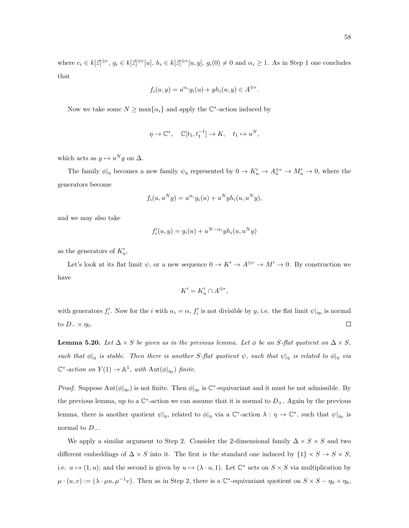where  $c_i \in k[\vec{z}]^{\oplus r}, g_i \in k[\vec{z}]^{\oplus r}[u], h_i \in k[\vec{z}]^{\oplus r}[u, y], g_i(0) \neq 0$  and  $\alpha_i \geq 1$ . As in Step 1 one concludes that

$$
f_i(u, y) = u^{\alpha_i} g_i(u) + y h_i(u, y) \in A^{\oplus r}.
$$

Now we take some  $N \ge \max\{\alpha_i\}$  and apply the  $\mathbb{C}^*$ -action induced by

$$
\eta \to \mathbb{C}^*, \quad \mathbb{C}[t_1, t_1^{-1}] \to K, \quad t_1 \mapsto u^N,
$$

which acts as  $y \mapsto u^N y$  on  $\Delta$ .

The family  $\phi|_{\eta}$  becomes a new family  $\psi_{\eta}$  represented by  $0 \to K'_u \to A^{\oplus r}_u \to M'_u \to 0$ , where the generators become

$$
f_i(u, u^N y) = u^{\alpha_i} g_i(u) + u^N y h_i(u, u^N y),
$$

and we may also take

$$
f_i'(u, y) = g_i(u) + u^{N - \alpha_i} y h_i(u, u^N y)
$$

as the generators of  $K'_u$ .

Let's look at its flat limit  $\psi$ , or a new sequence  $0 \to K' \to A^{\oplus r} \to M' \to 0$ . By construction we have

$$
K' = K'_u \cap A^{\oplus r},
$$

with generators  $f'_i$ . Now for the i with  $\alpha_i = \alpha$ ,  $f'_i$  is not divisible by y, i.e. the flat limit  $\psi|_{\eta_0}$  is normal  $\Box$ to  $D_-\times \eta_0$ .

<span id="page-63-0"></span>**Lemma 5.20.** Let  $\Delta \times S$  be given as in the previous lemma. Let  $\phi$  be an S-flat quotient on  $\Delta \times S$ , such that  $\phi|_{\eta}$  is stable. Then there is another S-flat quotient  $\psi$ , such that  $\psi|_{\eta}$  is related to  $\phi|_{\eta}$  via  $\mathbb{C}^*$ -action on  $Y(1) \to \mathbb{A}^1$ , with  $\text{Aut}(\phi|_{\eta_0})$  finite.

*Proof.* Suppose  $\text{Aut}(\phi|_{\eta_0})$  is not finite. Then  $\phi|_{\eta_0}$  is  $\mathbb{C}^*$ -equivariant and it must be not admissible. By the previous lemma, up to a  $\mathbb{C}^*$ -action we can assume that it is normal to  $D_+$ . Again by the previous lemma, there is another quotient  $\psi|_{\eta}$ , related to  $\phi|_{\eta}$  via a  $\mathbb{C}^*$ -action  $\lambda : \eta \to \mathbb{C}^*$ , such that  $\psi|_{\eta_0}$  is normal to  $D_-.$ 

We apply a similar argument to Step 2. Consider the 2-dimensional family  $\Delta \times S \times S$  and two different embeddings of  $\Delta \times S$  into it. The first is the standard one induced by  $\{1\} \times S \to S \times S$ , i.e.  $u \mapsto (1, u)$ ; and the second is given by  $u \mapsto (\lambda \cdot u, 1)$ . Let  $\mathbb{C}^*$  acts on  $S \times S$  via multiplication by  $\mu \cdot (u, v) := (\lambda \cdot \mu u, \mu^{-1} v)$ . Then as in Step 2, there is a  $\mathbb{C}^*$ -equivariant quotient on  $S \times S - \eta_0 \times \eta_0$ ,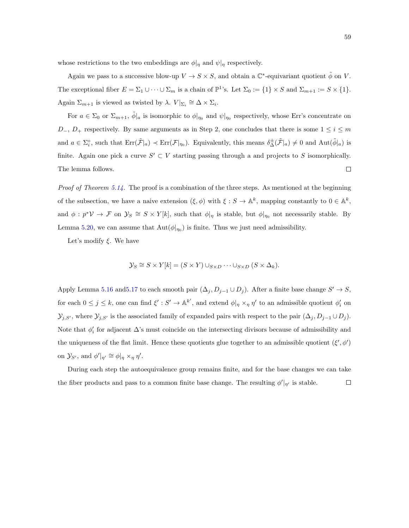whose restrictions to the two embeddings are  $\phi|_{\eta}$  and  $\psi|_{\eta}$  respectively.

Again we pass to a successive blow-up  $V \to S \times S$ , and obtain a  $\mathbb{C}^*$ -equivariant quotient  $\tilde{\phi}$  on V. The exceptional fiber  $E = \Sigma_1 \cup \cdots \cup \Sigma_m$  is a chain of  $\mathbb{P}^1$ 's. Let  $\Sigma_0 := \{1\} \times S$  and  $\Sigma_{m+1} := S \times \{1\}.$ Again  $\Sigma_{m+1}$  is viewed as twisted by  $\lambda$ .  $V|_{\Sigma_i} \cong \Delta \times \Sigma_i$ .

For  $a \in \Sigma_0$  or  $\Sigma_{m+1}$ ,  $\tilde{\phi}|_a$  is isomorphic to  $\phi|_{\eta_0}$  and  $\psi|_{\eta_0}$  respectively, whose Err's concentrate on  $D_$ ,  $D_+$  respectively. By same arguments as in Step 2, one concludes that there is some  $1 \leq i \leq m$ and  $a \in \Sigma_i^{\circ}$ , such that  $\text{Err}(\tilde{\mathcal{F}}|_a) \prec \text{Err}(\mathcal{F}|_{\eta_0})$ . Equivalently, this means  $\delta^{\pm}_{\Delta}(\tilde{\mathcal{F}}|_a) \neq 0$  and  $\text{Aut}(\tilde{\phi}|_a)$  is finite. Again one pick a curve  $S' \subset V$  starting passing through a and projects to S isomorphically. The lemma follows.  $\Box$ 

*Proof of Theorem [5.14.](#page-56-0)* The proof is a combination of the three steps. As mentioned at the beginning of the subsection, we have a naive extension  $(\xi, \phi)$  with  $\xi : S \to \mathbb{A}^k$ , mapping constantly to  $0 \in \mathbb{A}^k$ , and  $\phi: p^* \mathcal{V} \to \mathcal{F}$  on  $\mathcal{Y}_S \cong S \times Y[k]$ , such that  $\phi|_{\eta}$  is stable, but  $\phi|_{\eta_0}$  not necessarily stable. By Lemma [5.20,](#page-63-0) we can assume that  $\text{Aut}(\phi|_{\eta_0})$  is finite. Thus we just need admissibility.

Let's modify  $\xi$ . We have

$$
\mathcal{Y}_S \cong S \times Y[k] = (S \times Y) \cup_{S \times D} \cdots \cup_{S \times D} (S \times \Delta_k).
$$

Apply Lemma [5.16](#page-56-1) and 5.17 to each smooth pair  $(\Delta_j, D_{j-1} \cup D_j)$ . After a finite base change  $S' \to S$ , for each  $0 \leq j \leq k$ , one can find  $\xi': S' \to \mathbb{A}^{k'}$ , and extend  $\phi|_{\eta} \times_{\eta} \eta'$  to an admissible quotient  $\phi'_{i}$  on  $\mathcal{Y}_{j,S'}$ , where  $\mathcal{Y}_{j,S'}$  is the associated family of expanded pairs with respect to the pair  $(\Delta_j, D_{j-1} \cup D_j)$ . Note that  $\phi_i'$  for adjacent  $\Delta$ 's must coincide on the intersecting divisors because of admissibility and the uniqueness of the flat limit. Hence these quotients glue together to an admissible quotient  $(\xi', \phi')$ on  $\mathcal{Y}_{S'}$ , and  $\phi'|_{\eta'} \cong \phi|_{\eta} \times_{\eta} \eta'.$ 

During each step the autoequivalence group remains finite, and for the base changes we can take the fiber products and pass to a common finite base change. The resulting  $\phi' |_{\eta'}$  is stable.  $\Box$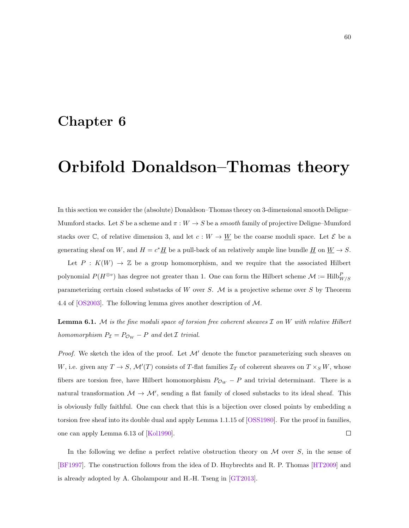### Chapter 6

# Orbifold Donaldson–Thomas theory

In this section we consider the (absolute) Donaldson–Thomas theory on 3-dimensional smooth Deligne– Mumford stacks. Let S be a scheme and  $\pi : W \to S$  be a *smooth* family of projective Deligne–Mumford stacks over C, of relative dimension 3, and let  $c: W \to \underline{W}$  be the coarse moduli space. Let  $\mathcal{E}$  be a generating sheaf on W, and  $H = c^* \underline{H}$  be a pull-back of an relatively ample line bundle  $\underline{H}$  on  $\underline{W} \to S$ .

Let  $P: K(W) \to \mathbb{Z}$  be a group homomorphism, and we require that the associated Hilbert polynomial  $P(H^{\otimes v})$  has degree not greater than 1. One can form the Hilbert scheme  $\mathcal{M} := \text{Hilb}_{W/S}^P$ parameterizing certain closed substacks of W over S.  $M$  is a projective scheme over S by Theorem 4.4 of [\[OS2003\]](#page-88-0). The following lemma gives another description of M.

<span id="page-65-0"></span>**Lemma 6.1.** M is the fine moduli space of torsion free coherent sheaves  $\mathcal I$  on  $W$  with relative Hilbert homomorphism  $P_{\mathcal{I}} = P_{\mathcal{O}_W} - P$  and  $\det \mathcal{I}$  trivial.

*Proof.* We sketch the idea of the proof. Let  $\mathcal{M}'$  denote the functor parameterizing such sheaves on W, i.e. given any  $T \to S$ ,  $\mathcal{M}'(T)$  consists of T-flat families  $\mathcal{I}_T$  of coherent sheaves on  $T \times_S W$ , whose fibers are torsion free, have Hilbert homomorphism  $P_{\mathcal{O}_W} - P$  and trivial determinant. There is a natural transformation  $M \to M'$ , sending a flat family of closed substacks to its ideal sheaf. This is obviously fully faithful. One can check that this is a bijection over closed points by embedding a torsion free sheaf into its double dual and apply Lemma 1.1.15 of [\[OSS1980\]](#page-89-1). For the proof in families, one can apply Lemma 6.13 of [\[Kol1990\]](#page-88-6).  $\Box$ 

In the following we define a perfect relative obstruction theory on  $M$  over  $S$ , in the sense of [\[BF1997\]](#page-87-5). The construction follows from the idea of D. Huybrechts and R. P. Thomas [\[HT2009\]](#page-88-7) and is already adopted by A. Gholampour and H.-H. Tseng in [\[GT2013\]](#page-87-6).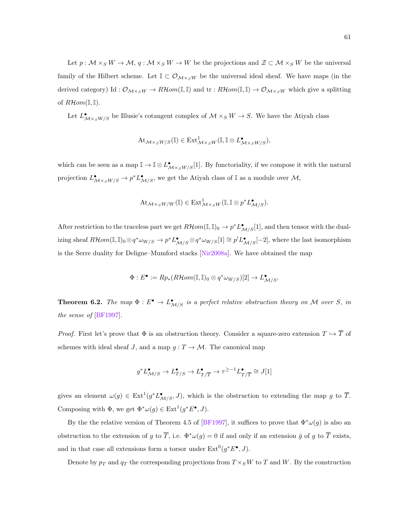Let  $p: \mathcal{M} \times_S W \to \mathcal{M}, q: \mathcal{M} \times_S W \to W$  be the projections and  $\mathcal{Z} \subset \mathcal{M} \times_S W$  be the universal family of the Hilbert scheme. Let  $\mathbb{I} \subset \mathcal{O}_{\mathcal{M} \times_S W}$  be the universal ideal sheaf. We have maps (in the derived category) Id :  $\mathcal{O}_{\mathcal{M}\times_S W} \to \mathbb{R}$  Hom(I,I) and tr :  $\mathbb{R}$  Hom(I,I)  $\to \mathcal{O}_{\mathcal{M}\times_S W}$  which give a splitting of  $R\mathcal{H}om(\mathbb{I},\mathbb{I}).$ 

Let  $L^{\bullet}_{\mathcal{M}\times_S W/S}$  be Illusie's cotangent complex of  $\mathcal{M}\times_S W\to S$ . We have the Atiyah class

$$
\mathrm{At}_{\mathcal{M}\times_S W/S}(\mathbb{I})\in \mathrm{Ext}^1_{\mathcal{M}\times_S W}(\mathbb{I}, \mathbb{I}\otimes L^\bullet_{\mathcal{M}\times_S W/S}),
$$

which can be seen as a map  $\mathbb{I} \to \mathbb{I} \otimes L^{\bullet}_{\mathcal{M} \times_S W/S}[1]$ . By functoriality, if we compose it with the natural projection  $L^{\bullet}_{\mathcal{M}\times_S W/S} \to p^*L^{\bullet}_{\mathcal{M}/S}$ , we get the Atiyah class of I as a module over  $\mathcal{M},$ 

$$
\mathrm{At}_{\mathcal{M}\times_S W/W}(\mathbb{I}) \in \mathrm{Ext}^1_{\mathcal{M}\times_S W}(\mathbb{I}, \mathbb{I} \otimes p^* L_{\mathcal{M}/S}^{\bullet}).
$$

After restriction to the traceless part we get  $R\mathcal{H}om(\mathbb{I}, \mathbb{I})_0 \to p^*L_{\mathcal{M}/S}^{\bullet}[\mathbb{1}]$ , and then tensor with the dualizing sheaf  $R\mathcal{H}om(\mathbb{I}, \mathbb{I})_0 \otimes q^* \omega_{W/S} \to p^* L_{\mathcal{M}/S}^{\bullet} \otimes q^* \omega_{W/S}[1] \cong p^! L_{\mathcal{M}/S}^{\bullet}[-2]$ , where the last isomorphism is the Serre duality for Deligne–Mumford stacks [\[Nir2008a\]](#page-88-8). We have obtained the map

$$
\Phi: E^{\bullet} := Rp_*(R\mathcal{H}om(\mathbb{I}, \mathbb{I})_0 \otimes q^* \omega_{W/S})[2] \to L^{\bullet}_{\mathcal{M}/S}.
$$

**Theorem 6.2.** The map  $\Phi: E^{\bullet} \to L^{\bullet}_{\mathcal{M}/S}$  is a perfect relative obstruction theory on M over S, in the sense of [\[BF1997\]](#page-87-5).

*Proof.* First let's prove that  $\Phi$  is an obstruction theory. Consider a square-zero extension  $T \hookrightarrow \overline{T}$  of schemes with ideal sheaf J, and a map  $g: T \to M$ . The canonical map

$$
g^*L_{\mathcal{M}/S}^\bullet\to L_{T/S}^\bullet\to L_{T/\overline{T}}^\bullet\to \tau^{\ge-1}L_{T/\overline{T}}^\bullet\cong J[1]
$$

gives an element  $\omega(g) \in \text{Ext}^1(g^* L_{\mathcal{M}/S}^{\bullet}, J)$ , which is the obstruction to extending the map g to  $\overline{T}$ . Composing with  $\Phi$ , we get  $\Phi^*\omega(g) \in \text{Ext}^1(g^*E^{\bullet}, J)$ .

By the the relative version of Theorem 4.5 of [\[BF1997\]](#page-87-5), it suffices to prove that  $\Phi^*\omega(g)$  is also an obstruction to the extension of g to  $\overline{T}$ , i.e.  $\Phi^*\omega(g) = 0$  if and only if an extension  $\overline{g}$  of g to  $\overline{T}$  exists, and in that case all extensions form a torsor under  $\text{Ext}^0(g^*E^{\bullet}, J)$ .

Denote by  $p_T$  and  $q_T$  the corresponding projections from  $T \times_S W$  to T and W. By the construction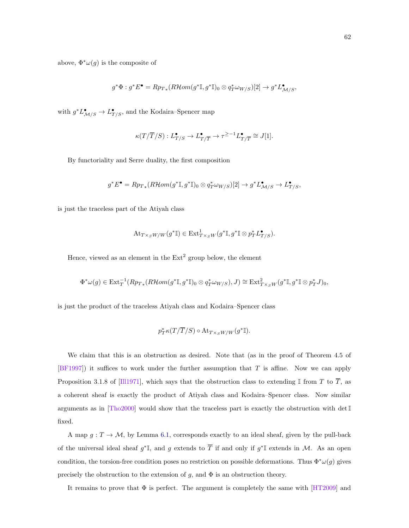above,  $\Phi^* \omega(g)$  is the composite of

$$
g^*\Phi: g^*E^{\bullet} = Rp_{T*}(R\mathcal{H}om(g^*\mathbb{I}, g^*\mathbb{I})_0 \otimes q_T^*\omega_{W/S})[2] \to g^*L^{\bullet}_{\mathcal{M}/S},
$$

with  $g^* L_{\mathcal{M}/S}^{\bullet} \to L_{T/S}^{\bullet}$ , and the Kodaira–Spencer map

$$
\kappa(T/\overline{T}/S):L^\bullet_{T/S}\to L^\bullet_{T/\overline{T}}\to \tau^{\geq -1}L^\bullet_{T/\overline{T}}\cong J[1].
$$

By functoriality and Serre duality, the first composition

$$
g^* E^{\bullet} = R p_{T*}(R \mathcal{H}om(g^* \mathbb{I}, g^* \mathbb{I})_0 \otimes q_T^* \omega_{W/S})[2] \to g^* L^{\bullet}_{\mathcal{M}/S} \to L^{\bullet}_{T/S},
$$

is just the traceless part of the Atiyah class

$$
\mathrm{At}_{T\times_S W/W}(g^*\mathbb{I})\in \mathrm{Ext}^1_{T\times_S W}(g^*\mathbb{I},g^*\mathbb{I}\otimes p_T^*\mathcal{L}^\bullet_{T/S}).
$$

Hence, viewed as an element in the  $Ext<sup>2</sup>$  group below, the element

$$
\Phi^*\omega(g)\in \text{Ext}^{-1}_T(Rp_{T*}(R\mathcal{H}om(g^*\mathbb{I},g^*\mathbb{I})_0\otimes q_T^*\omega_{W/S}), J)\cong \text{Ext}^2_{T\times_S W}(g^*\mathbb{I},g^*\mathbb{I}\otimes p_T^*J)_0,
$$

is just the product of the traceless Atiyah class and Kodaira–Spencer class

$$
p_T^* \kappa(T/\overline{T}/S) \circ \mathrm{At}_{T \times_S W/W}(g^* \mathbb{I}).
$$

We claim that this is an obstruction as desired. Note that (as in the proof of Theorem 4.5 of [\[BF1997\]](#page-87-5)) it suffices to work under the further assumption that T is affine. Now we can apply Proposition 3.1.8 of [\[Ill1971\]](#page-88-9), which says that the obstruction class to extending I from T to  $\overline{T}$ , as a coherent sheaf is exactly the product of Atiyah class and Kodaira–Spencer class. Now similar arguments as in  $[Tho2000]$  would show that the traceless part is exactly the obstruction with det  $\mathbb{I}$ fixed.

A map  $g: T \to M$ , by Lemma [6.1,](#page-65-0) corresponds exactly to an ideal sheaf, given by the pull-back of the universal ideal sheaf  $g^*\mathbb{I}$ , and g extends to  $\overline{T}$  if and only if  $g^*\mathbb{I}$  extends in M. As an open condition, the torsion-free condition poses no restriction on possible deformations. Thus  $\Phi^*\omega(g)$  gives precisely the obstruction to the extension of  $g$ , and  $\Phi$  is an obstruction theory.

It remains to prove that  $\Phi$  is perfect. The argument is completely the same with [\[HT2009\]](#page-88-7) and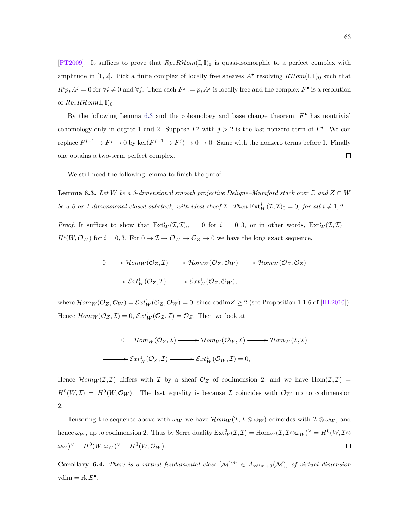[\[PT2009\]](#page-89-3). It suffices to prove that  $Rp_*R\mathcal{H}om(\mathbb{I},\mathbb{I})_0$  is quasi-isomorphic to a perfect complex with amplitude in [1, 2]. Pick a finite complex of locally free sheaves  $A^{\bullet}$  resolving  $R\mathcal{H}om(\mathbb{I},\mathbb{I})_0$  such that  $R^i p_* A^j = 0$  for  $\forall i \neq 0$  and  $\forall j$ . Then each  $F^j := p_* A^j$  is locally free and the complex  $F^{\bullet}$  is a resolution of  $Rp_*R\mathcal{H}om(\mathbb{I},\mathbb{I})_0$ .

By the following Lemma [6.3](#page-68-0) and the cohomology and base change theorem,  $F^{\bullet}$  has nontrivial cohomology only in degree 1 and 2. Suppose  $F^j$  with  $j > 2$  is the last nonzero term of  $F^{\bullet}$ . We can replace  $F^{j-1} \to F^j \to 0$  by ker $(F^{j-1} \to F^j) \to 0 \to 0$ . Same with the nonzero terms before 1. Finally  $\Box$ one obtains a two-term perfect complex.

We still need the following lemma to finish the proof.

<span id="page-68-0"></span>**Lemma 6.3.** Let W be a 3-dimensional smooth projective Deligne–Mumford stack over  $\mathbb{C}$  and  $Z \subset W$ be a 0 or 1-dimensional closed substack, with ideal sheaf  $\mathcal{I}$ . Then  $\text{Ext}_{W}^{i}(\mathcal{I},\mathcal{I})_{0}=0$ , for all  $i \neq 1,2$ .

*Proof.* It suffices to show that  $Ext^i_W(\mathcal{I},\mathcal{I})_0 = 0$  for  $i = 0,3$ , or in other words,  $Ext^i_W(\mathcal{I},\mathcal{I}) =$  $H^{i}(W, \mathcal{O}_W)$  for  $i = 0, 3$ . For  $0 \to \mathcal{I} \to \mathcal{O}_W \to \mathcal{O}_Z \to 0$  we have the long exact sequence,

$$
0 \longrightarrow \mathcal{H}om_W(\mathcal{O}_Z, \mathcal{I}) \longrightarrow \mathcal{H}om_W(\mathcal{O}_Z, \mathcal{O}_W) \longrightarrow \mathcal{H}om_W(\mathcal{O}_Z, \mathcal{O}_Z)
$$
  

$$
\longrightarrow \mathcal{E}xt_W^1(\mathcal{O}_Z, \mathcal{I}) \longrightarrow \mathcal{E}xt_W^1(\mathcal{O}_Z, \mathcal{O}_W),
$$

where  $\mathcal{H}om_W(\mathcal{O}_Z, \mathcal{O}_W) = \mathcal{E}xt_W^1(\mathcal{O}_Z, \mathcal{O}_W) = 0$ , since  $\text{codim}Z \geq 2$  (see Proposition 1.1.6 of [\[HL2010\]](#page-88-10)). Hence  $\mathcal{H}om_W(\mathcal{O}_Z,\mathcal{I})=0, \mathcal{E}xt_W^1(\mathcal{O}_Z,\mathcal{I})=\mathcal{O}_Z.$  Then we look at

$$
0 = \mathcal{H}om_W(\mathcal{O}_Z, \mathcal{I}) \longrightarrow \mathcal{H}om_W(\mathcal{O}_W, \mathcal{I}) \longrightarrow \mathcal{H}om_W(\mathcal{I}, \mathcal{I})
$$

$$
\longrightarrow \mathcal{E}xt_W^1(\mathcal{O}_Z, \mathcal{I}) \longrightarrow \mathcal{E}xt_W^1(\mathcal{O}_W, \mathcal{I}) = 0,
$$

Hence  $\mathcal{H}om_W(\mathcal{I},\mathcal{I})$  differs with  $\mathcal I$  by a sheaf  $\mathcal O_Z$  of codimension 2, and we have  $\text{Hom}(\mathcal{I},\mathcal{I})$  $H^0(W,\mathcal{I}) = H^0(W,\mathcal{O}_W)$ . The last equality is because  $\mathcal I$  coincides with  $\mathcal{O}_W$  up to codimension 2.

Tensoring the sequence above with  $\omega_W$  we have  $\mathcal{H}om_W(\mathcal{I}, \mathcal{I} \otimes \omega_W)$  coincides with  $\mathcal{I} \otimes \omega_W$ , and hence  $\omega_W$ , up to codimension 2. Thus by Serre duality  $\mathrm{Ext}^3_W(\mathcal{I},\mathcal{I})=\mathrm{Hom}_W(\mathcal{I},\mathcal{I}\otimes\omega_W)^\vee=H^0(W,\mathcal{I}\otimes\omega_W)$  $\omega_W$ <sup> $\vee$ </sup> =  $H^0(W, \omega_W)$ <sup> $\vee$ </sup> =  $H^3(W, \mathcal{O}_W)$ .  $\Box$ 

**Corollary 6.4.** There is a virtual fundamental class  $[\mathcal{M}]^{\text{vir}} \in A_{\text{vdim}+3}(\mathcal{M})$ , of virtual dimension vdim =  $\text{rk } E^{\bullet}$ .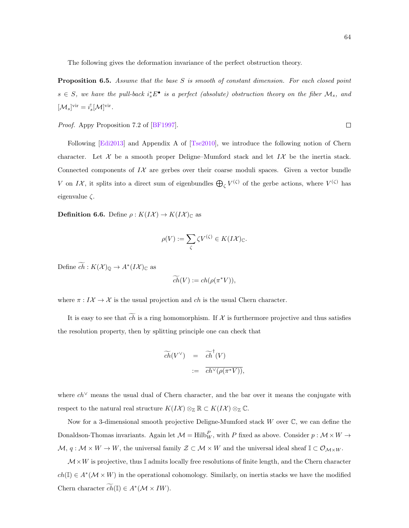The following gives the deformation invariance of the perfect obstruction theory.

Proposition 6.5. Assume that the base S is smooth of constant dimension. For each closed point  $s \in S$ , we have the pull-back  $i_s^* E^{\bullet}$  is a perfect (absolute) obstruction theory on the fiber  $\mathcal{M}_s$ , and  $[\mathcal{M}_s]^{\text{vir}} = i_s^! [\mathcal{M}]^{\text{vir}}.$ 

Proof. Appy Proposition 7.2 of [\[BF1997\]](#page-87-5).

Following [\[Edi2013\]](#page-87-7) and Appendix A of [\[Tse2010\]](#page-89-4), we introduce the following notion of Chern character. Let  $\mathcal X$  be a smooth proper Deligne–Mumford stack and let  $I\mathcal X$  be the inertia stack. Connected components of  $I\mathcal{X}$  are gerbes over their coarse moduli spaces. Given a vector bundle V on IX, it splits into a direct sum of eigenbundles  $\bigoplus_{\zeta} V^{(\zeta)}$  of the gerbe actions, where  $V^{(\zeta)}$  has eigenvalue  $\zeta$ .

**Definition 6.6.** Define  $\rho: K(I\mathcal{X}) \to K(I\mathcal{X})_{\mathbb{C}}$  as

$$
\rho(V) := \sum_{\zeta} \zeta V^{(\zeta)} \in K(I\mathcal{X})_{\mathbb{C}}.
$$

Define  $c\bar{h}$  :  $K(\mathcal{X})_{\mathbb{Q}} \to A^*(I\mathcal{X})_{\mathbb{C}}$  as

$$
\widetilde{ch}(V) := ch(\rho(\pi^*V)),
$$

where  $\pi : I\mathcal{X} \to \mathcal{X}$  is the usual projection and ch is the usual Chern character.

It is easy to see that  $\widetilde{ch}$  is a ring homomorphism. If X is furthermore projective and thus satisfies the resolution property, then by splitting principle one can check that

$$
\widetilde{ch}(V^{\vee}) = \widetilde{ch}^{\dagger}(V)
$$
  
 := 
$$
\overline{ch^{\vee}(\rho(\pi^*V))},
$$

where ch<sup>∨</sup> means the usual dual of Chern character, and the bar over it means the conjugate with respect to the natural real structure  $K(I\mathcal{X}) \otimes_{\mathbb{Z}} \mathbb{R} \subset K(I\mathcal{X}) \otimes_{\mathbb{Z}} \mathbb{C}$ .

Now for a 3-dimensional smooth projective Deligne-Mumford stack  $W$  over  $\mathbb{C}$ , we can define the Donaldson-Thomas invariants. Again let  $\mathcal{M} = Hilb_W^P$ , with P fixed as above. Consider  $p : \mathcal{M} \times W \to$  $\mathcal{M},\, q:\mathcal{M}\times W\to W, \,\text{the universal family }\mathcal{Z}\subset \mathcal{M}\times W\,\text{ and the universal ideal sheaf }\mathbb{I}\subset \mathcal{O}_{\mathcal{M}\times W}.$ 

 $\mathcal{M} \times W$  is projective, thus I admits locally free resolutions of finite length, and the Chern character  $ch(\mathbb{I}) \in A^*(\mathcal{M} \times W)$  in the operational cohomology. Similarly, on inertia stacks we have the modified Chern character  $\widetilde{ch}(\mathbb{I}) \in A^*(\mathcal{M} \times IW)$ .

 $\Box$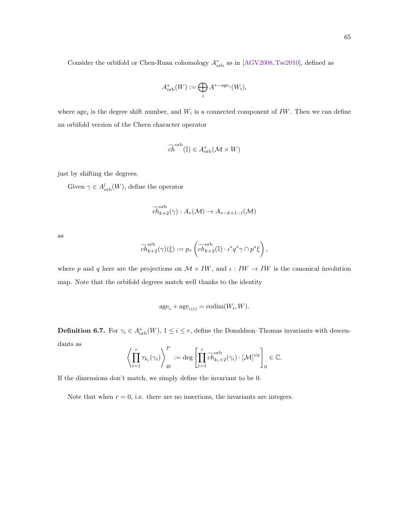$$
A^*_{\text{orb}}(W) := \bigoplus_i A^{*-\text{age}_i}(W_i),
$$

where age<sub>i</sub> is the degree shift number, and  $W_i$  is a connected component of IW. Then we can define an orbifold version of the Chern character operator

$$
\widetilde{ch}^{\text{orb}}(\mathbb{I}) \in A_{\text{orb}}^*(\mathcal{M} \times W)
$$

just by shifting the degrees.

Given  $\gamma \in A^l_{\text{orb}}(W)$ , define the operator

$$
\widetilde{ch}_{k+2}^{\text{orb}}(\gamma) : A_*(\mathcal{M}) \to A_{*-k+1-l}(\mathcal{M})
$$

as

$$
\widetilde{ch}^{\operatorname{orb}}_{k+2}(\gamma)(\xi) := p_*\left(\widetilde{ch}^{\operatorname{orb}}_{k+2}(\mathbb{I}) \cdot \iota^* q^* \gamma \cap p^* \xi\right),\,
$$

where p and q here are the projections on  $\mathcal{M} \times IW$ , and  $\iota: IW \rightarrow IW$  is the canonical involution map. Note that the orbifold degrees match well thanks to the identity

$$
age_i + age_{\iota(i)} = codim(W_i, W).
$$

**Definition 6.7.** For  $\gamma_i \in A_{\text{orb}}^*(W)$ ,  $1 \leq i \leq r$ , define the Donaldson–Thomas invariants with descendants as

$$
\left\langle \prod_{i=1}^r \tau_{k_i}(\gamma_i) \right\rangle_W^P := \deg \left[ \prod_{i=1}^r \widetilde{ch}_{k_i+2}^{\text{orb}}(\gamma_i) \cdot [\mathcal{M}]^{\text{vir}} \right]_0 \in \mathbb{C}.
$$

If the dimensions don't match, we simply define the invariant to be 0.

Note that when  $r = 0$ , i.e. there are no insertions, the invariants are integers.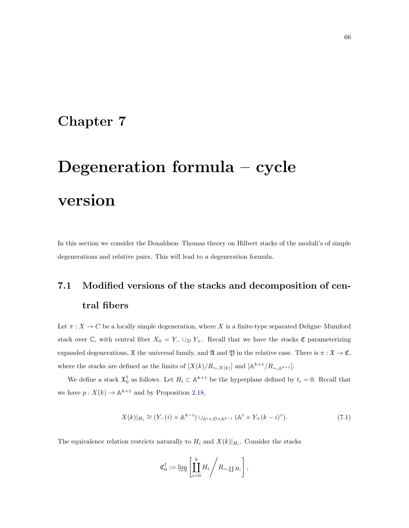## Chapter 7

# Degeneration formula – cycle version

In this section we consider the Donaldson–Thomas theory on Hilbert stacks of the moduli's of simple degenerations and relative pairs. This will lead to a degeneration formula.

# 7.1 Modified versions of the stacks and decomposition of central fibers

Let  $\pi: X \to C$  be a locally simple degeneration, where X is a finite-type separated Deligne–Mumford stack over C, with central fiber  $X_0 = Y_-\cup_D Y_+$ . Recall that we have the stacks C parameterizing expanded degenerations,  $\mathfrak X$  the universal family, and  $\mathfrak A$  and  $\mathfrak Y$  in the relative case. There is  $\pi : \mathfrak X \to \mathfrak C$ , where the stacks are defined as the limits of  $[X(k)/R_{\sim,X(k)}]$  and  $[\mathbb{A}^{k+1}/R_{\sim,\mathbb{A}^{k+1}}]$ .

We define a stack  $\mathfrak{X}_0^{\dagger}$  as follows. Let  $H_i \subset \mathbb{A}^{k+1}$  be the hyperplane defined by  $t_i = 0$ . Recall that we have  $p: X(k) \to \mathbb{A}^{k+1}$  and by Proposition [2.18,](#page-20-0)

$$
X(k)|_{H_i} \cong (Y_{-}(i) \times \mathbb{A}^{k-i}) \cup_{\mathbb{A}^i \times D \times \mathbb{A}^{k-i}} (\mathbb{A}^i \times Y_{+}(k-i)^{\circ}). \tag{7.1}
$$

The equivalence relation restricts naturally to  $H_i$  and  $X(k)|_{H_i}$ . Consider the stacks

$$
\mathfrak{C}_0^{\dagger} := \varinjlim \left[ \prod_{i=0}^k H_i \middle/ R_{\sim, \coprod H_i} \right],
$$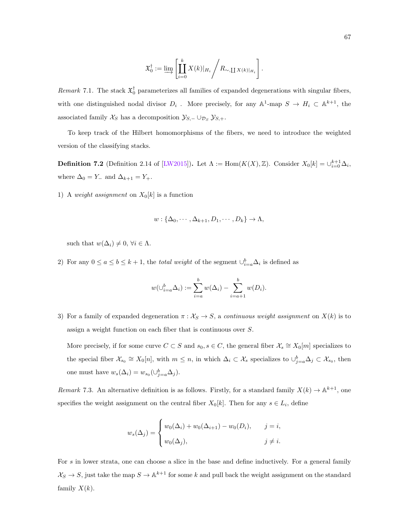$$
\mathfrak{X}_0^{\dagger} := \varinjlim \left[ \prod_{i=0}^k X(k) \big|_{H_i} \right/ R_{\sim, \coprod X(k) \big|_{H_i}} \right].
$$

<span id="page-72-0"></span>Remark 7.1. The stack  $\mathfrak{X}_0^{\dagger}$  parameterizes all families of expanded degenerations with singular fibers, with one distinguished nodal divisor  $D_i$ . More precisely, for any  $\mathbb{A}^1$ -map  $S \to H_i \subset \mathbb{A}^{k+1}$ , the associated family  $\mathcal{X}_S$  has a decomposition  $\mathcal{Y}_{S,-} \cup_{\mathcal{D}_S} \mathcal{Y}_{S,+}.$ 

To keep track of the Hilbert homomorphisms of the fibers, we need to introduce the weighted version of the classifying stacks.

**Definition 7.2** (Definition 2.14 of [\[LW2015\]](#page-88-0)). Let  $\Lambda := \text{Hom}(K(X), \mathbb{Z})$ . Consider  $X_0[k] = \bigcup_{i=0}^{k+1} \Delta_i$ , where  $\Delta_0=Y_-$  and  $\Delta_{k+1}=Y_+.$ 

1) A weight assignment on  $X_0[k]$  is a function

$$
w: \{\Delta_0, \cdots, \Delta_{k+1}, D_1, \cdots, D_k\} \to \Lambda,
$$

such that  $w(\Delta_i) \neq 0, \forall i \in \Lambda$ .

2) For any  $0 \le a \le b \le k+1$ , the *total weight* of the segment  $\bigcup_{i=a}^{b} \Delta_i$  is defined as

$$
w(\bigcup_{i=a}^{b} \Delta_i) := \sum_{i=a}^{b} w(\Delta_i) - \sum_{i=a+1}^{b} w(D_i).
$$

3) For a family of expanded degeneration  $\pi : X_S \to S$ , a *continuous weight assignment* on  $X(k)$  is to assign a weight function on each fiber that is continuous over S.

More precisely, if for some curve  $C \subset S$  and  $s_0, s \in C$ , the general fiber  $\mathcal{X}_s \cong X_0[m]$  specializes to the special fiber  $\mathcal{X}_{s_0} \cong X_0[n]$ , with  $m \leq n$ , in which  $\Delta_i \subset \mathcal{X}_s$  specializes to  $\cup_{j=a}^b \Delta_j \subset \mathcal{X}_{s_0}$ , then one must have  $w_s(\Delta_i) = w_{s_0}(\cup_{j=a}^{b} \Delta_j)$ .

Remark 7.3. An alternative definition is as follows. Firstly, for a standard family  $X(k) \to \mathbb{A}^{k+1}$ , one specifies the weight assignment on the central fiber  $X_0[k]$ . Then for any  $s \in L_i$ , define

$$
w_s(\Delta_j) = \begin{cases} w_0(\Delta_i) + w_0(\Delta_{i+1}) - w_0(D_i), & j = i, \\ w_0(\Delta_j), & j \neq i. \end{cases}
$$

For s in lower strata, one can choose a slice in the base and define inductively. For a general family  $\mathcal{X}_S \to S$ , just take the map  $S \to \mathbb{A}^{k+1}$  for some k and pull back the weight assignment on the standard family  $X(k)$ .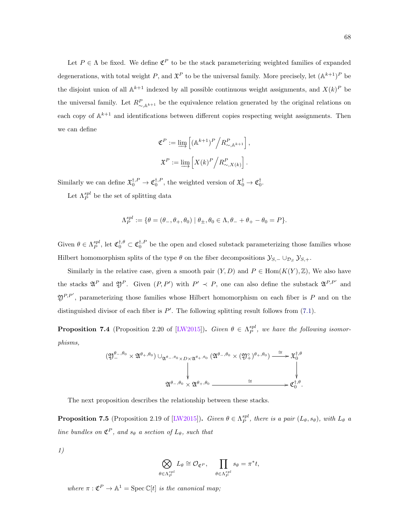<span id="page-73-0"></span>Let  $P \in \Lambda$  be fixed. We define  $\mathfrak{C}^P$  to be the stack parameterizing weighted families of expanded degenerations, with total weight P, and  $\mathfrak{X}^P$  to be the universal family. More precisely, let  $(\mathbb{A}^{k+1})^P$  be the disjoint union of all  $\mathbb{A}^{k+1}$  indexed by all possible continuous weight assignments, and  $X(k)^P$  be the universal family. Let  $R^P_{\sim, \mathbb{A}^{k+1}}$  be the equivalence relation generated by the original relations on each copy of  $\mathbb{A}^{k+1}$  and identifications between different copies respecting weight assignments. Then we can define

$$
\mathfrak{C}^P := \varinjlim \left[ \left( \mathbb{A}^{k+1} \right)^P \Big/ R_{\sim, \mathbb{A}^{k+1}}^P \right],
$$
  

$$
\mathfrak{X}^P := \varinjlim \left[ X(k)^P \Big/ R_{\sim, X(k)}^P \right].
$$

Similarly we can define  $\mathfrak{X}_0^{\dagger,P} \to \mathfrak{C}_0^{\dagger,P}$ , the weighted version of  $\mathfrak{X}_0^{\dagger} \to \mathfrak{C}_0^{\dagger}$ .

Let  $\Lambda_P^{spl}$  be the set of splitting data

$$
\Lambda_P^{spl}:=\{\theta=(\theta_-,\theta_+,\theta_0) \mid \theta_\pm, \theta_0\in \Lambda, \theta_-+\theta_+-\theta_0=P\}.
$$

Given  $\theta \in \Lambda_P^{spl}$ , let  $\mathfrak{C}_0^{\dagger,\theta} \subset \mathfrak{C}_0^{\dagger,P}$  be the open and closed substack parameterizing those families whose Hilbert homomorphism splits of the type  $\theta$  on the fiber decompositions  $\mathcal{Y}_{S,-} \cup_{\mathcal{D}_S} \mathcal{Y}_{S,+}$ .

Similarly in the relative case, given a smooth pair  $(Y, D)$  and  $P \in \text{Hom}(K(Y), \mathbb{Z})$ , We also have the stacks  $\mathfrak{A}^P$  and  $\mathfrak{Y}^P$ . Given  $(P, P')$  with  $P' \prec P$ , one can also define the substack  $\mathfrak{A}^{P,P'}$  and  $\mathfrak{Y}^{P,P'}$ , parameterizing those families whose Hilbert homomorphism on each fiber is P and on the distinguished divisor of each fiber is  $P'$ . The following splitting result follows from [\(7.1\)](#page-71-0).

**Proposition 7.4** (Proposition 2.20 of [\[LW2015\]](#page-88-0)). Given  $\theta \in \Lambda_P^{spl}$ , we have the following isomorphisms,

$$
(\mathfrak{Y}^{\theta_-,\theta_0}_- \times \mathfrak{Y}^{\theta_+,\theta_0}) \cup_{\mathfrak{A}^{\theta_-,\theta_0} \times D \times \mathfrak{A}^{\theta_+,\theta_0}} (\mathfrak{A}^{\theta_-,\theta_0} \times (\mathfrak{Y}^{\circ}_+)^{\theta_+,\theta_0}) \xrightarrow{\cong} \mathfrak{X}^{\dagger,\theta}_0
$$
\n
$$
\downarrow
$$
\n
$$
\mathfrak{A}^{\theta_-,\theta_0} \times \mathfrak{A}^{\theta_+,\theta_0} \xrightarrow{\cong} \mathfrak{C}^{\dagger,\theta}_0.
$$

The next proposition describes the relationship between these stacks.

**Proposition 7.5** (Proposition 2.19 of [\[LW2015\]](#page-88-0)). Given  $\theta \in \Lambda_P^{spl}$ , there is a pair  $(L_\theta, s_\theta)$ , with  $L_\theta$  a line bundles on  $\mathfrak{C}^P$ , and  $s_{\theta}$  a section of  $L_{\theta}$ , such that

1)

$$
\bigotimes_{\in \Lambda_P^{spl}} L_{\theta} \cong \mathcal{O}_{\mathfrak{C}^P}, \quad \prod_{\theta \in \Lambda_P^{spl}} s_{\theta} = \pi^* t,
$$

where  $\pi : \mathfrak{C}^P \to \mathbb{A}^1 = \mathrm{Spec} \, \mathbb{C}[t]$  is the canonical map;

θ∈Λ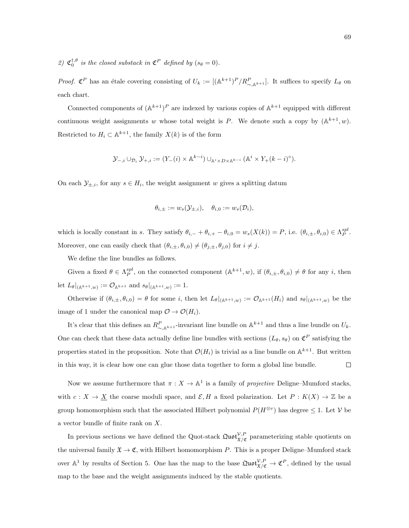2)  $\mathfrak{C}_0^{\dagger,\theta}$  is the closed substack in  $\mathfrak{C}^P$  defined by  $(s_\theta = 0)$ .

*Proof.*  $\mathfrak{C}^P$  has an étale covering consisting of  $U_k := [(\mathbb{A}^{k+1})^P / R_{\sim, \mathbb{A}^{k+1}}^P]$ . It suffices to specify  $L_{\theta}$  on each chart.

Connected components of  $(\mathbb{A}^{k+1})^P$  are indexed by various copies of  $\mathbb{A}^{k+1}$  equipped with different continuous weight assignments w whose total weight is P. We denote such a copy by  $(\mathbb{A}^{k+1}, w)$ . Restricted to  $H_i \subset \mathbb{A}^{k+1}$ , the family  $X(k)$  is of the form

$$
\mathcal{Y}_{-,i} \cup_{\mathcal{D}_i} \mathcal{Y}_{+,i} := (Y_{-}(i) \times \mathbb{A}^{k-i}) \cup_{\mathbb{A}^i \times D \times \mathbb{A}^{k-i}} (\mathbb{A}^i \times Y_{+}(k-i)^\circ).
$$

On each  $\mathcal{Y}_{\pm,i}$ , for any  $s \in H_i$ , the weight assignment w gives a splitting datum

$$
\theta_{i,\pm} := w_s(\mathcal{Y}_{\pm,i}), \quad \theta_{i,0} := w_s(\mathcal{D}_i),
$$

which is locally constant in s. They satisfy  $\theta_{i,-} + \theta_{i,+} - \theta_{i,0} = w_s(X(k)) = P$ , i.e.  $(\theta_{i,\pm}, \theta_{i,0}) \in \Lambda_P^{spl}$ . Moreover, one can easily check that  $(\theta_{i,\pm}, \theta_{i,0}) \neq (\theta_{j,\pm}, \theta_{j,0})$  for  $i \neq j$ .

We define the line bundles as follows.

Given a fixed  $\theta \in \Lambda_P^{spl}$ , on the connected component  $(\mathbb{A}^{k+1}, w)$ , if  $(\theta_{i, \pm}, \theta_{i,0}) \neq \theta$  for any i, then let  $L_{\theta}|_{(\mathbb{A}^{k+1},w)} := \mathcal{O}_{\mathbb{A}^{k+1}}$  and  $s_{\theta}|_{(\mathbb{A}^{k+1},w)} := 1$ .

Otherwise if  $(\theta_{i,\pm}, \theta_{i,0}) = \theta$  for some i, then let  $L_{\theta}|_{(A^{k+1},w)} := \mathcal{O}_{A^{k+1}}(H_i)$  and  $s_{\theta}|_{(A^{k+1},w)}$  be the image of 1 under the canonical map  $\mathcal{O} \to \mathcal{O}(H_i)$ .

It's clear that this defines an  $R^P_{\sim, \mathbb{A}^{k+1}}$ -invariant line bundle on  $\mathbb{A}^{k+1}$  and thus a line bundle on  $U_k$ . One can check that these data actually define line bundles with sections  $(L_{\theta}, s_{\theta})$  on  $\mathfrak{C}^P$  satisfying the properties stated in the proposition. Note that  $\mathcal{O}(H_i)$  is trivial as a line bundle on  $\mathbb{A}^{k+1}$ . But written in this way, it is clear how one can glue those data together to form a global line bundle.  $\Box$ 

Now we assume furthermore that  $\pi : X \to \mathbb{A}^1$  is a family of *projective* Deligne–Mumford stacks, with  $c: X \to \underline{X}$  the coarse moduli space, and  $\mathcal{E}, H$  a fixed polarization. Let  $P: K(X) \to \mathbb{Z}$  be a group homomorphism such that the associated Hilbert polynomial  $P(H^{\otimes v})$  has degree  $\leq 1$ . Let V be a vector bundle of finite rank on X.

In previous sections we have defined the Quot-stack  $\mathfrak{Quot}^{\mathcal{V},P}_{\mathfrak{X}/\mathfrak{C}}$  parameterizing stable quotients on the universal family  $\mathfrak{X} \to \mathfrak{C}$ , with Hilbert homomorphism P. This is a proper Deligne–Mumford stack over  $\mathbb{A}^1$  by results of Section 5. One has the map to the base  $\mathfrak{Quot}_{\mathfrak{X}/\mathfrak{C}}^{\mathcal{V},P} \to \mathfrak{C}^P$ , defined by the usual map to the base and the weight assignments induced by the stable quotients.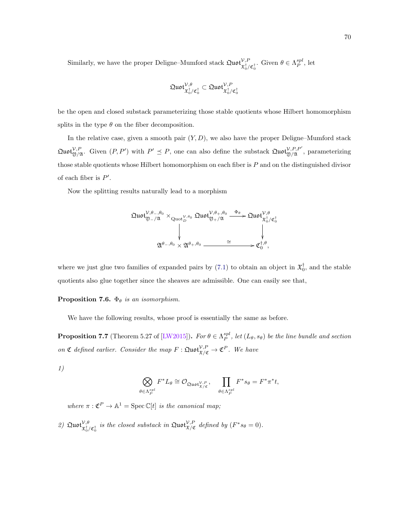<span id="page-75-2"></span>Similarly, we have the proper Deligne–Mumford stack  $\mathfrak{Quot}^{\mathcal{V},P}_{\mathfrak{X}_0^{\dagger}/\mathfrak{C}_0^{\dagger}}$ . Given  $\theta \in \Lambda^{spl}_P$ , let

$$
\mathfrak{Quot}_{\mathfrak{X}_{0}^{\dagger}/\mathfrak{C}_{0}^{\dagger}}^{\mathcal{V},\theta}\subset \mathfrak{Quot}_{\mathfrak{X}_{0}^{\dagger}/\mathfrak{C}_{0}^{\dagger}}^{\mathcal{V},P}
$$

be the open and closed substack parameterizing those stable quotients whose Hilbert homomorphism splits in the type  $\theta$  on the fiber decomposition.

In the relative case, given a smooth pair  $(Y, D)$ , we also have the proper Deligne–Mumford stack  $\mathfrak{Quot}^{\mathcal{V},P}_{\mathfrak{Y}/\mathfrak{A}}$ . Given  $(P, P')$  with  $P' \preceq P$ , one can also define the substack  $\mathfrak{Quot}^{\mathcal{V},P,P'}_{\mathfrak{Y}/\mathfrak{A}}$ , parameterizing those stable quotients whose Hilbert homomorphism on each fiber is  $P$  and on the distinguished divisor of each fiber is  $P'$ .

Now the splitting results naturally lead to a morphism



where we just glue two families of expanded pairs by [\(7.1\)](#page-71-0) to obtain an object in  $\mathfrak{X}_0^{\dagger}$ , and the stable quotients also glue together since the sheaves are admissible. One can easily see that,

<span id="page-75-0"></span>**Proposition 7.6.**  $\Phi_{\theta}$  is an isomorphism.

We have the following results, whose proof is essentially the same as before.

<span id="page-75-1"></span>**Proposition 7.7** (Theorem 5.27 of [\[LW2015\]](#page-88-0)). For  $\theta \in \Lambda_P^{spl}$ , let  $(L_\theta, s_\theta)$  be the line bundle and section on  $\mathfrak C$  defined earlier. Consider the map  $F : \mathfrak{Quot}^{\mathcal V,P}_{\mathfrak X/{\mathfrak C}} \to {\mathfrak C}^P$ . We have

1)

$$
\bigotimes_{\theta \in \Lambda_P^{spl}} F^*L_{\theta} \cong \mathcal{O}_{\mathfrak{Quot}_{{\mathfrak X}/{\mathfrak C}}^{V,P}}, \quad \prod_{\theta \in \Lambda_P^{spl}} F^*s_{\theta} = F^*\pi^*t,
$$

where  $\pi: \mathfrak{C}^P \to \mathbb{A}^1 = \mathrm{Spec} \, \mathbb{C}[t]$  is the canonical map;

2)  $\mathfrak{Quot}^{\mathcal{V},\theta}_{\mathfrak{X}_0^{\dagger}/\mathfrak{C}_0^{\dagger}}$  is the closed substack in  $\mathfrak{Quot}^{\mathcal{V},P}_{\mathfrak{X}/\mathfrak{C}}$  defined by  $(F^*s_{\theta}=0)$ .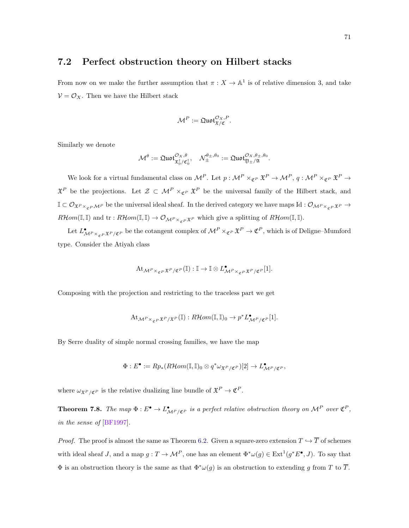#### <span id="page-76-0"></span>7.2 Perfect obstruction theory on Hilbert stacks

From now on we make the further assumption that  $\pi : X \to \mathbb{A}^1$  is of relative dimension 3, and take  $V = \mathcal{O}_X$ . Then we have the Hilbert stack

$$
\mathcal{M}^P := \mathfrak{Quot}_{\mathfrak{X}/\mathfrak{C}}^{\mathcal{O}_X, P}.
$$

Similarly we denote

$$
\mathcal{M}^{\theta}:=\mathfrak{Quot}^{\mathcal{O}_X,\theta}_{\mathfrak{X}_0^{\dagger}/\mathfrak{C}_0^{\dagger}},\quad \mathcal{N}_{\pm}^{\theta_{\pm},\theta_0}:=\mathfrak{Quot}^{\mathcal{O}_X,\theta_{\pm},\theta_0}_{\mathfrak{Y}_{\pm}/\mathfrak{A}}.
$$

We look for a virtual fundamental class on  $\mathcal{M}^P$ . Let  $p: \mathcal{M}^P \times_{\mathfrak{C}^P} \mathfrak{X}^P \to \mathcal{M}^P$ ,  $q: \mathcal{M}^P \times_{\mathfrak{C}^P} \mathfrak{X}^P \to$  $\mathfrak{X}^P$  be the projections. Let  $\mathcal{Z} \subset \mathcal{M}^P \times_{\mathfrak{C}^P} \mathfrak{X}^P$  be the universal family of the Hilbert stack, and  $\mathbb{I} \subset \mathcal{O}_{\mathfrak{X}^P \times_{\sigma P} \mathcal{M}^P}$  be the universal ideal sheaf. In the derived category we have maps Id :  $\mathcal{O}_{\mathcal{M}^P \times_{\sigma P} \mathfrak{X}^P}$   $\rightarrow$  $R\mathcal{H}om(\mathbb{I},\mathbb{I})$  and  $\mathrm{tr}:R\mathcal{H}om(\mathbb{I},\mathbb{I})\to \mathcal{O}_{\mathcal{M}^P\times_{\sigma P}\mathfrak{X}^P}$  which give a splitting of  $R\mathcal{H}om(\mathbb{I},\mathbb{I})$ .

Let  $L^{\bullet}_{\mathcal{M}^P\times_{\mathfrak{C}^P}\mathfrak{X}^P/\mathfrak{C}^P}$  be the cotangent complex of  $\mathcal{M}^P\times_{\mathfrak{C}^P}\mathfrak{X}^P\to \mathfrak{C}^P$ , which is of Deligne–Mumford type. Consider the Atiyah class

$$
\mathrm{At}_{\mathcal{M}^P\times_{\mathfrak{C}^P}\mathfrak{X}^P/\mathfrak{C}^P}(\mathbb{I}):\mathbb{I}\to\mathbb{I}\otimes L^\bullet_{\mathcal{M}^P\times_{\mathfrak{C}^P}\mathfrak{X}^P/\mathfrak{C}^P}[1].
$$

Composing with the projection and restricting to the traceless part we get

$$
\mathrm{At}_{\mathcal{M}^P\times_{\mathfrak{C}^P}\mathfrak{X}^P/\mathfrak{X}^P}(\mathbb{I}):R\mathcal{H}om(\mathbb{I},\mathbb{I})_0\rightarrow p^*L_{\mathcal{M}^P/\mathfrak{C}^P}^{\bullet}[1].
$$

By Serre duality of simple normal crossing families, we have the map

$$
\Phi: E^{\bullet} := Rp_*(R\mathcal{H}om(\mathbb{I}, \mathbb{I})_0 \otimes q^*\omega_{\mathfrak{X}^P/\mathfrak{C}^P})[2] \to L^{\bullet}_{\mathcal{M}^P/\mathfrak{C}^P},
$$

where  $\omega_{\mathfrak{X}^P/\mathfrak{C}^P}$  is the relative dualizing line bundle of  $\mathfrak{X}^P \to \mathfrak{C}^P$ .

**Theorem 7.8.** The map  $\Phi: E^{\bullet} \to L^{\bullet}_{\mathcal{M}^P/\mathfrak{C}^P}$  is a perfect relative obstruction theory on  $\mathcal{M}^P$  over  $\mathfrak{C}^P$ , in the sense of [\[BF1997\]](#page-87-0).

*Proof.* The proof is almost the same as Theorem [6.2.](#page-66-0) Given a square-zero extension  $T \hookrightarrow \overline{T}$  of schemes with ideal sheaf J, and a map  $g: T \to \mathcal{M}^P$ , one has an element  $\Phi^* \omega(g) \in \text{Ext}^1(g^* E^{\bullet}, J)$ . To say that  $\Phi$  is an obstruction theory is the same as that  $\Phi^*\omega(g)$  is an obstruction to extending g from T to  $\overline{T}$ .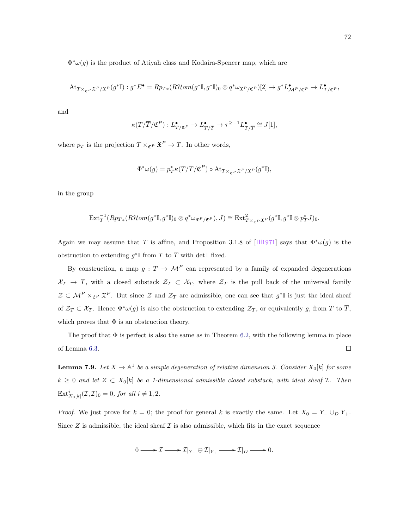<span id="page-77-0"></span> $\Phi^*\omega(g)$  is the product of Atiyah class and Kodaira-Spencer map, which are

$$
\mathrm{At}_{T\times_{\mathfrak{C}} P\,\mathfrak{X}^P/\mathfrak{X}^P}(g^*\mathbb{I}): g^*E^\bullet=Rp_{T*}(R\mathcal{H}om(g^*\mathbb{I},g^*\mathbb{I})_0\otimes q^*\omega_{\mathfrak{X}^P/\mathfrak{C}^P})[2]\to g^*L_{\mathcal{M}^P/\mathfrak{C}^P}^\bullet\to L_{T/\mathfrak{C}^P}^\bullet,
$$

and

$$
\kappa(T/\overline{T}/\mathfrak{C}^P):L^\bullet_{T/\mathfrak{C}^P}\to L^\bullet_{T/\overline{T}}\to \tau^{\geq -1}L^\bullet_{T/\overline{T}}\cong J[1],
$$

where  $p_T$  is the projection  $T \times_{\mathfrak{C}^P} \mathfrak{X}^P \to T$ . In other words,

$$
\Phi^*\omega(g) = p_T^*\kappa(T/\overline{T}/\mathfrak{C}^P) \circ \mathrm{At}_{T\times_{\mathfrak{C}^P}\mathfrak{X}^P/\mathfrak{X}^P}(g^*\mathbb{I}),
$$

in the group

$$
\mathrm{Ext}^{-1}_{T}(Rp_{T*}(R\mathcal{H}om(g^{*}\mathbb{I},g^{*}\mathbb{I})_{0}\otimes q^{*}\omega_{\mathfrak{X}^{P}/\mathfrak{C}^{P}}),J)\cong \mathrm{Ext}^{2}_{T\times_{\mathfrak{C}^{P}}\mathfrak{X}^{P}}(g^{*}\mathbb{I},g^{*}\mathbb{I}\otimes p^{*}_{T}J)_{0}.
$$

Again we may assume that T is affine, and Proposition 3.1.8 of [\[Ill1971\]](#page-88-1) says that  $\Phi^*\omega(g)$  is the obstruction to extending  $g^* \mathbb{I}$  from T to  $\overline{T}$  with det  $\mathbb{I}$  fixed.

By construction, a map  $g: T \to \mathcal{M}^P$  can represented by a family of expanded degenerations  $\mathcal{X}_T \to T$ , with a closed substack  $\mathcal{Z}_T \subset \mathcal{X}_T$ , where  $\mathcal{Z}_T$  is the pull back of the universal family  $\mathcal{Z} \subset \mathcal{M}^P \times_{\mathfrak{C}^P} \mathfrak{X}^P$ . But since  $\mathcal{Z}$  and  $\mathcal{Z}_T$  are admissible, one can see that  $g^* \mathbb{I}$  is just the ideal sheaf of  $\mathcal{Z}_T \subset \mathcal{X}_T$ . Hence  $\Phi^*\omega(g)$  is also the obstruction to extending  $\mathcal{Z}_T$ , or equivalently g, from T to  $\overline{T}$ , which proves that  $\Phi$  is an obstruction theory.

The proof that  $\Phi$  is perfect is also the same as in Theorem [6.2,](#page-66-0) with the following lemma in place of Lemma [6.3.](#page-68-0)  $\Box$ 

**Lemma 7.9.** Let  $X \to \mathbb{A}^1$  be a simple degeneration of relative dimension 3. Consider  $X_0[k]$  for some  $k \geq 0$  and let  $Z \subset X_0[k]$  be a 1-dimensional admissible closed substack, with ideal sheaf  $\mathcal{I}$ . Then  $\mathrm{Ext}^i_{X_0[k]}(\mathcal{I},\mathcal{I})_0=0$ , for all  $i \neq 1,2$ .

*Proof.* We just prove for  $k = 0$ ; the proof for general k is exactly the same. Let  $X_0 = Y_-\cup_D Y_+$ . Since  $Z$  is admissible, the ideal sheaf  $\mathcal I$  is also admissible, which fits in the exact sequence

$$
0 \longrightarrow \mathcal{I} \longrightarrow \mathcal{I}|_{Y_-} \oplus \mathcal{I}|_{Y_+} \longrightarrow \mathcal{I}|_D \longrightarrow 0.
$$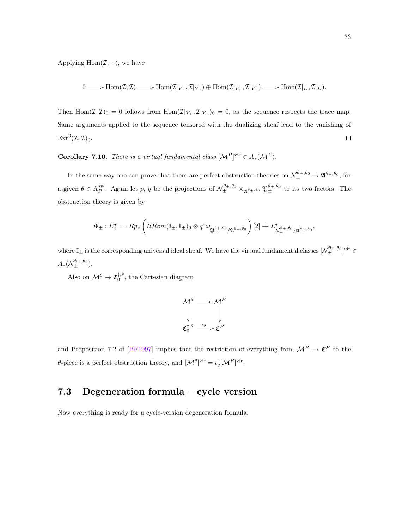<span id="page-78-0"></span>Applying Hom $(\mathcal{I},-)$ , we have

$$
0 \longrightarrow \mathrm{Hom}(\mathcal{I},\mathcal{I}) \longrightarrow \mathrm{Hom}(\mathcal{I}|_{Y_-},\mathcal{I}|_{Y_-}) \oplus \mathrm{Hom}(\mathcal{I}|_{Y_+},\mathcal{I}|_{Y_+}) \longrightarrow \mathrm{Hom}(\mathcal{I}|_D,\mathcal{I}|_D).
$$

Then  $\text{Hom}(\mathcal{I}, \mathcal{I})_0 = 0$  follows from  $\text{Hom}(\mathcal{I}|_{Y_\pm}, \mathcal{I}|_{Y_\pm})_0 = 0$ , as the sequence respects the trace map. Same arguments applied to the sequence tensored with the dualizing sheaf lead to the vanishing of  $Ext^3(\mathcal{I},\mathcal{I})_0.$  $\Box$ 

**Corollary 7.10.** There is a virtual fundamental class  $[\mathcal{M}^P]^\text{vir} \in A_*(\mathcal{M}^P)$ .

In the same way one can prove that there are perfect obstruction theories on  $\mathcal{N}_{\pm}^{\theta_{\pm},\theta_{0}} \to \mathfrak{A}^{\theta_{\pm},\theta_{0}},$  for a given  $\theta \in \Lambda_P^{spl}$ . Again let p, q be the projections of  $\mathcal{N}_{\pm}^{\theta_{\pm},\theta_0} \times_{\mathfrak{A}^{\theta_{\pm},\theta_0}} \mathfrak{Y}_{\pm}^{\theta_{\pm},\theta_0}$  to its two factors. The obstruction theory is given by

$$
\Phi_{\pm}: E_{\pm}^{\bullet} := Rp_*\left(R\mathcal{H}om(\mathbb{I}_{\pm}, \mathbb{I}_{\pm})_0 \otimes q^* \omega_{\mathfrak{Y}_{\pm}^{\theta_{\pm}, \theta_0}/\mathfrak{A}^{\theta_{\pm}, \theta_0}}\right)[2] \to L^{\bullet}_{\mathcal{N}_{\pm}^{\theta_{\pm}, \theta_0}/\mathfrak{A}^{\theta_{\pm}, \theta_0}},
$$

where  $\mathbb{I}_{\pm}$  is the corresponding universal ideal sheaf. We have the virtual fundamental classes  $[\mathcal{N}_{\pm}^{\theta_{\pm},\theta_0}]$ <sup>vir</sup>  $\in$  $A_*(\mathcal{N}_{\pm}^{\theta_{\pm},\theta_0}).$ 

Also on  $\mathcal{M}^{\theta} \to \mathfrak{C}_0^{\dagger,\theta}$ , the Cartesian diagram

$$
\mathcal{M}^{\theta} \longrightarrow \mathcal{M}^{P}
$$
  

$$
\downarrow \qquad \qquad \downarrow
$$
  

$$
\mathfrak{C}_{0}^{\dagger,\theta} \xrightarrow{\iota_{\theta}} \mathfrak{C}^{P}
$$

and Proposition 7.2 of [\[BF1997\]](#page-87-0) implies that the restriction of everything from  $\mathcal{M}^P \to \mathfrak{C}^P$  to the θ-piece is a perfect obstruction theory, and  $[Λ<sup>θ</sup>]$ <sup>vir</sup> =  $\iota_{\theta}^{!}[M<sup>P</sup>]$ <sup>vir</sup>.

### 7.3 Degeneration formula – cycle version

Now everything is ready for a cycle-version degeneration formula.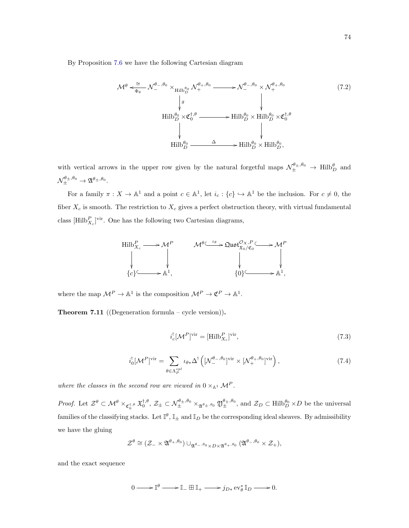By Proposition [7.6](#page-75-0) we have the following Cartesian diagram

<span id="page-79-0"></span>
$$
\mathcal{M}^{\theta} \xleftarrow{\cong} \mathcal{N}^{\theta_{-},\theta_{0}} \times_{\text{Hilb}_{D}^{\theta_{0}}} \mathcal{N}^{\theta_{+},\theta_{0}} \longrightarrow \mathcal{N}^{\theta_{-},\theta_{0}} \times \mathcal{N}^{\theta_{+},\theta_{0}}_{+} \qquad (7.2)
$$
\n
$$
\downarrow \qquad \qquad \downarrow \qquad \qquad \downarrow
$$
\n
$$
\text{Hilb}_{D}^{\theta_{0}} \times \mathfrak{C}_{0}^{\dagger,\theta} \longrightarrow \text{Hilb}_{D}^{\theta_{0}} \times \text{Hilb}_{D}^{\theta_{0}} \times \mathfrak{C}_{0}^{\dagger,\theta}
$$
\n
$$
\downarrow \qquad \qquad \downarrow
$$
\n
$$
\text{Hilb}_{D}^{\theta_{0}} \longrightarrow \Delta \longrightarrow \text{Hilb}_{D}^{\theta_{0}} \times \text{Hilb}_{D}^{\theta_{0}},
$$
\n
$$
(7.2)
$$

with vertical arrows in the upper row given by the natural forgetful maps  $\mathcal{N}_{\pm}^{\theta_{\pm},\theta_{0}} \to \text{Hilb}_{D}^{\theta}$  and  $\mathcal{N}_{\pm}^{\theta_{\pm},\theta_{0}} \rightarrow \mathfrak{A}^{\theta_{\pm},\theta_{0}}.$ 

For a family  $\pi: X \to \mathbb{A}^1$  and a point  $c \in \mathbb{A}^1$ , let  $i_c: \{c\} \hookrightarrow \mathbb{A}^1$  be the inclusion. For  $c \neq 0$ , the fiber  $X_c$  is smooth. The restriction to  $X_c$  gives a perfect obstruction theory, with virtual fundamental class  $[\text{Hilb}_{X_c}^P]$ <sup>vir</sup>. One has the following two Cartesian diagrams,



where the map  $\mathcal{M}^P \to \mathbb{A}^1$  is the composition  $\mathcal{M}^P \to \mathfrak{C}^P \to \mathbb{A}^1$ .

**Theorem 7.11** ((Degeneration formula – cycle version)).

<span id="page-79-1"></span>
$$
i_c^![\mathcal{M}^P]^{\text{vir}} = [\text{Hilb}_{X_c}^P]^{\text{vir}},\tag{7.3}
$$

<span id="page-79-2"></span>
$$
i_0^![\mathcal{M}^P]^{\text{vir}} = \sum_{\theta \in \Lambda_P^{spl}} \iota_{\theta*} \Delta^! \left( [\mathcal{N}^{\theta_-,\theta_0}_-]^{\text{vir}} \times [\mathcal{N}^{\theta_+,\theta_0}_+]^{\text{vir}} \right),\tag{7.4}
$$

where the classes in the second row are viewed in  $0 \times_{\mathbb{A}^1} \mathcal{M}^P$ .

Proof. Let  $\mathcal{Z}^{\theta} \subset \mathcal{M}^{\theta} \times_{\mathfrak{C}_{0}^{\dagger,\theta}} \mathfrak{X}_{0}^{\dagger,\theta}$ ,  $\mathcal{Z}_{\pm} \subset \mathcal{N}_{\pm}^{\theta_{\pm},\theta_{0}} \times_{\mathfrak{A}^{\theta_{\pm},\theta_{0}}} \mathfrak{Y}_{\pm}^{\theta_{\pm},\theta_{0}}$ , and  $\mathcal{Z}_{D} \subset \text{Hilb}_{D}^{\theta_{0}} \times D$  be the universal families of the classifying stacks. Let  $\mathbb{I}^{\theta}$ ,  $\mathbb{I}_{\pm}$  and  $\mathbb{I}_D$  be the corresponding ideal sheaves. By admissibility we have the gluing

$$
\mathcal{Z}^{\theta} \cong (\mathcal{Z}_{-} \times \mathfrak{A}^{\theta_{+},\theta_{0}}) \cup_{\mathfrak{A}^{\theta_{-},\theta_{0}} \times D \times \mathfrak{A}^{\theta_{+},\theta_{0}}} (\mathfrak{A}^{\theta_{-},\theta_{0}} \times \mathcal{Z}_{+}),
$$

and the exact sequence

 $0 \longrightarrow \mathbb{I}^{\theta} \longrightarrow \mathbb{I} \perp \boxplus \mathbb{I}^+ \longrightarrow j_{D*} \operatorname{ev}_\theta^* \mathbb{I}_D \longrightarrow 0.$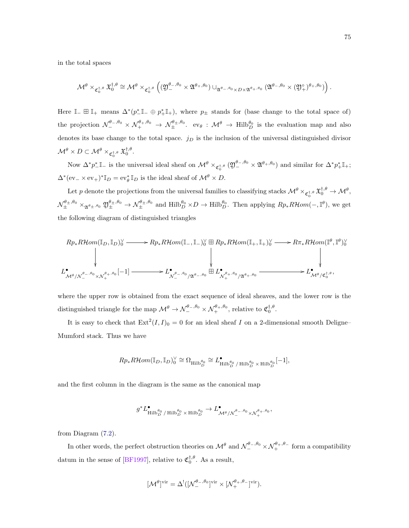<span id="page-80-0"></span>in the total spaces

$$
\mathcal{M}^{\theta}\times_{\mathfrak{C}_0^{\dagger,\theta}} \mathfrak{X}_0^{\dagger,\theta}\cong \mathcal{M}^{\theta}\times_{\mathfrak{C}_0^{\dagger,\theta}}\left((\mathfrak{Y}_-^{\theta_-,\theta_0}\times \mathfrak{A}^{\theta_+,\theta_0})\cup_{\mathfrak{A}^{\theta_-,\theta_0}\times D\times \mathfrak{A}^{\theta_+,\theta_0}} (\mathfrak{A}^{\theta_-,\theta_0}\times (\mathfrak{Y}_+^\circ)^{\theta_+,\theta_0})\right).
$$

Here  $\mathbb{I}_+ \boxplus \mathbb{I}_+$  means  $\Delta^*(p^*_{-}\mathbb{I}_- \oplus p^*_{+}\mathbb{I}_+),$  where  $p_{\pm}$  stands for (base change to the total space of) the projection  $\mathcal{N}_{-}^{\theta_{-},\theta_{0}} \times \mathcal{N}_{+}^{\theta_{+},\theta_{0}} \to \mathcal{N}_{\pm}^{\theta_{\pm},\theta_{0}}$ .  $ev_{\theta} : \mathcal{M}^{\theta} \to \text{Hilb}_{D}^{\theta_{0}}$  is the evaluation map and also denotes its base change to the total space.  $j_D$  is the inclusion of the universal distinguished divisor  $\mathcal{M}^{\theta} \times D \subset \mathcal{M}^{\theta} \times_{\mathfrak{C}_0^{\dagger,\theta}} \mathfrak{X}_0^{\dagger,\theta}.$ 

Now  $\Delta^* p^*_{-}\mathbb{I}_-$  is the universal ideal sheaf on  $\mathcal{M}^\theta\times_{\mathfrak{C}_0^{\dagger,\theta}} (\mathfrak{Y}_-^{\theta_-,\theta_0}\times \mathfrak{A}^{\theta_+,\theta_0})$  and similar for  $\Delta^* p^*_{+}\mathbb{I}_+$ ;  $\Delta^*(ev_-\times ev_+)^* \mathbb{I}_D = ev_\theta^* \mathbb{I}_D$  is the ideal sheaf of  $\mathcal{M}^\theta \times D$ .

Let p denote the projections from the universal families to classifying stacks  $\mathcal{M}^{\theta} \times_{\mathfrak{C}_0^{\dagger,\theta}} \mathfrak{X}_0^{\dagger,\theta} \to \mathcal{M}^{\theta}$ ,  $\mathcal{N}_{\pm}^{\theta_{\pm},\theta_{0}} \times_{\mathfrak{A}^{\theta_{\pm},\theta_{0}}} \mathfrak{D}^{\theta_{\pm},\theta_{0}} \to \mathcal{N}_{\pm}^{\theta_{\pm},\theta_{0}}$  and  $\text{Hilb}_{D}^{\theta_{0}} \times D \to \text{Hilb}_{D}^{\theta_{0}}$ . Then applying  $Rp_{*}R\mathcal{H}om(-,\mathbb{I}^{\theta})$ , we get the following diagram of distinguished triangles

$$
Rp_*R\mathcal{H}om(\mathbb{I}_D, \mathbb{I}_D)^\vee_0 \longrightarrow Rp_*R\mathcal{H}om(\mathbb{I}_-, \mathbb{I}_-)^\vee_0 \boxplus Rp_*R\mathcal{H}om(\mathbb{I}_+, \mathbb{I}_+)^\vee_0 \longrightarrow R\pi_*R\mathcal{H}om(\mathbb{I}^\theta, \mathbb{I}^\theta)^\vee_0
$$
\n
$$
\downarrow
$$
\n
$$
L^{\bullet}_{\mathcal{M}^\theta/\mathcal{N}^{\theta_-,\theta_0}_- \times \mathcal{N}^{\theta_+, \theta_0}_+}[-1] \longrightarrow L^{\bullet}_{\mathcal{N}^{\theta_-,\theta_0}_-/\mathfrak{A}^{\theta_-,\theta_0}} \boxplus L^{\bullet}_{\mathcal{N}^{\theta_+,\theta_0}_+/\mathfrak{A}^{\theta_+, \theta_0}_+} \longrightarrow L^{\bullet}_{\mathcal{M}^\theta/\mathfrak{C}^{\dagger,\theta}_0},
$$

where the upper row is obtained from the exact sequence of ideal sheaves, and the lower row is the distinguished triangle for the map  $\mathcal{M}^{\theta} \to \mathcal{N}_{-}^{\theta_-,\theta_0} \times \mathcal{N}_{+}^{\theta_+,\theta_0}$ , relative to  $\mathfrak{C}_0^{\dagger,\theta}$ .

It is easy to check that  $\text{Ext}^2(I, I)_0 = 0$  for an ideal sheaf I on a 2-dimensional smooth Deligne– Mumford stack. Thus we have

$$
Rp_*R\mathcal{H}om(\mathbb{I}_D,\mathbb{I}_D)^\vee_0\cong \Omega_{\operatorname{Hilb}^{\theta_0}_{D}}\cong L^\bullet_{\operatorname{Hilb}^{\theta_0}_{D}/\operatorname{Hilb}^{\theta_0}_{D}\times \operatorname{Hilb}^{\theta_0}_{D}}[-1],
$$

and the first column in the diagram is the same as the canonical map

$$
g^*L_{\mathop{\rm Hilb}\nolimits_D^{\theta_0}/\mathop{\rm Hilb}\nolimits_D^{\theta_0}\times\mathop{\rm Hilb}\nolimits_D^{\theta_0}}^{\bullet}\to L^\bullet_{\mathcal{M}^{\theta}/\mathcal{N}^{\theta_-, \theta_0}_- \times \mathcal{N}^{\theta_+,\theta_0}_+},
$$

from Diagram [\(7.2\)](#page-79-0).

In other words, the perfect obstruction theories on  $\mathcal{M}^{\theta}$  and  $\mathcal{N}_{-}^{\theta-, \theta_0} \times \mathcal{N}_{+}^{\theta_+,\theta_-}$  form a compatibility datum in the sense of [\[BF1997\]](#page-87-0), relative to  $\mathfrak{C}_0^{\dagger,\theta}$ . As a result,

$$
[\mathcal{M}^{\theta}]^{\text{vir}} = \Delta^!([\mathcal{N}^{\theta_-,\theta_0}_-]^{\text{vir}} \times [\mathcal{N}^{\theta_+,\theta_-}_+]^{\text{vir}}).
$$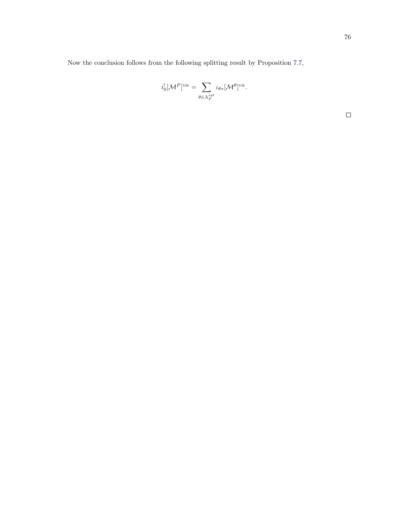Now the conclusion follows from the following splitting result by Proposition [7.7,](#page-75-1)

$$
i_0^![{\mathcal M}^P]^\mathrm{vir} = \sum_{\theta \in \Lambda_P^{spl}} \iota_{\theta*}[{\mathcal M}^{\theta}]^\mathrm{vir}.
$$

 $\Box$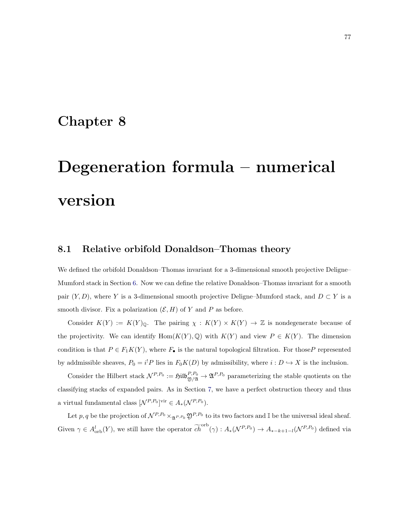### Chapter 8

# Degeneration formula – numerical version

### 8.1 Relative orbifold Donaldson–Thomas theory

We defined the orbifold Donaldson–Thomas invariant for a 3-dimensional smooth projective Deligne– Mumford stack in Section [6.](#page-65-0) Now we can define the relative Donaldson–Thomas invariant for a smooth pair  $(Y, D)$ , where Y is a 3-dimensional smooth projective Deligne–Mumford stack, and  $D \subset Y$  is a smooth divisor. Fix a polarization  $(\mathcal{E}, H)$  of Y and P as before.

Consider  $K(Y) := K(Y)_{\mathbb{Q}}$ . The pairing  $\chi : K(Y) \times K(Y) \to \mathbb{Z}$  is nondegenerate because of the projectivity. We can identify  $Hom(K(Y), \mathbb{Q})$  with  $K(Y)$  and view  $P \in K(Y)$ . The dimension condition is that  $P \in F_1K(Y)$ , where  $F_{\bullet}$  is the natural topological filtration. For those P represented by addmissible sheaves,  $P_0 = i^! P$  lies in  $F_0 K(D)$  by admissibility, where  $i : D \hookrightarrow X$  is the inclusion.

Consider the Hilbert stack  $\mathcal{N}^{P,P_0} := \mathfrak{Hilb}_{\mathfrak{Y}/\mathfrak{A}}^{P,P_0} \to \mathfrak{A}^{P,P_0}$  parameterizing the stable quotients on the classifying stacks of expanded pairs. As in Section [7,](#page-71-1) we have a perfect obstruction theory and thus a virtual fundamental class  $[\mathcal{N}^{P,P_0}]$ <sup>vir</sup>  $\in A_*(\mathcal{N}^{P,P_0})$ .

Let p, q be the projection of  $\mathcal{N}^{P,P_0} \times_{\mathfrak{A}^{P,P_0}} \mathfrak{Y}^{P,P_0}$  to its two factors and I be the universal ideal sheaf. Given  $\gamma \in A^l_{\text{orb}}(Y)$ , we still have the operator  $\widetilde{ch}^{\text{orb}}(\gamma) : A_*(\mathcal{N}^{P,P_0}) \to A_{*-k+1-l}(\mathcal{N}^{P,P_0})$  defined via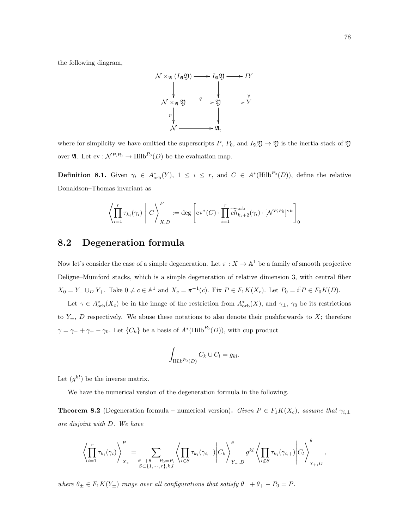the following diagram,



where for simplicity we have omitted the superscripts P,  $P_0$ , and  $I_{\mathfrak{A}}\mathfrak{Y} \to \mathfrak{Y}$  is the inertia stack of  $\mathfrak{Y}$ over  $\mathfrak{A}$ . Let  $ev : \mathcal{N}^{P,P_0} \to \text{Hilb}^{P_0}(D)$  be the evaluation map.

**Definition 8.1.** Given  $\gamma_i \in A_{\text{orb}}^*(Y)$ ,  $1 \leq i \leq r$ , and  $C \in A^*(\text{Hilb}^{P_0}(D))$ , define the relative Donaldson–Thomas invariant as

$$
\left\langle \prod_{i=1}^r \tau_{k_i}(\gamma_i) \middle| C \right\rangle_{X,D}^P := \deg \left[ ev^*(C) \cdot \prod_{i=1}^r \widetilde{ch}_{k_i+2}^{\text{orb}}(\gamma_i) \cdot [\mathcal{N}^{P,P_0}]^{\text{vir}} \right]_0
$$

### 8.2 Degeneration formula

Now let's consider the case of a simple degeneration. Let  $\pi : X \to \mathbb{A}^1$  be a family of smooth projective Deligne–Mumford stacks, which is a simple degeneration of relative dimension 3, with central fiber  $X_0 = Y_- \cup_D Y_+$ . Take  $0 \neq c \in \mathbb{A}^1$  and  $X_c = \pi^{-1}(c)$ . Fix  $P \in F_1K(X_c)$ . Let  $P_0 = i^! P \in F_0K(D)$ .

Let  $\gamma \in A_{\rm orb}^*(X_c)$  be in the image of the restriction from  $A_{\rm orb}^*(X)$ , and  $\gamma_{\pm}$ ,  $\gamma_0$  be its restrictions to  $Y_{\pm}$ , D respectively. We abuse these notations to also denote their pushforwards to X; therefore  $\gamma = \gamma_- + \gamma_+ - \gamma_0$ . Let  $\{C_k\}$  be a basis of  $A^*(\text{Hilb}^{P_0}(D))$ , with cup product

$$
\int_{\text{Hilb}^{P_0}(D)} C_k \cup C_l = g_{kl}.
$$

Let  $(g^{kl})$  be the inverse matrix.

We have the numerical version of the degeneration formula in the following.

<span id="page-83-0"></span>**Theorem 8.2** (Degeneration formula – numerical version). Given  $P \in F_1K(X_c)$ , assume that  $\gamma_{i,\pm}$ are disjoint with D. We have

$$
\left\langle \prod_{i=1}^r \tau_{k_i}(\gamma_i) \right\rangle_{X_c}^P = \sum_{\substack{\theta_- + \theta_+ - P_0 = P, \\ S \subset \{1, \cdots, r\}, k, l}} \left\langle \prod_{i \in S} \tau_{k_i}(\gamma_{i,-}) \middle| C_k \right\rangle_{Y_{-,D}}^{\theta_-} g^{kl} \left\langle \prod_{i \notin S} \tau_{k_i}(\gamma_{i,+}) \middle| C_l \right\rangle_{Y_{+,D}}^{\theta_+},
$$

where  $\theta_{\pm} \in F_1K(Y_{\pm})$  range over all configurations that satisfy  $\theta_- + \theta_+ - P_0 = P$ .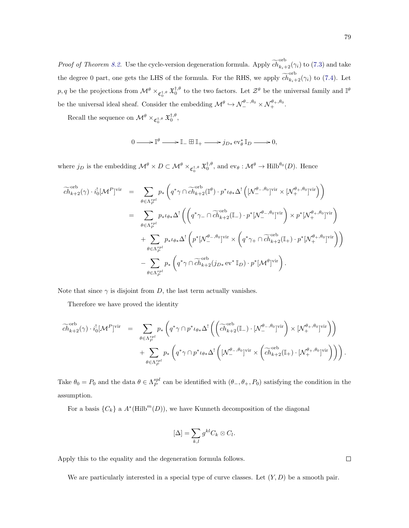*Proof of Theorem [8.2.](#page-83-0)* Use the cycle-version degeneration formula. Apply  $\widetilde{ch}_{k_i+2}^{\text{orb}}(\gamma_i)$  to [\(7.3\)](#page-79-1) and take the degree 0 part, one gets the LHS of the formula. For the RHS, we apply  $\widetilde{ch}_{k+2}^{\text{orb}}(\gamma_i)$  to [\(7.4\)](#page-79-2). Let  $p, q$  be the projections from  $\mathcal{M}^{\theta} \times_{\mathfrak{C}^{\dagger,\theta}_0} \mathfrak{X}^{\dagger,\theta}_0$  to the two factors. Let  $\mathcal{Z}^{\theta}$  be the universal family and  $\mathbb{I}^{\theta}$ be the universal ideal sheaf. Consider the embedding  $\mathcal{M}^{\theta} \hookrightarrow \mathcal{N}_{-}^{\theta_{-},\theta_{0}} \times \mathcal{N}_{+}^{\theta_{+},\theta_{0}}$ .

Recall the sequence on  $\mathcal{M}^{\theta} \times_{\mathfrak{C}_{0}^{\dagger,\theta}} \mathfrak{X}_{0}^{\dagger,\theta}$ ,

$$
0 \longrightarrow \mathbb{I}^{\theta} \longrightarrow \mathbb{I}_{-} \boxplus \mathbb{I}_{+} \longrightarrow j_{D*} \operatorname{ev}_{\theta}^{*} \mathbb{I}_{D} \longrightarrow 0,
$$

where  $j_D$  is the embedding  $\mathcal{M}^{\theta} \times D \subset \mathcal{M}^{\theta} \times_{\mathfrak{C}_{0}^{\dagger,\theta}} \mathfrak{X}_{0}^{\dagger,\theta}$ , and  $ev_{\theta}: \mathcal{M}^{\theta} \to \text{Hilb}^{\theta_{0}}(D)$ . Hence

$$
\widetilde{ch}_{k+2}^{\text{orb}}(\gamma) \cdot i_0^![\mathcal{M}^P]^{\text{vir}} = \sum_{\theta \in \Lambda_P^{spl}} p_* \left( q^* \gamma \cap \widetilde{ch}_{k+2}^{\text{orb}}(\mathbb{I}^{\theta}) \cdot p^* \iota_{\theta *} \Delta^! \left( [\mathcal{N}^{\theta_-,\theta_0}_-]^{\text{vir}} \times [\mathcal{N}^{\theta_+,\theta_0}_+]^{\text{vir}} \right) \right)
$$
\n
$$
= \sum_{\theta \in \Lambda_P^{spl}} p_* \iota_{\theta *} \Delta^! \left( \left( q^* \gamma_- \cap \widetilde{ch}_{k+2}^{\text{orb}}(\mathbb{I}_-) \cdot p^* [\mathcal{N}^{\theta_-,\theta_0}_-]^{\text{vir}} \right) \times p^* [\mathcal{N}^{\theta_+,\theta_0}_+]^{\text{vir}} \right)
$$
\n
$$
+ \sum_{\theta \in \Lambda_P^{spl}} p_* \iota_{\theta *} \Delta^! \left( p^* [\mathcal{N}^{\theta_-,\theta_0}_-]^{\text{vir}} \times \left( q^* \gamma_+ \cap \widetilde{ch}_{k+2}^{\text{orb}}(\mathbb{I}_+) \cdot p^* [\mathcal{N}^{\theta_+,\theta_0}_+]^{\text{vir}} \right) \right)
$$
\n
$$
- \sum_{\theta \in \Lambda_P^{spl}} p_* \left( q^* \gamma \cap \widetilde{ch}_{k+2}^{\text{orb}}(j_{D*} \text{ev}^* \mathbb{I}_D) \cdot p^* [\mathcal{M}^{\theta_+}]^{\text{vir}} \right).
$$

Note that since  $\gamma$  is disjoint from D, the last term actually vanishes.

Therefore we have proved the identity

$$
\widetilde{ch}_{k+2}^{\text{orb}}(\gamma) \cdot i_0^! [\mathcal{M}^P]^{\text{vir}} = \sum_{\theta \in \Lambda_P^{spl}} p_* \left( q^* \gamma \cap p^* \iota_{\theta *} \Delta^! \left( \left( \widetilde{ch}_{k+2}^{\text{orb}}(\mathbb{I}_{-}) \cdot [\mathcal{N}^{\theta_-,\theta_0}]^{\text{vir}} \right) \times [\mathcal{N}^{\theta_+,\theta_0}]^{\text{vir}} \right) \right) \n+ \sum_{\theta \in \Lambda_P^{spl}} p_* \left( q^* \gamma \cap p^* \iota_{\theta *} \Delta^! \left( [\mathcal{N}^{\theta_-,\theta_0}]^{\text{vir}} \times \left( \widetilde{ch}_{k+2}^{\text{orb}}(\mathbb{I}_{+}) \cdot [\mathcal{N}^{\theta_+,\theta_0}]^{\text{vir}} \right) \right) \right).
$$

Take  $\theta_0 = P_0$  and the data  $\theta \in \Lambda_P^{spl}$  can be identified with  $(\theta_-, \theta_+, P_0)$  satisfying the condition in the assumption.

For a basis  ${C_k}$  a  $A^*(\text{Hilb}^m(D))$ , we have Kunneth decomposition of the diagonal

$$
[\Delta] = \sum_{k,l} g^{kl} C_k \otimes C_l.
$$

Apply this to the equality and the degeneration formula follows.

We are particularly interested in a special type of curve classes. Let  $(Y, D)$  be a smooth pair.

 $\Box$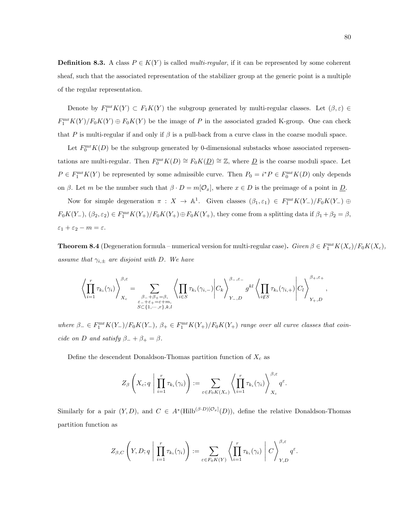**Definition 8.3.** A class  $P \in K(Y)$  is called *multi-regular*, if it can be represented by some coherent sheaf, such that the associated representation of the stabilizer group at the generic point is a multiple of the regular representation.

Denote by  $F_1^{\text{mr}}K(Y) \subset F_1K(Y)$  the subgroup generated by multi-regular classes. Let  $(\beta, \varepsilon) \in$  $F_1^{\text{mr}}K(Y)/F_0K(Y) \oplus F_0K(Y)$  be the image of P in the associated graded K-group. One can check that P is multi-regular if and only if  $\beta$  is a pull-back from a curve class in the coarse moduli space.

Let  $F_0^{\text{mr}}K(D)$  be the subgroup generated by 0-dimensional substacks whose associated representations are multi-regular. Then  $F_0^{\text{mr}}K(D) \cong F_0K(D) \cong \mathbb{Z}$ , where  $D$  is the coarse moduli space. Let  $P \in F_1^{\text{mr}}K(Y)$  be represented by some admissible curve. Then  $P_0 = i^*P \in F_0^{\text{mr}}K(D)$  only depends on β. Let m be the number such that  $\beta \cdot D = m[\mathcal{O}_x]$ , where  $x \in D$  is the preimage of a point in  $\underline{D}$ .

Now for simple degeneration  $\pi : X \to \mathbb{A}^1$ . Given classes  $(\beta_1, \varepsilon_1) \in F_1^{\text{mr}}K(Y_-)/F_0K(Y_-) \oplus$  $F_0K(Y_-, \mathcal{B}_2, \varepsilon_2) \in F_1^{\text{mr}}K(Y_+)/F_0K(Y_+) \oplus F_0K(Y_+),$  they come from a splitting data if  $\beta_1 + \beta_2 = \beta$ ,  $\varepsilon_1+\varepsilon_2-m=\varepsilon.$ 

**Theorem 8.4** (Degeneration formula – numerical version for multi-regular case). Given  $\beta \in F_1^{\text{mr}}K(X_c)/F_0K(X_c)$ , assume that  $\gamma_{i,\pm}$  are disjoint with D. We have

$$
\left\langle \prod_{i=1}^r \tau_{k_i}(\gamma_i) \right\rangle_{X_c}^{\beta,\varepsilon} = \sum_{\substack{\beta_-+\beta_+=\beta,\\ \varepsilon_-+\varepsilon_+=\varepsilon+m,\\S\subset \{1,\cdots,r\},k,l}} \left\langle \prod_{i\in S} \tau_{k_i}(\gamma_{i,-}) \middle| C_k \right\rangle_{Y_-,D}^{\beta_-,\varepsilon_-} g^{kl} \left\langle \prod_{i\not\in S} \tau_{k_i}(\gamma_{i,+}) \middle| C_l \right\rangle_{Y_+,D}^{\beta_+,\varepsilon_+},
$$

where  $\beta_- \in F_1^{\text{mr}} K(Y_-)/F_0 K(Y_-)$ ,  $\beta_+ \in F_1^{\text{mr}} K(Y_+)/F_0 K(Y_+)$  range over all curve classes that coincide on D and satisfy  $\beta_- + \beta_+ = \beta$ .

Define the descendent Donaldson-Thomas partition function of  $X_c$  as

$$
Z_{\beta}\left(X_c;q\mid \prod_{i=1}^r\tau_{k_i}(\gamma_i)\right):=\sum_{\varepsilon\in F_0K(X_c)}\left\langle \prod_{i=1}^r\tau_{k_i}(\gamma_i)\right\rangle_{X_c}^{\beta,\varepsilon}q^{\varepsilon}.
$$

Similarly for a pair  $(Y, D)$ , and  $C \in A^*(\text{Hilb}^{(\beta \cdot D)[\mathcal{O}_x]}(D))$ , define the relative Donaldson-Thomas partition function as

$$
Z_{\beta,C}\left(Y,D;q\;\middle|\; \prod_{i=1}^r\tau_{k_i}(\gamma_i)\right):=\sum_{\varepsilon\in F_0K(Y)}\left\langle \prod_{i=1}^r\tau_{k_i}(\gamma_i)\;\middle|\; C\right\rangle_{Y,D}^{\beta,\varepsilon}q^{\varepsilon}.
$$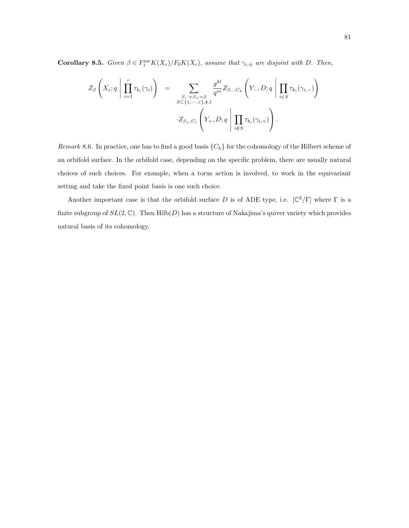**Corollary 8.5.** Given  $\beta \in F_1^{\text{mr}}K(X_c)/F_0K(X_c)$ , assume that  $\gamma_{i,\pm}$  are disjoint with D. Then,

$$
Z_{\beta}\left(X_c;q \mid \prod_{i=1}^r \tau_{k_i}(\gamma_i)\right) = \sum_{\substack{\beta_{-}+\beta_{+}=\beta \\ S \subset \{1,\cdots,r\}, k,l}} \frac{g^{kl}}{q^m} Z_{\beta_{-},C_k}\left(Y_{-},D;q \mid \prod_{i \in S} \tau_{k_i}(\gamma_{i,-})\right)
$$

$$
\cdot Z_{\beta_{+},C_l}\left(Y_{+},D;q \mid \prod_{i \notin S} \tau_{k_i}(\gamma_{i,+})\right).
$$

Remark 8.6. In practice, one has to find a good basis  $\{C_k\}$  for the cohomology of the Hilbert scheme of an orbifold surface. In the orbifold case, depending on the specific problem, there are usually natural choices of such choices. For example, when a torus action is involved, to work in the equivariant setting and take the fixed point basis is one such choice.

Another important case is that the orbifold surface D is of ADE type, i.e.  $[\mathbb{C}^2/\Gamma]$  where  $\Gamma$  is a finite subgroup of  $SL(2,\mathbb{C})$ . Then  $Hilb(D)$  has a structure of Nakajima's quiver variety which provides natural basis of its cohomology.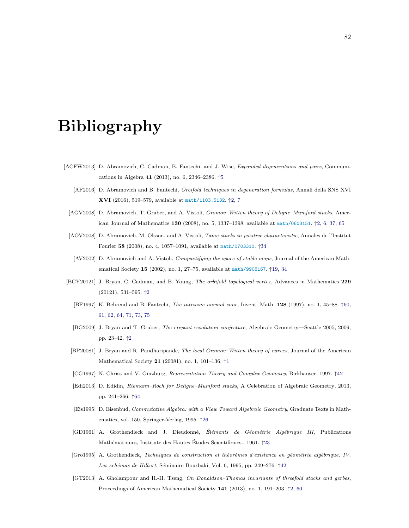## Bibliography

- [ACFW2013] D. Abramovich, C. Cadman, B. Fantechi, and J. Wise, Expanded degenerations and pairs, Communications in Algebra 41 (2013), no. 6, 2346–2386. ↑[5](#page-10-0)
	- [AF2016] D. Abramovich and B. Fantechi, Orbifold techniques in degeneration formulas, Annali della SNS XVI XVI (2016), 519–579, available at <math/1103.5132>. ↑[2,](#page-2-0) [7](#page-12-0)
	- [AGV2008] D. Abramovich, T. Graber, and A. Vistoli, Gromov-Witten theory of Deligne-Mumford stacks, American Journal of Mathematics 130 (2008), no. 5, 1337–1398, available at <math/0603151>. ↑[2,](#page-2-0) [6,](#page-11-0) [37,](#page-42-0) [65](#page-70-0)
	- [AOV2008] D. Abramovich, M. Olsson, and A. Vistoli, Tame stacks in positive characteristic, Annales de l'Institut Fourier 58 (2008), no. 4, 1057–1091, available at <math/0703310>. ↑[34](#page-39-0)
	- [AV2002] D. Abramovich and A. Vistoli, Compactifying the space of stable maps, Journal of the American Mathematical Society 15 (2002), no. 1, 27–75, available at <math/9908167>. ↑[19,](#page-24-0) [34](#page-39-0)
- <span id="page-87-0"></span>[BCY20121] J. Bryan, C. Cadman, and B. Young, The orbifold topological vertex, Advances in Mathematics 229 (20121), 531–595. ↑[2](#page-2-0)
	- [BF1997] K. Behrend and B. Fantechi, The intrinsic normal cone, Invent. Math. 128 (1997), no. 1, 45–88. ↑[60,](#page-65-1) [61,](#page-66-1) [62,](#page-67-0) [64,](#page-69-0) [71,](#page-76-0) [73,](#page-78-0) [75](#page-80-0)
	- [BG2009] J. Bryan and T. Graber, The crepant resolution conjecture, Algebraic Geometry—Seattle 2005, 2009, pp. 23–42. ↑[2](#page-2-0)
	- [BP20081] J. Bryan and R. Pandharipande, The local Gromov–Witten theory of curves, Journal of the American Mathematical Society 21 (20081), no. 1, 101–136. ↑[1](#page-0-0)
	- [CG1997] N. Chriss and V. Ginzburg, Representation Theory and Complex Geometry, Birkhäuser, 1997. †[42](#page-47-0)
	- [Edi2013] D. Edidin, Riemann–Roch for Deligne–Mumford stacks, A Celebration of Algebraic Geometry, 2013, pp. 241–266. ↑[64](#page-69-0)
	- [Eis1995] D. Eisenbud, Commutative Algebra: with a View Toward Algebraic Geometry, Graduate Texts in Mathematics, vol. 150, Springer-Verlag, 1995. ↑[26](#page-31-0)
	- [GD1961] A. Grothendieck and J. Dieudonné, Éléments de Géométrie Algébrique III, Publications Mathématiques, Institute des Hautes Études Scientifiques., 1961.  $\uparrow$ [23](#page-28-0)
	- [Gro1995] A. Grothendieck, Techniques de construction et théorèmes d'existence en géométrie algébrique. IV. Les schémas de Hilbert, Séminaire Bourbaki, Vol. 6, 1995, pp. 249–276.  $\uparrow$ [42](#page-47-0)
	- [GT2013] A. Gholampour and H.-H. Tseng, On Donaldson–Thomas invariants of threefold stacks and gerbes, Proceedings of American Mathematical Society 141 (2013), no. 1, 191–203. ↑[2,](#page-2-0) [60](#page-65-1)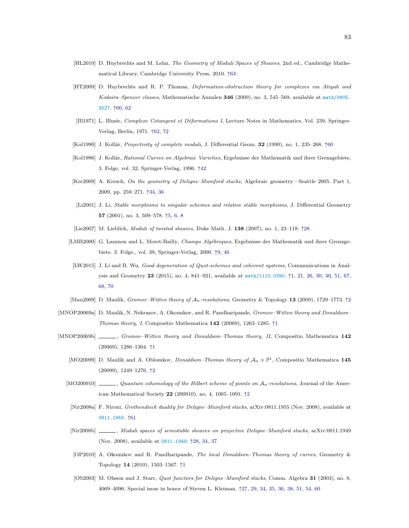- [HL2010] D. Huybrechts and M. Lehn, The Geometry of Moduli Spaces of Sheaves, 2nd ed., Cambridge Mathematical Library, Cambridge University Press, 2010. ↑[63](#page-68-1)
- [HT2009] D. Huybrechts and R. P. Thomas, Deformation-obstruction theory for complexes via Atiyah and Kodaira–Spencer classes, Mathematische Annalen 346 (2009), no. 3, 545–569, available at [math/0805.](math/0805.3527) [3527](math/0805.3527). ↑[60,](#page-65-1) [62](#page-67-0)
- <span id="page-88-1"></span>[Ill1971] L. Illusie, Complexe Cotangent et Déformations I, Lecture Notes in Mathematics, Vol. 239, Springer-Verlag, Berlin, 1971. ↑[62,](#page-67-0) [72](#page-77-0)
- [Kol1990] J. Kollár, *Projectivity of complete moduli*, J. Differential Geom. 32 (1990), no. 1, 235–268.  $\uparrow$ [60](#page-65-1)
- [Kol1996] J. Kollár, Rational Curves on Algebraic Varieties, Ergebnisse der Mathematik und ihrer Grenzgebiete, 3. Folge, vol. 32, Springer-Verlag, 1996. ↑[42](#page-47-0)
- [Kre2009] A. Kresch, On the geometry of Deligne–Mumford stacks, Algebraic geometry—Seattle 2005. Part 1, 2009, pp. 259–271. ↑[34,](#page-39-0) [36](#page-41-0)
- [Li2001] J. Li, Stable morphisms to singular schemes and relative stable morphisms, J. Differential Geometry 57 (2001), no. 3, 509–578. ↑[5,](#page-10-0) [6,](#page-11-0) [8](#page-13-0)
- [Lie2007] M. Lieblich, Moduli of twisted sheaves, Duke Math. J. 138 (2007), no. 1, 23–118. ↑[28](#page-33-0)
- <span id="page-88-0"></span>[LMB2000] G. Laumon and L. Moret-Bailly, Champs Algébriques, Ergebnisse der Mathematik und ihrer Grenzgebiete. 3. Folge., vol. 39, Springer-Verlag, 2000. ↑[9,](#page-14-0) [46](#page-51-0)
	- [LW2015] J. Li and B. Wu, Good degeneration of Quot-schemes and coherent systems, Communications in Analysis and Geometry 23 (2015), no. 4, 841–921, available at <math/1110.0390>. ↑[1,](#page-0-0) [21,](#page-26-0) [26,](#page-31-0) [30,](#page-35-0) [40,](#page-45-0) [51,](#page-56-0) [67,](#page-72-0) [68,](#page-73-0) [70](#page-75-2)
- [Mau[2](#page-2-0)009] D. Maulik, Gromov–Witten theory of  $\mathcal{A}_n$ -resolutions, Geometry & Topology 13 (2009), 1729–1773. †2
- [MNOP20069a] D. Maulik, N. Nekrasov, A. Okounkov, and R. Pandharipande, Gromov–Witten theory and Donaldson– Thomas theory, I, Compositio Mathematica  $142$  $142$  (20069), 1263-1285.  $\uparrow$ 1
- [MNOP20069b] Gromov–Witten theory and Donaldson–Thomas theory, II, Compositio Mathematica 142 (20069), 1286–1304. ↑[1](#page-0-0)
	- [MO20099] D. Maulik and A. Oblomkov, *Donaldson–Thomas theory of*  $\mathcal{A}_n \times \mathbb{P}^1$ , Compositio Mathematica 145 (20099), 1249–1276. ↑[2](#page-2-0)
	- [MO200910]  $\_\_\_\_\_$ , Quantum cohomology of the Hilbert scheme of points on  $A_n$ -resolutions, Journal of the American Mathematical Society 22 (200910), no. 4, 1005–1091. ↑[2](#page-2-0)
	- [Nir2008a] F. Nironi, Grothendieck duality for Deligne–Mumford stacks, arXiv:0811.1955 (Nov. 2008), available at <0811.1955>. ↑[61](#page-66-1)
	- [Nir2008b] , Moduli spaces of semistable sheaves on projective Deligne–Mumford stacks, arXiv:0811.1949 (Nov. 2008), available at <0811.1949>. ↑[28,](#page-33-0) [34,](#page-39-0) [37](#page-42-0)
	- [OP2010] A. Okounkov and R. Pandharipande, The local Donaldson–Thomas theory of curves, Geometry & Topology 14 (2010), 1503–1567. ↑[1](#page-0-0)
	- [OS2003] M. Olsson and J. Starr, *Quot functors for Deligne–Mumford stacks*, Comm. Algebra 31 (2003), no. 8, 4069–4096. Special issue in honor of Steven L. Kleiman. ↑[27,](#page-32-0) [29,](#page-34-0) [34,](#page-39-0) [35,](#page-40-0) [36,](#page-41-0) [38,](#page-43-0) [51,](#page-56-0) [54,](#page-59-0) [60](#page-65-1)